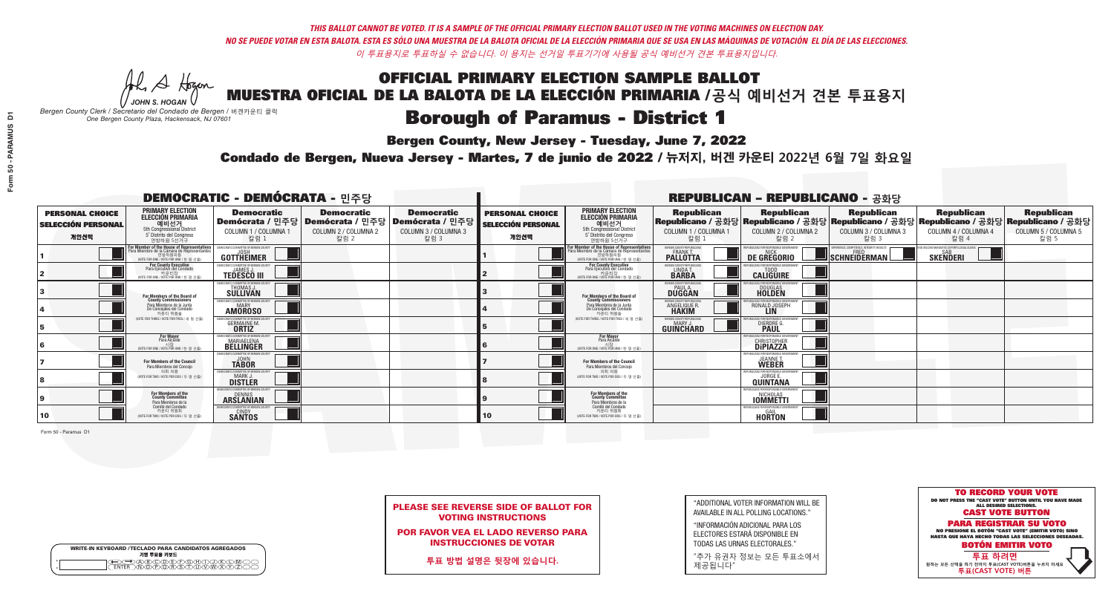A Hogan *JOHN S. HOGAN*

| <b>WRITE-IN KEYBOARD /TECLADO PARA CANDIDATOS AGREGADOS</b><br>기명 투표용 키보드 |  |
|---------------------------------------------------------------------------|--|
| >@®©®®®®®®©©®<br>`™®®®®®™™™®®                                             |  |

### **Borough of Paramus - District 1**

**Bergen County, New Jersey - Tuesday, June 7, 2022** 

*Bergen County Clerk / Secretario del Condado de Bergen /* 버겐카운티 클럭 *One Bergen County Plaza, Hackensack, NJ 07601*



PLEASE SEE REVERSE SIDE OF BALLOT FOR VOTING INSTRUCTIONS

POR FAVOR VEA EL LADO REVERSO PARA INSTRUCCIONES DE VOTAR

**투표 방법 설명은 뒷장에 있습니다.**

| "ADDITIONAL VOTER INFORMATION WILL BE |
|---------------------------------------|
| AVAILABLE IN ALL POLLING LOCATIONS."  |

"INFORMACIÓN ADICIONAL PARA LOS ELECTORES ESTARÁ DISPONIBLE EN TODAS LAS URNAS ELECTORALES."

"추가 유권자 정보는 모든 투표소에서 제공됩니다"

Condado de Bergen, Nueva Jersey - Martes, 7 de junio de 2022 / 뉴저지, 버겐 카운티 2022년 6월 7일 화요일 *One Bergen County Plaza, Hackensack, NJ 07601*

| <b>DEMOCRATIC - DEMÓCRATA - 민주당</b>                         |                                                                                                                                                       |                                                                                                        |                                                   |                                                   |                                                             |                                                                                                                                                       |                                                            | <b>REPUBLICAN - REPUBLICANO - 공화당</b>                                                                                                          |                                                                           |                                                               |                                                   |
|-------------------------------------------------------------|-------------------------------------------------------------------------------------------------------------------------------------------------------|--------------------------------------------------------------------------------------------------------|---------------------------------------------------|---------------------------------------------------|-------------------------------------------------------------|-------------------------------------------------------------------------------------------------------------------------------------------------------|------------------------------------------------------------|------------------------------------------------------------------------------------------------------------------------------------------------|---------------------------------------------------------------------------|---------------------------------------------------------------|---------------------------------------------------|
| <b>PERSONAL CHOICE</b><br><b>SELECCIÓN PERSONAL</b><br>개인선택 | <b>PRIMARY ELECTION</b><br>ELECCIÓN PRIMARIA<br>예비선거<br><sub>5th Congressional District</sub><br>5° Distrito del Congreso<br>연방하원 5선거구                | <b>Democratic</b><br>│Demócrata / 민주당│Demócrata / 민주당│Demócrata / 민주당│<br>COLUMN 1 / COLUMNA 1<br>칼럼 1 | <b>Democratic</b><br>COLUMN 2 / COLUMNA 2<br>칼럼 2 | <b>Democratic</b><br>COLUMN 3 / COLUMNA 3<br>칼럼 3 | <b>PERSONAL CHOICE</b><br><b>SELECCIÓN PERSONAL</b><br>개인선택 | <b>PRIMARY ELECTION</b><br>ELECCIÓN PRIMARIA<br>5th Congressional District<br>5° Distrito del Congreso<br>연방하원 5선거구                                   | <b>Republican</b><br>COLUMN 1 / COLUMNA 1<br>칼럼 :          | <b>Republican</b><br>Republicano / 공화당 Republicano / 공화당 Republicano / 공화당 Republicano / 공화당 Republicano / 공화당<br>COLUMN 2 / COLUMNA 2<br>칼럼 2 | <b>Republican</b><br>COLUMN 3 / COLUMNA 3<br>칼럼 3                         | <b>Republican</b><br>COLUMN 4 / COLUMNA 4<br>칼럼 4             | <b>Republican</b><br>COLUMN 5 / COLUMNA 5<br>칼럼 5 |
|                                                             | F <b>or Member of the House of Representatives</b><br>Para Miembro de la Cámara de Representantes<br>연방하원의원<br>(VOTE FOR ONE / VOTE POR UNO / 한 명 선출) | DEMOCRATIC COMMITTEE OF BERGEN COUNTY<br>GOTTHEIMER                                                    |                                                   |                                                   |                                                             | <b>For Member of the House of Representatives<br/>Para Miembro de la Cámara de Representantes</b><br>연방하원의원<br>(VOTE FOR ONE / VOTE POR UNO / 한 명 선출) | BERGEN COUNTY REPUBLICANS<br><b>PALLOTTA</b>               | DE GREGORIO                                                                                                                                    | EXPERIENCE, COMPETENCE, INTEGRITY, RESULTS<br>$\blacksquare$ SCHNEIDERMAN | D VACCINE MANDATES, DEPORT ILLEGAL ALIENS.<br><b>SKENDERI</b> |                                                   |
|                                                             | <b>For County Executive</b><br>Para Ejecutivo del Condado<br>7) 카운티장<br>(VOTE FOR ONE / VOTE POR UNO / 한 명 선출)                                        | <b>TEDESCO III</b>                                                                                     |                                                   |                                                   |                                                             | For County Executive<br>Para Ejecutivo del Condado<br>7 카운티장<br>(VOTE FOR ONE / VOTE POR UNO / 한 명 선출)                                                | BERGEN COUNTY REPUBLICAN<br>LINDA T.                       | <b>CALIGUIRE</b>                                                                                                                               |                                                                           |                                                               |                                                   |
|                                                             | <b>For Members of the Board of<br/>County Commissioners</b>                                                                                           | <b>EMOCRATIC COMMITTEE OF BERGEN COUNT</b><br><b>THOMAS J.</b><br><b>SULLIVAN</b>                      |                                                   |                                                   |                                                             | For Members of the Board of<br>County Commissioners                                                                                                   | ERGEN COUNTY REPUBLICAN<br><b>PAUL A.</b><br><b>DUGGAN</b> | <b>DOUGLAS</b><br><b>HOLDEN</b>                                                                                                                |                                                                           |                                                               |                                                   |
|                                                             | Para Miembros de la Junta<br>De Concejales del Condado<br>카우티 위원들                                                                                     | OCRATIC COMMITTEE OF BERGEN COUNT<br><b>MARY</b><br><b>AMOROSO</b>                                     |                                                   |                                                   |                                                             | Para Miembros de la Junta<br>De Concejales del Condado<br>카운티 위원들                                                                                     | <b>ERGEN COUNTY REPUBLICAN</b><br>ANGELIQUE R              | RONALD JOSEPH<br><b>LIN</b>                                                                                                                    |                                                                           |                                                               |                                                   |
|                                                             | NOTE FOR THREE / VOTE POR TRES / 세 명 선출)                                                                                                              | <b>GERMAINE M.</b><br><b>ORTIZ</b>                                                                     |                                                   |                                                   |                                                             | NOTE FOR THREE / VOTE POR TRES / 세 명 선출)                                                                                                              | ERGEN COUNTY REPUBLICANS<br><b>GUINCHARD</b>               | DIERDRE G                                                                                                                                      |                                                                           |                                                               |                                                   |
|                                                             | For Mayor<br>Para Alcalde<br>WOTE FOR ONE / VOTE POR UNO / 한 명 선생                                                                                     | IMOCRATIC COMMITTEE OF RERGEN CO<br><b>MARIAELENA</b><br><b>BELLINGER</b>                              |                                                   |                                                   |                                                             | For Mayor<br>Para Alcalde<br>시장<br>WOTE FOR ONE / VOTE POR UNO / 한 명 선출                                                                               |                                                            | <b>CHRISTOPHER</b>                                                                                                                             |                                                                           |                                                               |                                                   |
|                                                             | For Members of the Council<br>Para Miembros del Conceio                                                                                               | MOCRATIC COMMITTEE OF BERGEN COUNTY<br><b>TÄBOR</b>                                                    |                                                   |                                                   |                                                             | <b>For Members of the Council</b><br>Para Miembros del Conceio                                                                                        |                                                            | <b>JEANNE T.</b><br><b>WEBER</b>                                                                                                               |                                                                           |                                                               |                                                   |
|                                                             | 의회 의원<br>(VOTE FOR TWO / VOTE POR DOS / 두 명 선출)                                                                                                       | MOCRATIC COMMITTEE OF BERGEN CO<br><b>DISTLER</b>                                                      |                                                   |                                                   |                                                             | 의회 의원<br>WOTE FOR TWO / VOTE POR DOS / 두 명 선출)                                                                                                        |                                                            | EPUBLICANS FOR RESPONSIBLE<br><b>QUINTANA</b>                                                                                                  |                                                                           |                                                               |                                                   |
|                                                             | For Members of the<br>County Committee<br>Para Miembros de la                                                                                         | MOCRATIC COMMITTEE OF BERGEN COUNT<br><b>ARSLANIAN</b>                                                 |                                                   |                                                   |                                                             | <b>For Members of the<br/>County Committee</b><br>Para Miembros de la<br>Comité del Condado                                                           |                                                            | PUBLICANS FOR RESPONSIBLE GOVI<br>NICHOLAS<br><b>IOMMETTI</b>                                                                                  |                                                                           |                                                               |                                                   |
| 10                                                          | Comité del Condado<br>카운티 위원회<br>(VOTE FOR TWO / VOTE POR DOS / 두 명 선출)                                                                               | <b>EMOCRATIC COMMITTEE OF BERGEN COUNTY</b><br><b>SANTOS</b>                                           |                                                   |                                                   | 10                                                          | 카운티 위원회<br>(VOTE FOR TWO / VOTE POR DOS / 두 명 선출)                                                                                                     |                                                            | PUBLICANS FOR RESPONSIBLE GOVERNMENT<br><b>HORTON</b>                                                                                          |                                                                           |                                                               |                                                   |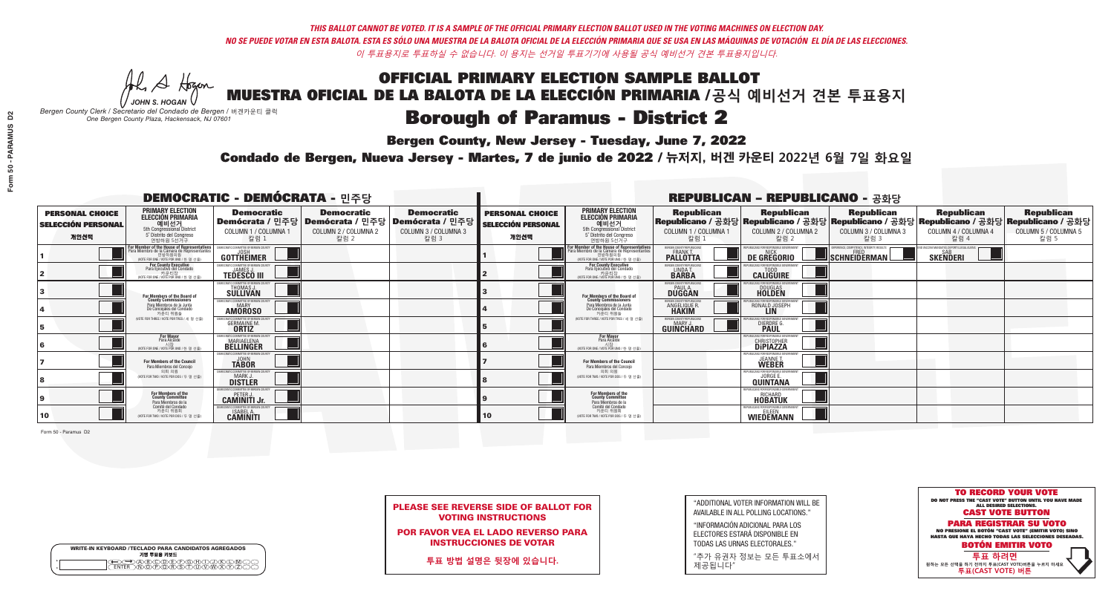A Hogan *JOHN S. HOGAN*

| <b>WRITE-IN KEYBOARD /TECLADO PARA CANDIDATOS AGREGADOS</b><br>기명 투표용 키보드 |  |
|---------------------------------------------------------------------------|--|
| >ABODEFGAA<br><u> ለአል ቅን</u> የአል አል                                       |  |

# **Borough of Paramus - District 2**

**Bergen County, New Jersey - Tuesday, June 7, 2022** 

*Bergen County Clerk / Secretario del Condado de Bergen /* 버겐카운티 클럭 *One Bergen County Plaza, Hackensack, NJ 07601*



PLEASE SEE REVERSE SIDE OF BALLOT FOR VOTING INSTRUCTIONS

POR FAVOR VEA EL LADO REVERSO PARA INSTRUCCIONES DE VOTAR

**투표 방법 설명은 뒷장에 있습니다.**

| "ADDITIONAL VOTER INFORMATION WILL BE |
|---------------------------------------|
| AVAILABLE IN ALL POLLING LOCATIONS."  |

"INFORMACIÓN ADICIONAL PARA LOS ELECTORES ESTARÁ DISPONIBLE EN TODAS LAS URNAS ELECTORALES."

"추가 유권자 정보는 모든 투표소에서 제공됩니다"

Condado de Bergen, Nueva Jersey - Martes, 7 de junio de 2022 / 뉴저지, 버겐 카운티 2022년 6월 7일 화요일 *One Bergen County Plaza, Hackensack, NJ 07601*

| <b>DEMOCRATIC - DEMÓCRATA - 민주당</b>                         |                                                                                                                                                    |                                                                            |                                                   |                                                                                                        |                                                             |                                                                                                                                              |                                                                | <b>REPUBLICAN - REPUBLICANO - 공화당</b>                                                                                                          |                                                   |                                                   |                                                   |
|-------------------------------------------------------------|----------------------------------------------------------------------------------------------------------------------------------------------------|----------------------------------------------------------------------------|---------------------------------------------------|--------------------------------------------------------------------------------------------------------|-------------------------------------------------------------|----------------------------------------------------------------------------------------------------------------------------------------------|----------------------------------------------------------------|------------------------------------------------------------------------------------------------------------------------------------------------|---------------------------------------------------|---------------------------------------------------|---------------------------------------------------|
| <b>PERSONAL CHOICE</b><br><b>SELECCIÓN PERSONAL</b><br>개인선택 | <b>PRIMARY ELECTION</b><br><b>ELECCIÓN PRIMARIA</b><br>예비선거<br><sup>5th</sup> Congressional District<br>5° Distrito del Congreso<br>연방하원 5선거구      | <b>Democratic</b><br>COLUMN 1 / COLUMNA 1<br>칼럼 1                          | <b>Democratic</b><br>COLUMN 2 / COLUMNA 2<br>칼럼 2 | <b>Democratic</b><br>│Demócrata / 민주당│Demócrata / 민주당│Demócrata / 민주당│<br>COLUMN 3 / COLUMNA 3<br>칼럼 3 | <b>PERSONAL CHOICE</b><br><b>SELECCIÓN PERSONAL</b><br>개인선택 | <b>PRIMARY ELECTION</b><br><b>ELECCIÓN PRIMARIA</b><br>예비선거<br>5th Congressional District<br>5° Distrito del Congreso<br>연방하원 5선거구           | <b>Republican</b><br>COLUMN 1 / COLUMNA 1<br>칼럼 1              | <b>Republican</b><br>Republicano / 공화당 Republicano / 공화당 Republicano / 공화당 Republicano / 공화당 Republicano / 공화당<br>COLUMN 2 / COLUMNA 2<br>칼럼 2 | <b>Republican</b><br>COLUMN 3 / COLUMNA 3<br>칼럼 3 | <b>Republican</b><br>COLUMN 4 / COLUMNA 4<br>칼럼 4 | <b>Republican</b><br>COLUMN 5 / COLUMNA 5<br>칼럼 5 |
|                                                             | <b>In Member of the House of Representatives<br/>Ira Miembro de la Cámara de Representantes</b><br>연방하원의원<br>(VOTE FOR ONE / VOTE POR UNO / 한 명 선출 | <b>GOTTHEIMER</b>                                                          |                                                   |                                                                                                        |                                                             | For Member of the House of Representatives<br>Para Miembro de la Cámara de Representantes<br>연방하원의원<br>(VOTE FOR ONE / VOTE POR UNO / 한 명 선출 | ERGEN COUNTY REPUBLICAN:<br><b>PALLOTTA</b>                    | DE GREGORIO                                                                                                                                    | SCHNEIDERMAN                                      | <b>SKENDERI</b>                                   |                                                   |
|                                                             | <b>For County Executive</b><br>Para Ejecutivo del Condado<br>카운티장<br>(VOTE FOR ONE / VOTE POR UNO / 한 명 선출)                                        | <b>TEDESCO III</b>                                                         |                                                   |                                                                                                        |                                                             | <b>For County Executive</b><br>Para Ejecutivo del Condado<br>7 카운티장<br>(VOTE FOR ONE / VOTE POR UNO / 한 명 선출)                                | BERGEN COUNTY REPUBLICAN<br>LINDA T.                           | <b>CALIGUIRE</b>                                                                                                                               |                                                   |                                                   |                                                   |
|                                                             | For Members of the Board of<br>County Commissioners                                                                                                | EMOCRATIC COMMITTEE OF BERGEN COUNT<br><b>THOMAS J.</b><br><b>SULLIVAN</b> |                                                   |                                                                                                        |                                                             | For Members of the Board of<br>County Commissioners                                                                                          | ERGEN COUNTY REPUBLICAN<br><b>PAUL A.</b><br>DUGGAN            | <b>DOUGLAS</b>                                                                                                                                 |                                                   |                                                   |                                                   |
|                                                             | Para Miembros de la Junta<br>De Concejales del Condado<br>카우티 위원들                                                                                  | MOCRATIC COMMITTEE OF BERGEN COUN<br><b>AMOROSO</b>                        |                                                   |                                                                                                        |                                                             | Para Miembros de la Junta<br>De Concejales del Condado<br>카운티 위원들                                                                            | ERGEN COUNTY REPUBLICAN:<br><b>ANGELIQUE R</b><br><b>HAKIM</b> | RONALD JOSEPH                                                                                                                                  |                                                   |                                                   |                                                   |
|                                                             | NOTE FOR THREE / VOTE POR TRES / 세 명 선출)                                                                                                           | CRATIC COMMITTEE OF BERGEN COUNT<br><b>GERMAINE M.</b>                     |                                                   |                                                                                                        |                                                             | NOTE FOR THREE / VOTE POR TRES / 세 명 선출)                                                                                                     | ERGEN COUNTY REPUBLICANS<br><b>GUINCHARD</b>                   | ICANS FOR RESPONSIBLE GO<br><b>DIERDRE</b> O                                                                                                   |                                                   |                                                   |                                                   |
|                                                             | <b>For Mayor</b><br>Para Alcalde<br>NOTE FOR ONE / VOTE POR UNO / 한 명 선행                                                                           | MOCRATIC COMMITTEE OF BERGEN C<br><b>MARIAELENA</b>                        |                                                   |                                                                                                        |                                                             | For Mayor<br>Para Alcalde<br>NOTE FOR ONE/VOTE POR UNO/한 명 선출                                                                                |                                                                | <b>CHRISTOPHER</b>                                                                                                                             |                                                   |                                                   |                                                   |
|                                                             | <b>For Members of the Council</b><br>Para Miembros del Conceio                                                                                     | EMOCRATIC COMMITTEE OF BERGEN COUNT<br><b>TÄBOR</b>                        |                                                   |                                                                                                        |                                                             | <b>For Members of the Council</b><br>Para Miembros del Conceio                                                                               |                                                                | UBI ICANS FOR RESPONSIBLE<br><b>JEANNE T.</b><br><b>WEBER</b>                                                                                  |                                                   |                                                   |                                                   |
|                                                             | 의회 의원<br>(VOTE FOR TWO / VOTE POR DOS / 두 명 선출)                                                                                                    | MOCRATIC COMMITTEE OF BERGEN COUNT<br><b>DISTLER</b>                       |                                                   |                                                                                                        |                                                             | 의회 의원<br>WOTE FOR TWO / VOTE POR DOS / 두 명 선출)                                                                                               |                                                                | <b>FPUBLICANS FOR RESPONSIBLE GC</b><br><b>QUINTANA</b>                                                                                        |                                                   |                                                   |                                                   |
|                                                             | For Members of the<br>County Committee<br>Para Miembros de la                                                                                      | MOCRATIC COMMITTEE OF RERGEN COLINT<br><b>CAMINITI Jr.</b>                 |                                                   |                                                                                                        |                                                             | For Members of the<br>County Committee<br>Para Miembros de la<br>Comité del Condado                                                          |                                                                | REPUBLICANS FOR RESPONSIBLE GOV<br><b>HOBATUK</b>                                                                                              |                                                   |                                                   |                                                   |
| 10                                                          | Comité del Condado<br>카운티 위원회<br>(VOTE FOR TWO / VOTE POR DOS / 두 명 선출)                                                                            | MOCRATIC COMMITTEE OF RERGEN COLINT<br><b>CAMINITI</b>                     |                                                   |                                                                                                        | 10 <sup>°</sup>                                             | 카운티 위원회<br>(VOTE FOR TWO / VOTE POR DOS / 두 명 선출)                                                                                            |                                                                | FPUBLICANS FOR RESPONSIBLE GOVERNMENT<br><b>WIEDEMANN</b>                                                                                      |                                                   |                                                   |                                                   |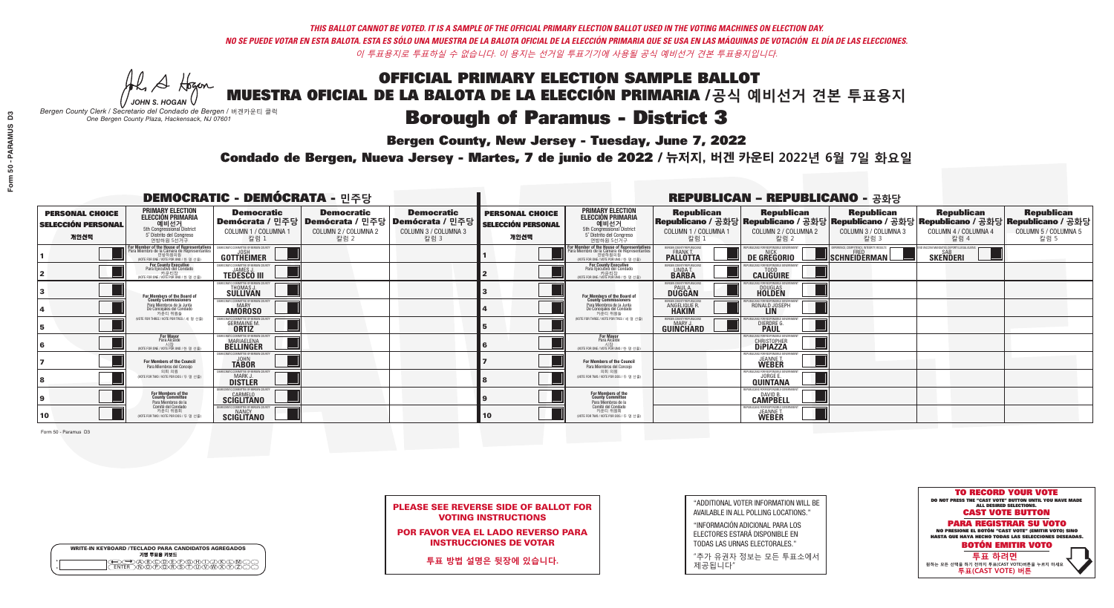A Hogan *JOHN S. HOGAN*

|   | <b>WRITE-IN KEYBOARD /TECLADO PARA CANDIDATOS AGREGADOS</b><br>기명 투표용 키보드 |
|---|---------------------------------------------------------------------------|
| o | <b>BODE/FIGHX</b>                                                         |
| o | <u> እቅነሽነጅነጅነች</u>                                                        |

# **Borough of Paramus - District 3**

**Bergen County, New Jersey - Tuesday, June 7, 2022** 

*Bergen County Clerk / Secretario del Condado de Bergen /* 버겐카운티 클럭 *One Bergen County Plaza, Hackensack, NJ 07601*



PLEASE SEE REVERSE SIDE OF BALLOT FOR VOTING INSTRUCTIONS

POR FAVOR VEA EL LADO REVERSO PARA INSTRUCCIONES DE VOTAR

**투표 방법 설명은 뒷장에 있습니다.**

| "ADDITIONAL VOTER INFORMATION WILL BE |
|---------------------------------------|
| AVAILABLE IN ALL POLLING LOCATIONS."  |

"INFORMACIÓN ADICIONAL PARA LOS ELECTORES ESTARÁ DISPONIBLE EN TODAS LAS URNAS ELECTORALES."

"추가 유권자 정보는 모든 투표소에서 제공됩니다"

Condado de Bergen, Nueva Jersey - Martes, 7 de junio de 2022 / 뉴저지, 버겐 카운티 2022년 6월 7일 화요일 *One Bergen County Plaza, Hackensack, NJ 07601*

| <b>DEMOCRATIC - DEMÓCRATA - 민주당</b>                         |                                                                                                                                                       |                                                                                                        |                                                   |                                                   |                                                             |                                                                                                                                   |                                                               | <b>REPUBLICAN - REPUBLICANO - 공화당</b>                                   |                                                                                                                                                |                                                                |                                                   |
|-------------------------------------------------------------|-------------------------------------------------------------------------------------------------------------------------------------------------------|--------------------------------------------------------------------------------------------------------|---------------------------------------------------|---------------------------------------------------|-------------------------------------------------------------|-----------------------------------------------------------------------------------------------------------------------------------|---------------------------------------------------------------|-------------------------------------------------------------------------|------------------------------------------------------------------------------------------------------------------------------------------------|----------------------------------------------------------------|---------------------------------------------------|
| <b>PERSONAL CHOICE</b><br><b>SELECCIÓN PERSONAL</b><br>개인선택 | <b>PRIMARY ELECTION</b><br><b>ELECCIÓN PRIMARIA</b><br>예비선거<br><sup>5th</sup> Congressional District<br>5° Distrito del Congreso<br>연방하원 5선거구         | <b>Democratic</b><br>│Demócrata / 민주당│Demócrata / 민주당│Demócrata / 민주당│<br>COLUMN 1 / COLUMNA 1<br>칼럼 1 | <b>Democratic</b><br>COLUMN 2 / COLUMNA 2<br>칼럼 2 | <b>Democratic</b><br>COLUMN 3 / COLUMNA 3<br>칼럼 3 | <b>PERSONAL CHOICE</b><br><b>SELECCIÓN PERSONAL</b><br>개인선택 | <b>PRIMARY ELECTION</b><br>ELECCIÓN PRIMARIA<br>5th Congressional District<br>5° Distrito del Congreso<br>연방하원 5선거구               | <b>Republican</b><br>COLUMN 1 / COLUMNA 1<br>칼럼 :             | <b>Republican</b><br>COLUMN 2 / COLUMNA 2<br>칼럼 2                       | <b>Republican</b><br>Republicano / 공화당 Republicano / 공화당 Republicano / 공화당 Republicano / 공화당 Republicano / 공화당<br>COLUMN 3 / COLUMNA 3<br>칼럼 3 | <b>Republican</b><br>COLUMN 4 / COLUMNA 4<br>칼럼 4              | <b>Republican</b><br>COLUMN 5 / COLUMNA 5<br>칼럼 5 |
|                                                             | F <b>or Member of the House of Representatives</b><br>Para Miembro de la Cámara de Representantes<br>연방하원의원<br>(VOTE FOR ONE / VOTE POR UNO / 한 명 선출) | COMMITTEE OF BERGEN COUNTY<br>GOTTHEIMER                                                               |                                                   |                                                   |                                                             | For Member of the House of Representatives<br>Para Miembro de la Cámara de Representantes<br>WOTE FOR ONE / VOTE POR UNO / 한 명 선출 | BERGEN COUNTY REPUBLICANS<br><b>PALLOTTA</b>                  | DE GREGORIO                                                             | KPERIENCE, COMPETENCE, INTEGRITY, RESULTS<br>SCHNEIDERMAN                                                                                      | ND VACCINE MANDATES, DEPORT ILLEGAL ALIENS.<br><b>SKENDERI</b> |                                                   |
|                                                             | <b>For County Executive</b><br>Para Ejecutivo del Condado<br>(VOTE FOR ONE / VOTE POR UNO / 한 명 선출)                                                   | EMOCRATIC COMMITTEE OF BERGEN COUNTY<br><b>TEDESCO III</b>                                             |                                                   |                                                   |                                                             | <b>For County Executive</b><br>Para Ejecutivo del Condado<br>WOTE FOR ONE / VOTE POR UNO / 한 명 선출                                 | BERGEN COUNTY REPUBLICAN<br>LINDA T.                          | <b>CALIGUIRE</b>                                                        |                                                                                                                                                |                                                                |                                                   |
|                                                             | For Members of the Board of<br>County Commissioners                                                                                                   | THOMAS J.                                                                                              |                                                   |                                                   |                                                             | For Members of the Board of<br>County Commissioners                                                                               | BERGEN COUNTY REPUBLICAN<br><b>PAUL A.</b><br><b>DUGGAN</b>   | <b>DOUGLAS</b><br><b>HOLDEN</b>                                         |                                                                                                                                                |                                                                |                                                   |
|                                                             | Para Miembros de la Junta<br>De Concejales del Condado<br>카우티 위원들                                                                                     | <b><i>AOCRATIC COMMITTEE OF BERGEN COUNT</i></b><br><b>AMOROSO</b>                                     |                                                   |                                                   |                                                             | Para Miembros de la Junta<br>De Concejales del Condado<br>카우티 위원들                                                                 | ERGEN COUNTY REPUBLICAN<br><b>ANGELIQUE R</b><br><b>HAKIM</b> | RONALD JOSEPH<br><b>LIN</b>                                             |                                                                                                                                                |                                                                |                                                   |
|                                                             | NOTE FOR THREE / VOTE POR TRES / 세 명 선출)                                                                                                              | <b>GERMAINE M.</b>                                                                                     |                                                   |                                                   |                                                             | NOTE FOR THREE / VOTE POR TRES / 세 명 선출)                                                                                          | ERGEN COUNTY REPUBLICAN<br><b>GUINCHARD</b>                   | DIERDRE O                                                               |                                                                                                                                                |                                                                |                                                   |
|                                                             | For Mayor<br>Para Alcalde<br>시장<br>(VOTE FOR ONE / VOTE POR UNO / 한 명 선출)                                                                             | OCRATIC COMMITTEE OF BERGEN CO<br><b>MARIAELENA</b>                                                    |                                                   |                                                   |                                                             | <b>For Mayor</b><br>Para Alcalde<br>NOTE FOR ONE / VOTE POR UNO / 한 명 선출                                                          |                                                               | RI ICANS ENR RESPONSIRI E<br><b>CHRISTOPHER</b>                         |                                                                                                                                                |                                                                |                                                   |
|                                                             | For Members of the Council<br>Para Miembros del Concejo                                                                                               | EMOCRATIC COMMITTEE OF BERGEN COUNTY<br><b>TÄBOR</b>                                                   |                                                   |                                                   |                                                             | <b>For Members of the Council</b><br>Para Miembros del Concejo                                                                    |                                                               | PUBLICANS FOR RESPONSIBLE GOVI<br><b>JEANNE T.</b><br><b>WEBER</b>      |                                                                                                                                                |                                                                |                                                   |
|                                                             | 의회 의원<br>(VOTE FOR TWO / VOTE POR DOS / 두 명 선출)                                                                                                       | RATIC COMMITTEE OF BERGEN COUNT<br><b>DISTLER</b>                                                      |                                                   |                                                   |                                                             | 의회 의원<br>WOTE FOR TWO / VOTE POR DOS / 두 명 선출)                                                                                    |                                                               | FPUBLICANS FOR RESPONSIBLE G<br><b>QUINTANA</b>                         |                                                                                                                                                |                                                                |                                                   |
|                                                             | For Members of the<br>County Committee<br>Para Miembros de la                                                                                         | CRATIC COMMITTEE OF BERGEN COUNT<br><b>SCIGLITANO</b>                                                  |                                                   |                                                   |                                                             | For Members of the<br>County Committee<br>Para Miembros de la<br>Comité del Condado                                               |                                                               | PUBLICANS FOR RESPONSIBLE GOVERNMENT:<br><b>CAMPBELL</b>                |                                                                                                                                                |                                                                |                                                   |
| 10                                                          | Comité del Condado<br>카운티 위원회<br>(VOTE FOR TWO / VOTE POR DOS / 두 명 선출)                                                                               | EMOCRATIC COMMITTEE OF RERGEN COUNT<br><b>SCIGLITANO</b>                                               |                                                   |                                                   | 10                                                          | 카운티 위원회<br>(VOTE FOR TWO / VOTE POR DOS / 두 명 선출)                                                                                 |                                                               | PHRI ICANS FOR RESPONSIRI E GOVERNMEN<br><b>JEANNET</b><br><b>WEBER</b> |                                                                                                                                                |                                                                |                                                   |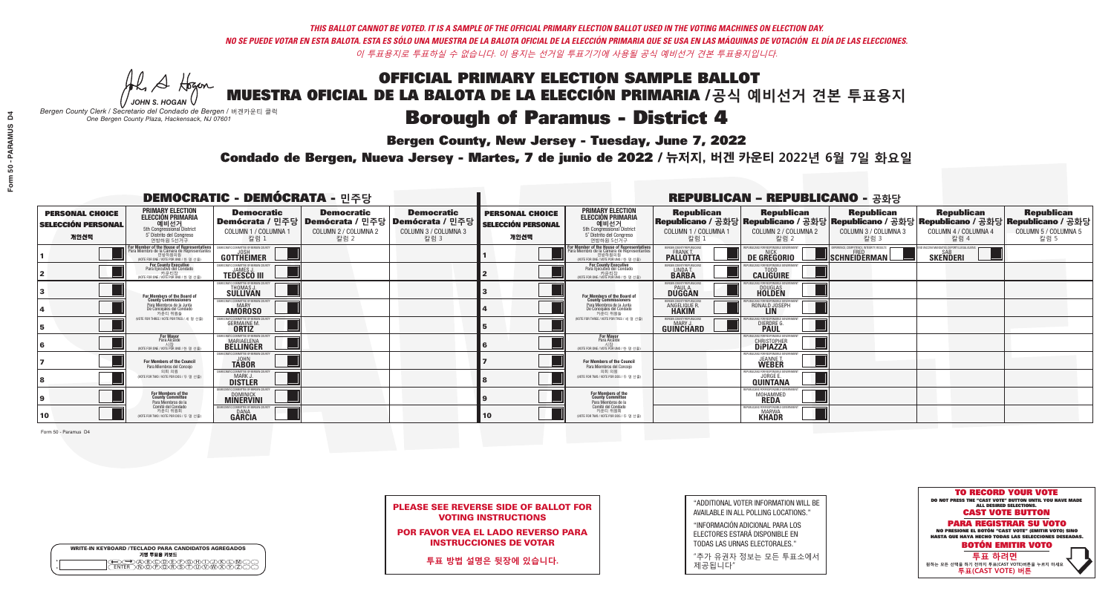A Hram *JOHN S. HOGAN*

| <b>WRITE-IN KEYBOARD /TECLADO PARA CANDIDATOS AGREGADOS</b><br>기명 투표용 키보드 |
|---------------------------------------------------------------------------|
| ) BUCUDUFUFUGUAN                                                          |

### **Borough of Paramus - District 4**

**Bergen County, New Jersey - Tuesday, June 7, 2022** 

*Bergen County Clerk / Secretario del Condado de Bergen /* 버겐카운티 클럭 *One Bergen County Plaza, Hackensack, NJ 07601*



PLEASE SEE REVERSE SIDE OF BALLOT FOR VOTING INSTRUCTIONS

POR FAVOR VEA EL LADO REVERSO PARA INSTRUCCIONES DE VOTAR

**투표 방법 설명은 뒷장에 있습니다.**

"ADDITIONAL VOTER INFORMATION WILL BE AVAILABLE IN ALL POLLING LOCATIONS."

"INFORMACIÓN ADICIONAL PARA LOS ELECTORES ESTARÁ DISPONIBLE EN TODAS LAS URNAS ELECTORALES."

"추가 유권자 정보는 모든 투표소에서 제공됩니다"

Condado de Bergen, Nueva Jersey - Martes, 7 de junio de 2022 / 뉴저지, 버겐 카운티 2022년 6월 7일 화요일 *One Bergen County Plaza, Hackensack, NJ 07601*

| <b>DEMOCRATIC - DEMÓCRATA - 민주당</b>                         |                                                                                                                                       |                                                                                   |                                                   |                                                                                                        |                                                             |                                                                                                                                           |                                                                | <b>REPUBLICAN - REPUBLICANO - 공화당</b>                                                                                                          |                                                           |                                                                |                                                   |
|-------------------------------------------------------------|---------------------------------------------------------------------------------------------------------------------------------------|-----------------------------------------------------------------------------------|---------------------------------------------------|--------------------------------------------------------------------------------------------------------|-------------------------------------------------------------|-------------------------------------------------------------------------------------------------------------------------------------------|----------------------------------------------------------------|------------------------------------------------------------------------------------------------------------------------------------------------|-----------------------------------------------------------|----------------------------------------------------------------|---------------------------------------------------|
| <b>PERSONAL CHOICE</b><br><b>SELECCIÓN PERSONAL</b><br>개인선택 | <b>PRIMARY ELECTION</b><br><b>ELECCIÓN PRIMARIA</b><br>예비선거<br>5th Congressional District<br>5° Distrito del Congreso<br>연방하원 5선거구    | <b>Democratic</b><br>COLUMN 1 / COLUMNA 1<br>칼럼 1                                 | <b>Democratic</b><br>COLUMN 2 / COLUMNA 2<br>칼럼 2 | <b>Democratic</b><br>│Demócrata / 민주당│Demócrata / 민주당│Demócrata / 민주당│<br>COLUMN 3 / COLUMNA 3<br>칼럼 3 | <b>PERSONAL CHOICE</b><br><b>SELECCIÓN PERSONAL</b><br>개인선택 | <b>PRIMARY ELECTION</b><br><b>ELECCIÓN PRIMARIA</b><br>예비선거<br>5th Congressional District<br>5° Distrito del Congreso<br>연방하원 5선거구        | <b>Republican</b><br>COLUMN 1 / COLUMNA 1<br>칼럼 1              | <b>Republican</b><br>Republicano / 공화당 Republicano / 공화당 Republicano / 공화당 Republicano / 공화당 Republicano / 공화당<br>COLUMN 2 / COLUMNA 2<br>칼럼 2 | <b>Republican</b><br>COLUMN 3 / COLUMNA 3<br>칼럼 3         | <b>Republican</b><br>COLUMN 4 / COLUMNA 4<br>칼럼 4              | <b>Republican</b><br>COLUMN 5 / COLUMNA 5<br>칼럼 5 |
|                                                             | For Member of the House of Representatives<br>a Miembro de la Cámara de Representan<br>연방하원의원<br>WOTE FOR ONE / VOTE POR UNO / 한 명 선출 | DEMOCRATIC COMMITTEE OF BERGEN COUNTY<br><b>GOTTHEIMER</b>                        |                                                   |                                                                                                        |                                                             | For Member of the House of Representatives<br>ara Miembro de la Cámara de Representant<br>연방하원의원<br>(VOTE FOR ONE / VOTE POR UNO / 한 명 선출 | BERGEN COUNTY REPUBLICANS<br><b>PALLOTTA</b>                   | DE GREGORIO                                                                                                                                    | KPERIENCE, COMPETENCE, INTEGRITY, RESULTS<br>SCHNEIDERMAN | ND VACCINE MANDATES, DEPORT ILLEGAL ALIENS.<br><b>SKENDERI</b> |                                                   |
|                                                             | <b>For County Executive</b><br>Para Ejecutivo del Condado<br>가운티장<br>(VOTE FOR ONE / VOTE POR UNO / 한 명 선출)                           | <b>EMOCRATIC COMMITTEE OF BERGEN COUNTY</b><br><b>TEDESCO III</b>                 |                                                   |                                                                                                        |                                                             | <b>For County Executive</b><br>Para Ejecutivo del Condado<br>7 카운티장<br>(VOTE FOR ONE / VOTE POR UNO / 한 명 선출)                             | BERGEN COUNTY REPUBLICAN:<br>LINDA T.                          | <b>CALIGUIRE</b>                                                                                                                               |                                                           |                                                                |                                                   |
|                                                             | For Members of the Board of<br>County Commissioners                                                                                   | <b>EMOCRATIC COMMITTEE OF BERGEN COUNT</b><br><b>THOMAS J.</b><br><b>SULLIVAN</b> |                                                   |                                                                                                        |                                                             | For Members of the Board of<br>County Commissioners                                                                                       | BERGEN COUNTY REPUBLICAN<br><b>PAUL A.</b><br><b>DUGGAN</b>    | <b>DOUGLAS</b>                                                                                                                                 |                                                           |                                                                |                                                   |
|                                                             | Para Miembros de la Junta<br>De Concejales del Condado<br>카우티 위원들                                                                     | <b>IOCRATIC COMMITTEE OF BEBGEN COUNT</b><br><b>AMOROSO</b>                       |                                                   |                                                                                                        |                                                             | Para Miembros de la Junta<br>De Concejales del Condado<br>카우티 위원들                                                                         | ERGEN COUNTY REPUBLICAN:<br><b>ANGELIQUE R</b><br><b>HAKIM</b> | RONALD JOSEPH<br><b>LIN</b>                                                                                                                    |                                                           |                                                                |                                                   |
|                                                             | NOTE FOR THREE / VOTE POR TRES / 세 명 선출)                                                                                              | <b>GERMAINE M.</b><br><b>ORTIZ</b>                                                |                                                   |                                                                                                        |                                                             | NOTE FOR THREE / VOTE POR TRES / 세 명 선출)                                                                                                  | ERGEN COUNTY REPUBLICAN:<br><b>GUINCHARD</b>                   | DIERDRE O                                                                                                                                      |                                                           |                                                                |                                                   |
|                                                             | For Mayor<br>Para Alcalde<br>NOTE FOR ONE / VOTE POR UNO / 한 명 선립                                                                     | MOCRATIC COMMITTEE OF BERGEN COL<br><b>MARIAELENA</b>                             |                                                   |                                                                                                        |                                                             | For Mayor<br>Para Alcalde<br>NOTE FOR ONE / VOTE POR UNO / 한 명 선출                                                                         |                                                                | <b>CHRISTOPHER</b>                                                                                                                             |                                                           |                                                                |                                                   |
|                                                             | <b>For Members of the Council</b><br>Para Miembros del Conceio                                                                        | EMOCRATIC COMMITTEE OF BERGEN COUNTY<br><b>TÄBOR</b>                              |                                                   |                                                                                                        |                                                             | For Members of the Council<br>Para Miembros del Concejo                                                                                   |                                                                | PUBLICANS FOR RESPONSIBLE GO<br><b>JEANNE T.</b><br><b>WEBER</b>                                                                               |                                                           |                                                                |                                                   |
|                                                             | 의회 의원<br>(VOTE FOR TWO / VOTE POR DOS / 두 명 선출)                                                                                       | <b>:RATIC COMMITTEE OF BEBGEN COUNT</b><br><b>DISTLER</b>                         |                                                   |                                                                                                        |                                                             | 의회 의원<br>WOTE FOR TWO / VOTE POR DOS / 두 명 선출)                                                                                            |                                                                | REPUBLICANS FOR RESPONSIBLE<br><b>QUINTANA</b>                                                                                                 |                                                           |                                                                |                                                   |
|                                                             | For Members of the<br>County Committee<br>Para Miembros de la                                                                         | )CRATIC COMMITTEE OF BERGEN COUNT<br><b>DOMINICK</b><br><b>MINERVINI</b>          |                                                   |                                                                                                        |                                                             | For Members of the<br>County Committee<br>Para Miembros de la<br>Comité del Condado                                                       |                                                                | UBLICANS FOR RESPONSIBLE GOY<br><b>MOHAMMED</b><br><b>REDA</b>                                                                                 |                                                           |                                                                |                                                   |
| 10                                                          | Comité del Condado<br>카운티 위원회<br>(VOTE FOR TWO / VOTE POR DOS / 두 명 선출)                                                               | EMOCRATIC COMMITTEE OF RERGEN COLINI<br><b>GARCIA</b>                             |                                                   |                                                                                                        | 10                                                          | 카운티 위원회<br>(VOTE FOR TWO / VOTE POR DOS / 두 명 선출)                                                                                         |                                                                | REPUBLICANS FOR RESPONSIBLE GOVERNMEN<br><b>MARWA</b><br>KHADR                                                                                 |                                                           |                                                                |                                                   |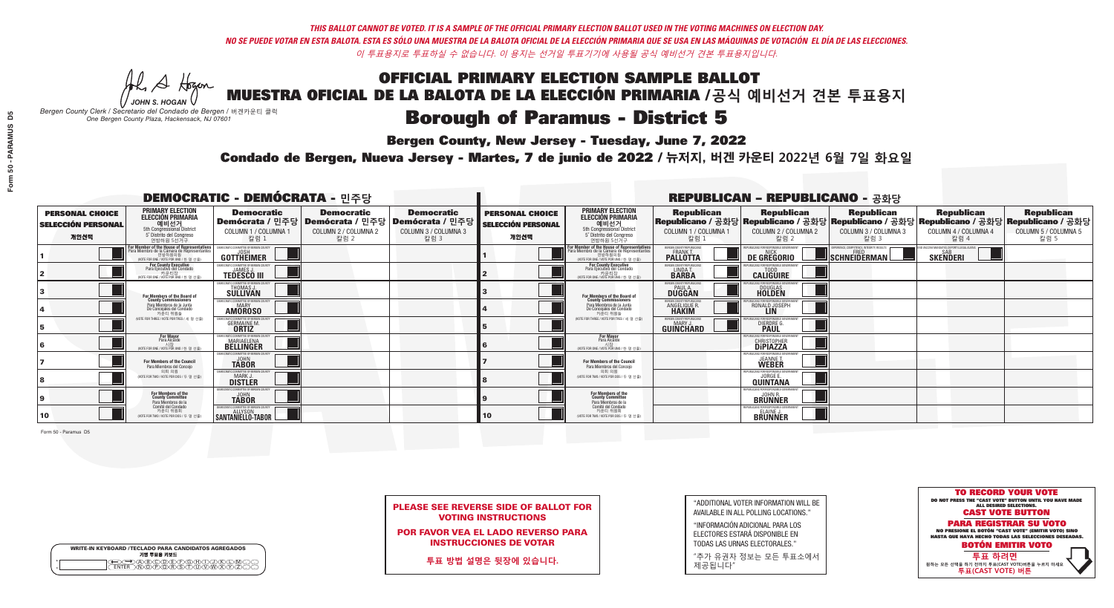A Hogan *JOHN S. HOGAN*

| <b>WRITE-IN KEYBOARD /TECLADO PARA CANDIDATOS AGREGADOS</b><br>기명 투표용 키보드 |  |
|---------------------------------------------------------------------------|--|
| ABODEARAHA<br>፟፝፝፝፝፝፝፝፝፝ዀዀዀ፝፟ዂ፝                                           |  |

### **Borough of Paramus - District 5**

**Bergen County, New Jersey - Tuesday, June 7, 2022** 

*Bergen County Clerk / Secretario del Condado de Bergen /* 버겐카운티 클럭 *One Bergen County Plaza, Hackensack, NJ 07601*



| <b>PLEASE SEE REVERSE SIDE OF BALLOT FOR</b> |
|----------------------------------------------|
| <b>VOTING INSTRUCTIONS</b>                   |

POR FAVOR VEA EL LADO REVERSO PARA INSTRUCCIONES DE VOTAR

**투표 방법 설명은 뒷장에 있습니다.**

| "ADDITIONAL VOTER INFORMATION WILL BE |
|---------------------------------------|
| AVAILABLE IN ALL POLLING LOCATIONS."  |

"INFORMACIÓN ADICIONAL PARA LOS ELECTORES ESTARÁ DISPONIBLE EN TODAS LAS URNAS ELECTORALES."

"추가 유권자 정보는 모든 투표소에서 제공됩니다"

Condado de Bergen, Nueva Jersey - Martes, 7 de junio de 2022 / 뉴저지, 버겐 카운티 2022년 6월 7일 화요일 *One Bergen County Plaza, Hackensack, NJ 07601*

|                                                             |                                                                                                                                          | <b>DEMOCRATIC - DEMÓCRATA - 민주당</b>                                        |                                                   |                                                                                                        |                                                             |                                                                                                                                   |                                                            | <b>REPUBLICAN - REPUBLICANO - 공화당</b>                             |                                                                                                                                                |                                                                 |                                                   |
|-------------------------------------------------------------|------------------------------------------------------------------------------------------------------------------------------------------|----------------------------------------------------------------------------|---------------------------------------------------|--------------------------------------------------------------------------------------------------------|-------------------------------------------------------------|-----------------------------------------------------------------------------------------------------------------------------------|------------------------------------------------------------|-------------------------------------------------------------------|------------------------------------------------------------------------------------------------------------------------------------------------|-----------------------------------------------------------------|---------------------------------------------------|
| <b>PERSONAL CHOICE</b><br><b>SELECCIÓN PERSONAL</b><br>개인선택 | <b>PRIMARY ELECTION</b><br>ELECCIÓN PRIMARIA<br>예비선거<br>5th Congressional District<br>5° Distrito del Congreso<br>연방하원 5선거구              | <b>Democratic</b><br>COLUMN 1 / COLUMNA 1<br>칼럼 1                          | <b>Democratic</b><br>COLUMN 2 / COLUMNA 2<br>칼럼 2 | <b>Democratic</b><br>│Demócrata / 민주당│Demócrata / 민주당│Demócrata / 민주당│<br>COLUMN 3 / COLUMNA 3<br>칼럼 3 | <b>PERSONAL CHOICE</b><br><b>SELECCIÓN PERSONAL</b><br>개인선택 | <b>PRIMARY ELECTION</b><br>ELECCIÓN PRIMARIA<br>5th Congressional District<br>5° Distrito del Congreso<br>연방하원 5선거구               | <b>Republican</b><br>COLUMN 1 / COLUMNA 1<br>칼럼 :          | <b>Republican</b><br>COLUMN 2 / COLUMNA 2<br>칼럼 2                 | <b>Republican</b><br>Republicano / 공화당 Republicano / 공화당 Republicano / 공화당 Republicano / 공화당 Republicano / 공화당<br>COLUMN 3 / COLUMNA 3<br>칼럼 3 | <b>Republican</b><br>COLUMN 4 / COLUMNA 4<br>칼럼 4               | <b>Republican</b><br>COLUMN 5 / COLUMNA 5<br>칼럼 5 |
|                                                             | or Member of the House of Representatives<br>a Miembro de la Cámara de Representante<br>연방하원의원<br>(VOTE FOR ONE / VOTE POR UNO / 한 명 선출) | DEMOCRATIC COMMITTEE OF BERGEN COUNT<br>GOTTHEIMER                         |                                                   |                                                                                                        |                                                             | For Member of the House of Representatives<br>Para Miembro de la Cámara de Representantes<br>WOTE FOR ONE / VOTE POR UNO / 한 명 선출 | BERGEN COUNTY REPUBLICANS<br><b>PALLOTTA</b>               | DE GREGORIO                                                       | KPERIENCE, COMPETENCE, INTEGRITY, RESULTS<br>SCHNEIDERMAN                                                                                      | D VACCINE MANDATES, DEPORT ILLEGAL ALIENS. I<br><b>SKENDERI</b> |                                                   |
|                                                             | <b>For County Executive</b><br>Para Ejecutivo del Condado<br>가운티장<br>(VOTE FOR ONE / VOTE POR UNO / 한 명 선출)                              | )EMOCRATIC COMMITTEE OF BERGEN COUNTY<br><b>TEDESCO III</b>                |                                                   |                                                                                                        |                                                             | For County Executive<br>Para Ejecutivo del Condado<br>7) 카운티장<br>(VOTE FOR ONE / VOTE POR UNO / 한 명 선출                            | BERGEN COUNTY REPUBLICAN<br>LINDA T.                       | <b>CALIGUIRE</b>                                                  |                                                                                                                                                |                                                                 |                                                   |
|                                                             | For Members of the Board of<br>County Commissioners                                                                                      | EMOCRATIC COMMITTEE OF BERGEN COUNT<br><b>THOMAS J.</b><br><b>SULLIVAN</b> |                                                   |                                                                                                        |                                                             | For Members of the Board of<br>County Commissioners                                                                               | ERGEN COUNTY REPUBLICAN<br><b>PAUL A.</b><br><b>DUGGAN</b> | DOUGLAS<br>HOLDEN                                                 |                                                                                                                                                |                                                                 |                                                   |
|                                                             | Para Miembros de la Junta<br>De Concejales del Condado<br>카우티 위원들                                                                        | MOCRATIC COMMITTEE OF BERGEN COUNT<br><b>AMOROSO</b>                       |                                                   |                                                                                                        |                                                             | Para Miembros de la Junta<br>De Concejales del Condado<br>카운티 위원들                                                                 | ERGEN COUNTY REPUBLICAN<br>ANGELIQUE R                     | RONALD JOSEPH<br><b>LIN</b>                                       |                                                                                                                                                |                                                                 |                                                   |
|                                                             | NOTE FOR THREE / VOTE POR TRES / 세 명 선출)                                                                                                 | 'RATIC COMMITTEE OF RERGEN COLIN<br><b>GERMAINE M.</b>                     |                                                   |                                                                                                        |                                                             | (VOTE FOR THREE / VOTE POR TRES / 세 명 선출)                                                                                         | ERGEN COUNTY REPUBLICANS<br><b>GUINCHARD</b>               | BLICANS FOR RESPONSIBLE GO<br><b>DIERDRE</b> O                    |                                                                                                                                                |                                                                 |                                                   |
|                                                             | <b>For Mayor</b><br>Para Alcalde<br>NOTE FOR ONE / VOTE POR UNO / 한 명 선                                                                  | MOCRATIC COMMITTEE OF BEBGEN CO<br><b>MARIAELENA</b>                       |                                                   |                                                                                                        |                                                             | <b>For Mayor</b><br>Para Alcalde<br>NOTE FOR ONE / VOTE POR UNO / 한 명 선출                                                          |                                                            | <b>CHRISTOPHER</b>                                                |                                                                                                                                                |                                                                 |                                                   |
|                                                             | For Members of the Council<br>Para Miembros del Conceio                                                                                  | EMOCRATIC COMMITTEE OF BERGEN COUNT<br><b>TÄBOR</b>                        |                                                   |                                                                                                        |                                                             | For Members of the Council<br>Para Miembros del Conceio                                                                           |                                                            | 'HRI ICANS ENR RESPONSIRI E (<br><b>JEANNE T.</b><br><b>WEBER</b> |                                                                                                                                                |                                                                 |                                                   |
|                                                             | 의회 의원<br>(VOTE FOR TWO / VOTE POR DOS / 두 명 선출)                                                                                          | MOCRATIC COMMITTEE OF BERGEN COUNTY<br><b>DISTLER</b>                      |                                                   |                                                                                                        |                                                             | 의회 의원<br>WOTE FOR TWO / VOTE POR DOS / 두 명 선출)                                                                                    |                                                            | PUBLICANS FOR RESPONSIBLE GOVERNMEN<br><b>QUINTANA</b>            |                                                                                                                                                |                                                                 |                                                   |
|                                                             | For Members of the<br>County Committee<br>Para Miembros de la                                                                            | OCRATIC COMMITTEE OF BERGEN COUNT<br><b>TÄBOR</b>                          |                                                   |                                                                                                        |                                                             | For Members of the<br>County Committee<br>Para Miembros de la<br>Comité del Condado                                               |                                                            | PUBLICANS FOR RESPONSIBLE GOVERNMEN<br><b>BRUNNER</b>             |                                                                                                                                                |                                                                 |                                                   |
| 10                                                          | Comité del Condado<br>카운티 위원회<br>(VOTE FOR TWO / VOTE POR DOS / 두 명 선출)                                                                  | DEMOCRATIC COMMITTEE OF BERGEN COUNTY<br>SANTANIELLO-TABOR                 |                                                   |                                                                                                        | 10                                                          | 카운티 위원회<br>(VOTE FOR TWO / VOTE POR DOS / 두 명 선출)                                                                                 |                                                            | PUBLICANS FOR RESPONSIBLE GOVERNMENT<br><b>BRUNNER</b>            |                                                                                                                                                |                                                                 |                                                   |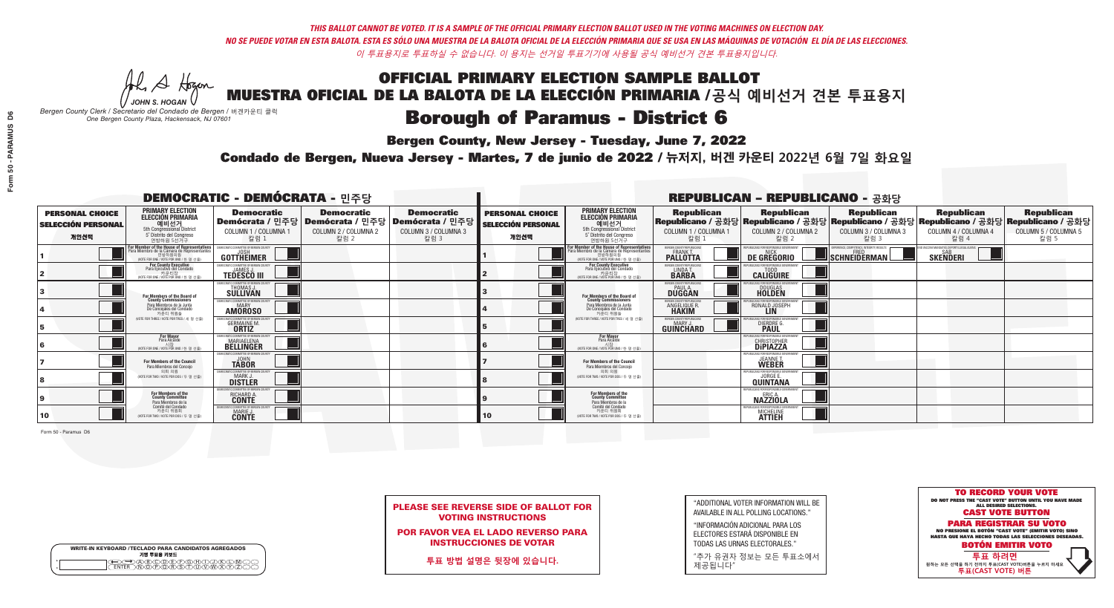A Hogan *JOHN S. HOGAN*

| <b>WRITE-IN KEYBOARD /TECLADO PARA CANDIDATOS AGREGADOS</b><br>기명 투표용 키보드 |
|---------------------------------------------------------------------------|
| (C)D)E)(F)(G)(H)(T)<br><u>እጅአል አን</u>                                     |

# **Borough of Paramus - District 6**

**Bergen County, New Jersey - Tuesday, June 7, 2022** 

*Bergen County Clerk / Secretario del Condado de Bergen /* 버겐카운티 클럭 *One Bergen County Plaza, Hackensack, NJ 07601*



PLEASE SEE REVERSE SIDE OF BALLOT FOR VOTING INSTRUCTIONS

POR FAVOR VEA EL LADO REVERSO PARA INSTRUCCIONES DE VOTAR

**투표 방법 설명은 뒷장에 있습니다.**

| "ADDITIONAL VOTER INFORMATION WILL BE |
|---------------------------------------|
| AVAILABLE IN ALL POLLING LOCATIONS."  |

"INFORMACIÓN ADICIONAL PARA LOS ELECTORES ESTARÁ DISPONIBLE EN TODAS LAS URNAS ELECTORALES."

"추가 유권자 정보는 모든 투표소에서 제공됩니다"

Condado de Bergen, Nueva Jersey - Martes, 7 de junio de 2022 / 뉴저지, 버겐 카운티 2022년 6월 7일 화요일 *One Bergen County Plaza, Hackensack, NJ 07601*

|                                                             |                                                                                                                                                       | <b>DEMOCRATIC - DEMÓCRATA - 민주당</b>                                                                    |                                                   |                                                   |                                                             |                                                                                                                                    |                                                               | <b>REPUBLICAN - REPUBLICANO - 공화당</b>                              |                                                                                                                                                |                                                                |                                                   |
|-------------------------------------------------------------|-------------------------------------------------------------------------------------------------------------------------------------------------------|--------------------------------------------------------------------------------------------------------|---------------------------------------------------|---------------------------------------------------|-------------------------------------------------------------|------------------------------------------------------------------------------------------------------------------------------------|---------------------------------------------------------------|--------------------------------------------------------------------|------------------------------------------------------------------------------------------------------------------------------------------------|----------------------------------------------------------------|---------------------------------------------------|
| <b>PERSONAL CHOICE</b><br><b>SELECCIÓN PERSONAL</b><br>개인선택 | <b>PRIMARY ELECTION</b><br><b>ELECCIÓN PRIMARIA</b><br>예비선거<br><sup>5th</sup> Congressional District<br>5° Distrito del Congreso<br>연방하원 5선거구         | <b>Democratic</b><br>│Demócrata / 민주당│Demócrata / 민주당│Demócrata / 민주당│<br>COLUMN 1 / COLUMNA 1<br>칼럼 1 | <b>Democratic</b><br>COLUMN 2 / COLUMNA 2<br>칼럼 2 | <b>Democratic</b><br>COLUMN 3 / COLUMNA 3<br>칼럼 3 | <b>PERSONAL CHOICE</b><br><b>SELECCIÓN PERSONAL</b><br>개인선택 | <b>PRIMARY ELECTION</b><br><b>ELECCIÓN PRIMARIA</b><br>예비선거<br>5th Congressional District<br>5° Distrito del Congreso<br>연방하원 5선거구 | <b>Republican</b><br>COLUMN 1 / COLUMNA 1<br>칼럼 :             | <b>Republican</b><br>COLUMN 2 / COLUMNA 2<br>칼럼 2                  | <b>Republican</b><br>Republicano / 공화당 Republicano / 공화당 Republicano / 공화당 Republicano / 공화당 Republicano / 공화당<br>COLUMN 3 / COLUMNA 3<br>칼럼 3 | <b>Republican</b><br>COLUMN 4 / COLUMNA 4<br>칼럼 4              | <b>Republican</b><br>COLUMN 5 / COLUMNA 5<br>칼럼 5 |
|                                                             | F <b>or Member of the House of Representatives</b><br>Para Miembro de la Cámara de Representantes<br>연방하원의원<br>(VOTE FOR ONE / VOTE POR UNO / 한 명 선출) | COMMITTEE OF BERGEN COUNTY<br>GOTTHEIMER                                                               |                                                   |                                                   |                                                             | For Member of the House of Representatives<br>Para Miembro de la Cámara de Representantes<br>WOTE FOR ONE / VOTE POR UNO / 한 명 선출  | BERGEN COUNTY REPUBLICANS<br><b>PALLOTTA</b>                  | DE GREGORIO                                                        | KPERIENCE, COMPETENCE, INTEGRITY, RESULTS<br>SCHNEIDERMAN                                                                                      | ND VACCINE MANDATES, DEPORT ILLEGAL ALIENS.<br><b>SKENDERI</b> |                                                   |
|                                                             | <b>For County Executive</b><br>Para Ejecutivo del Condado<br>(VOTE FOR ONE / VOTE POR UNO / 한 명 선출)                                                   | EMOCRATIC COMMITTEE OF BERGEN COUNTY<br><b>TEDESCO III</b>                                             |                                                   |                                                   |                                                             | <b>For County Executive</b><br>Para Ejecutivo del Condado<br>WOTE FOR ONE / VOTE POR UNO / 한 명 선출                                  | BERGEN COUNTY REPUBLICAN<br>LINDA T.                          | <b>CALIGUIRE</b>                                                   |                                                                                                                                                |                                                                |                                                   |
|                                                             | For Members of the Board of<br>County Commissioners                                                                                                   | THOMAS J.                                                                                              |                                                   |                                                   |                                                             | For Members of the Board of<br>County Commissioners                                                                                | BERGEN COUNTY REPUBLICAN<br><b>PAUL A.</b><br><b>DUGGAN</b>   | <b>DOUGLAS</b><br><b>HOLDEN</b>                                    |                                                                                                                                                |                                                                |                                                   |
|                                                             | Para Miembros de la Junta<br>De Concejales del Condado<br>카우티 위원들                                                                                     | <b><i>AOCRATIC COMMITTEE OF BERGEN COUNT</i></b><br><b>AMOROSO</b>                                     |                                                   |                                                   |                                                             | Para Miembros de la Junta<br>De Concejales del Condado<br>카우티 위원들                                                                  | ERGEN COUNTY REPUBLICAN<br><b>ANGELIQUE R</b><br><b>HAKIM</b> | RONALD JOSEPH<br><b>LIN</b>                                        |                                                                                                                                                |                                                                |                                                   |
|                                                             | NOTE FOR THREE / VOTE POR TRES / 세 명 선출)                                                                                                              | <b>GERMAINE M.</b>                                                                                     |                                                   |                                                   |                                                             | NOTE FOR THREE / VOTE POR TRES / 세 명 선출)                                                                                           | ERGEN COUNTY REPUBLICAN<br><b>GUINCHARD</b>                   | DIERDRE O                                                          |                                                                                                                                                |                                                                |                                                   |
|                                                             | For Mayor<br>Para Alcalde<br>시장<br>(VOTE FOR ONE / VOTE POR UNO / 한 명 선출)                                                                             | OCRATIC COMMITTEE OF BERGEN CO<br><b>MARIAELENA</b>                                                    |                                                   |                                                   |                                                             | <b>For Mayor</b><br>Para Alcalde<br>NOTE FOR ONE / VOTE POR UNO / 한 명 선출                                                           |                                                               | RI ICANS ENR RESPONSIRI E<br><b>CHRISTOPHER</b>                    |                                                                                                                                                |                                                                |                                                   |
|                                                             | For Members of the Council<br>Para Miembros del Conceio                                                                                               | EMOCRATIC COMMITTEE OF BERGEN COUNTY<br><b>TÄBOR</b>                                                   |                                                   |                                                   |                                                             | <b>For Members of the Council</b><br>Para Miembros del Concejo                                                                     |                                                               | PUBLICANS FOR RESPONSIBLE GOVI<br><b>JEANNE T.</b><br><b>WEBER</b> |                                                                                                                                                |                                                                |                                                   |
|                                                             | 의회 의원<br>(VOTE FOR TWO / VOTE POR DOS / 두 명 선출)                                                                                                       | RATIC COMMITTEE OF BERGEN COUNT<br><b>DISTLER</b>                                                      |                                                   |                                                   |                                                             | 의회 의원<br>WOTE FOR TWO / VOTE POR DOS / 두 명 선출)                                                                                     |                                                               | FPUBLICANS FOR RESPONSIBLE G<br><b>QUINTANA</b>                    |                                                                                                                                                |                                                                |                                                   |
|                                                             | For Members of the<br>County Committee<br>Para Miembros de la                                                                                         | IC COMMITTEE OF BERGEN COUI<br>RICHARD A.                                                              |                                                   |                                                   |                                                             | For Members of the<br>County Committee<br>Para Miembros de la<br>Comité del Condado                                                |                                                               | PUBLICANS FOR RESPONSIBLE GOVERNMEN<br>ERIC A.<br><b>NAZZIOLA</b>  |                                                                                                                                                |                                                                |                                                   |
| 10                                                          | Comité del Condado<br>카운티 위원회<br>(VOTE FOR TWO / VOTE POR DOS / 두 명 선출)                                                                               | MOCRATIC COMMITTEE OF BERGEN COUNTY<br>MARIE J.<br>CONTE                                               |                                                   |                                                   | 10                                                          | 카운티 위원회<br>(VOTE FOR TWO / VOTE POR DOS / 두 명 선출)                                                                                  |                                                               | PHRI ICANS ENR RESPONSIRI E GOVERNMEN<br><b>MICHELINE</b>          |                                                                                                                                                |                                                                |                                                   |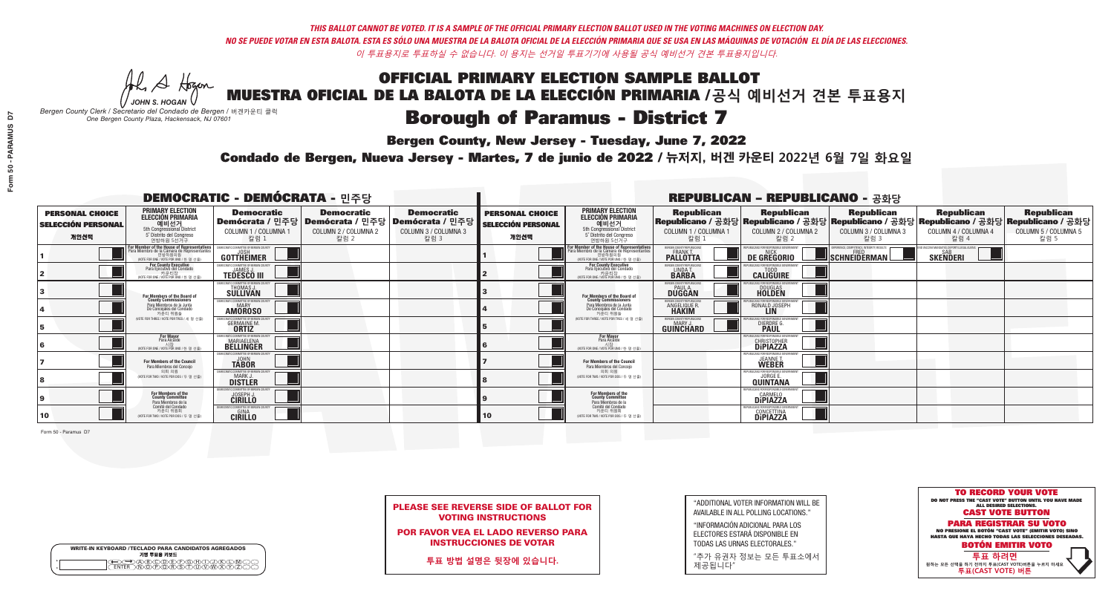A Hogan *JOHN S. HOGAN*

| <b>WRITE-IN KEYBOARD /TECLADO PARA CANDIDATOS AGREGADOS</b><br>기명 투표용 키보드 |  |
|---------------------------------------------------------------------------|--|
| @®©®®®®®™©®<br>™®®®®®®™™®®                                                |  |

# **Borough of Paramus - District 7**

**Bergen County, New Jersey - Tuesday, June 7, 2022** 

*Bergen County Clerk / Secretario del Condado de Bergen /* 버겐카운티 클럭 *One Bergen County Plaza, Hackensack, NJ 07601*



PLEASE SEE REVERSE SIDE OF BALLOT FOR VOTING INSTRUCTIONS

POR FAVOR VEA EL LADO REVERSO PARA INSTRUCCIONES DE VOTAR

**투표 방법 설명은 뒷장에 있습니다.**

| "ADDITIONAL VOTER INFORMATION WILL BE |
|---------------------------------------|
| AVAILABLE IN ALL POLLING LOCATIONS."  |

"INFORMACIÓN ADICIONAL PARA LOS ELECTORES ESTARÁ DISPONIBLE EN TODAS LAS URNAS ELECTORALES."

"추가 유권자 정보는 모든 투표소에서 제공됩니다"

Condado de Bergen, Nueva Jersey - Martes, 7 de junio de 2022 / 뉴저지, 버겐 카운티 2022년 6월 7일 화요일 *One Bergen County Plaza, Hackensack, NJ 07601*

|                                                             |                                                                                                                                                       | <b>DEMOCRATIC - DEMÓCRATA - 민주당</b>                                                                    |                                                   |                                                   |                                                             |                                                                                                                                    |                                                               | <b>REPUBLICAN - REPUBLICANO - 공화당</b>                                        |                                                                                                                                                |                                                                |                                                   |
|-------------------------------------------------------------|-------------------------------------------------------------------------------------------------------------------------------------------------------|--------------------------------------------------------------------------------------------------------|---------------------------------------------------|---------------------------------------------------|-------------------------------------------------------------|------------------------------------------------------------------------------------------------------------------------------------|---------------------------------------------------------------|------------------------------------------------------------------------------|------------------------------------------------------------------------------------------------------------------------------------------------|----------------------------------------------------------------|---------------------------------------------------|
| <b>PERSONAL CHOICE</b><br><b>SELECCIÓN PERSONAL</b><br>개인선택 | <b>PRIMARY ELECTION</b><br><b>ELECCIÓN PRIMARIA</b><br>예비선거<br><sup>5th</sup> Congressional District<br>5° Distrito del Congreso<br>연방하원 5선거구         | <b>Democratic</b><br>│Demócrata / 민주당│Demócrata / 민주당│Demócrata / 민주당│<br>COLUMN 1 / COLUMNA 1<br>칼럼 1 | <b>Democratic</b><br>COLUMN 2 / COLUMNA 2<br>칼럼 2 | <b>Democratic</b><br>COLUMN 3 / COLUMNA 3<br>칼럼 3 | <b>PERSONAL CHOICE</b><br><b>SELECCIÓN PERSONAL</b><br>개인선택 | <b>PRIMARY ELECTION</b><br><b>ELECCIÓN PRIMARIA</b><br>예비선거<br>5th Congressional District<br>5° Distrito del Congreso<br>연방하원 5선거구 | <b>Republican</b><br>COLUMN 1 / COLUMNA 1<br>칼럼 :             | <b>Republican</b><br>COLUMN 2 / COLUMNA 2<br>칼럼 2                            | <b>Republican</b><br>Republicano / 공화당 Republicano / 공화당 Republicano / 공화당 Republicano / 공화당 Republicano / 공화당<br>COLUMN 3 / COLUMNA 3<br>칼럼 3 | <b>Republican</b><br>COLUMN 4 / COLUMNA 4<br>칼럼 4              | <b>Republican</b><br>COLUMN 5 / COLUMNA 5<br>칼럼 5 |
|                                                             | F <b>or Member of the House of Representatives</b><br>Para Miembro de la Cámara de Representantes<br>연방하원의원<br>(VOTE FOR ONE / VOTE POR UNO / 한 명 선출) | COMMITTEE OF BERGEN COUNTY<br>GOTTHEIMER                                                               |                                                   |                                                   |                                                             | For Member of the House of Representatives<br>Para Miembro de la Cámara de Representantes<br>WOTE FOR ONE / VOTE POR UNO / 한 명 선출  | BERGEN COUNTY REPUBLICANS<br><b>PALLOTTA</b>                  | DE GREGORIO                                                                  | KPERIENCE, COMPETENCE, INTEGRITY, RESULTS<br>SCHNEIDERMAN                                                                                      | ND VACCINE MANDATES, DEPORT ILLEGAL ALIENS.<br><b>SKENDERI</b> |                                                   |
|                                                             | <b>For County Executive</b><br>Para Ejecutivo del Condado<br>(VOTE FOR ONE / VOTE POR UNO / 한 명 선출)                                                   | EMOCRATIC COMMITTEE OF BERGEN COUNTY<br><b>TEDESCO III</b>                                             |                                                   |                                                   |                                                             | <b>For County Executive</b><br>Para Ejecutivo del Condado<br>WOTE FOR ONE / VOTE POR UNO / 한 명 선출                                  | BERGEN COUNTY REPUBLICAN<br>LINDA T.                          | <b>CALIGUIRE</b>                                                             |                                                                                                                                                |                                                                |                                                   |
|                                                             | For Members of the Board of<br>County Commissioners                                                                                                   | THOMAS J.                                                                                              |                                                   |                                                   |                                                             | For Members of the Board of<br>County Commissioners                                                                                | BERGEN COUNTY REPUBLICAN<br><b>PAUL A.</b><br><b>DUGGAN</b>   | <b>DOUGLAS</b><br><b>HOLDEN</b>                                              |                                                                                                                                                |                                                                |                                                   |
|                                                             | Para Miembros de la Junta<br>De Concejales del Condado<br>카우티 위원들                                                                                     | <b><i>AOCRATIC COMMITTEE OF BERGEN COUNT</i></b><br><b>AMOROSO</b>                                     |                                                   |                                                   |                                                             | Para Miembros de la Junta<br>De Concejales del Condado<br>카우티 위원들                                                                  | ERGEN COUNTY REPUBLICAN<br><b>ANGELIQUE R</b><br><b>HAKIM</b> | RONALD JOSEPH<br><b>LIN</b>                                                  |                                                                                                                                                |                                                                |                                                   |
|                                                             | NOTE FOR THREE / VOTE POR TRES / 세 명 선출)                                                                                                              | <b>GERMAINE M.</b>                                                                                     |                                                   |                                                   |                                                             | NOTE FOR THREE / VOTE POR TRES / 세 명 선출)                                                                                           | ERGEN COUNTY REPUBLICAN<br><b>GUINCHARD</b>                   | DIERDRE O                                                                    |                                                                                                                                                |                                                                |                                                   |
|                                                             | For Mayor<br>Para Alcalde<br>시장<br>(VOTE FOR ONE / VOTE POR UNO / 한 명 선출)                                                                             | OCRATIC COMMITTEE OF BERGEN CO<br><b>MARIAELENA</b>                                                    |                                                   |                                                   |                                                             | <b>For Mayor</b><br>Para Alcalde<br>NOTE FOR ONE / VOTE POR UNO / 한 명 선출                                                           |                                                               | RI ICANS ENR RESPONSIRI E<br><b>CHRISTOPHER</b>                              |                                                                                                                                                |                                                                |                                                   |
|                                                             | For Members of the Council<br>Para Miembros del Conceio                                                                                               | EMOCRATIC COMMITTEE OF BERGEN COUNTY<br><b>TÄBOR</b>                                                   |                                                   |                                                   |                                                             | <b>For Members of the Council</b><br>Para Miembros del Concejo                                                                     |                                                               | PUBLICANS FOR RESPONSIBLE GOVI<br><b>JEANNE T.</b><br><b>WEBER</b>           |                                                                                                                                                |                                                                |                                                   |
|                                                             | 의회 의원<br>(VOTE FOR TWO / VOTE POR DOS / 두 명 선출)                                                                                                       | RATIC COMMITTEE OF BERGEN COUNT<br><b>DISTLER</b>                                                      |                                                   |                                                   |                                                             | 의회 의원<br>WOTE FOR TWO / VOTE POR DOS / 두 명 선출)                                                                                     |                                                               | FPUBLICANS FOR RESPONSIBLE G<br><b>QUINTANA</b>                              |                                                                                                                                                |                                                                |                                                   |
|                                                             | For Members of the<br>County Committee<br>Para Miembros de la                                                                                         | RATIC COMMITTEE OF BERGEN COUI<br><b>JOSEPH J.</b>                                                     |                                                   |                                                   |                                                             | For Members of the<br>County Committee<br>Para Miembros de la<br>Comité del Condado                                                |                                                               | PUBLICANS FOR RESPONSIBLE GOVERNMEN<br><b>DiPIAZZA</b>                       |                                                                                                                                                |                                                                |                                                   |
| 10                                                          | Comité del Condado<br>카운티 위원회<br>(VOTE FOR TWO / VOTE POR DOS / 두 명 선출)                                                                               | <b>EMOCRATIC COMMITTEE OF BERGEN COUNT</b><br><b>CIRILLO</b>                                           |                                                   |                                                   | 10                                                          | 카운티 위원회<br>(VOTE FOR TWO / VOTE POR DOS / 두 명 선출)                                                                                  |                                                               | URI ICANS ENR RESPONSIRI E GOVERNMEN<br><b>CONCETTINA</b><br><b>DIPIAZZA</b> |                                                                                                                                                |                                                                |                                                   |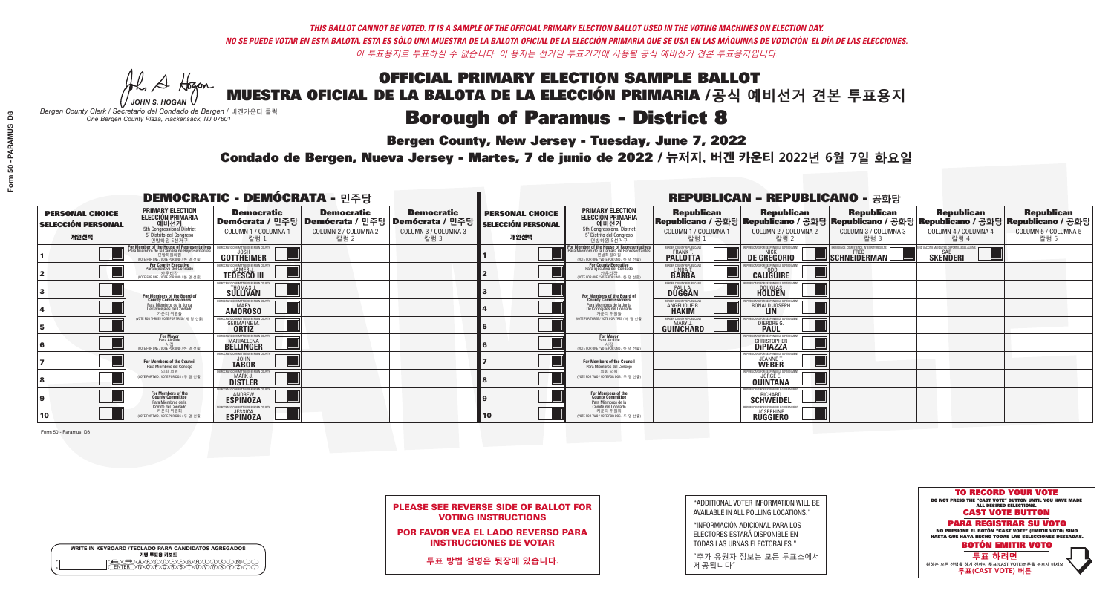A Hogan *JOHN S. HOGAN*

|   | <b>WRITE-IN KEYBOARD /TECLADO PARA CANDIDATOS AGREGADOS</b><br>기명 투표용 키보드 |
|---|---------------------------------------------------------------------------|
| o | <b>BODE/FIGHX</b>                                                         |
| o | <u> እቅነሽነጅነጅነች</u>                                                        |

### **Borough of Paramus - District 8**

**Bergen County, New Jersey - Tuesday, June 7, 2022** 

*Bergen County Clerk / Secretario del Condado de Bergen /* 버겐카운티 클럭 *One Bergen County Plaza, Hackensack, NJ 07601*



PLEASE SEE REVERSE SIDE OF BALLOT FOR VOTING INSTRUCTIONS

POR FAVOR VEA EL LADO REVERSO PARA INSTRUCCIONES DE VOTAR

**투표 방법 설명은 뒷장에 있습니다.**

| "ADDITIONAL VOTER INFORMATION WILL BE |
|---------------------------------------|
| AVAILABLE IN ALL POLLING LOCATIONS."  |

"INFORMACIÓN ADICIONAL PARA LOS ELECTORES ESTARÁ DISPONIBLE EN TODAS LAS URNAS ELECTORALES."

"추가 유권자 정보는 모든 투표소에서 제공됩니다"

Condado de Bergen, Nueva Jersey - Martes, 7 de junio de 2022 / 뉴저지, 버겐 카운티 2022년 6월 7일 화요일 *One Bergen County Plaza, Hackensack, NJ 07601*

| <b>DEMOCRATIC - DEMÓCRATA - 민주당</b>                         |                                                                                                                                               |                                                                          |                                                                                                            |                                                   |                                                             |                                                                                                                                                      |                                                               | <b>REPUBLICAN - REPUBLICANO - 공화당</b>                                |                                                                                                                                                 |                                                               |                                                   |
|-------------------------------------------------------------|-----------------------------------------------------------------------------------------------------------------------------------------------|--------------------------------------------------------------------------|------------------------------------------------------------------------------------------------------------|---------------------------------------------------|-------------------------------------------------------------|------------------------------------------------------------------------------------------------------------------------------------------------------|---------------------------------------------------------------|----------------------------------------------------------------------|-------------------------------------------------------------------------------------------------------------------------------------------------|---------------------------------------------------------------|---------------------------------------------------|
| <b>PERSONAL CHOICE</b><br><b>SELECCIÓN PERSONAL</b><br>개인선택 | <b>PRIMARY ELECTION</b><br><b>ELECCIÓN PRIMARIA</b><br>예비선거<br>5th Congressional District<br>5° Distrito del Congreso<br>연방하원 5선거구            | <b>Democratic</b><br>COLUMN 1 / COLUMNA 1<br>칼럼 :                        | <b>Democratic</b><br>Demócrata / 민주당   Demócrata / 민주당   Demócrata / 민주당  <br>COLUMN 2 / COLUMNA 2<br>칼럼 2 | <b>Democratic</b><br>COLUMN 3 / COLUMNA 3<br>칼럼 3 | <b>PERSONAL CHOICE</b><br><b>SELECCIÓN PERSONAL</b><br>개인선택 | <b>PRIMARY ELECTION</b><br>ELECCIÓN PRIMARIA<br>5th Congressional District<br>5° Distrito del Congreso<br>연방하원 5선거구                                  | <b>Republican</b><br>COLUMN 1 / COLUMNA 1<br>칼럼               | <b>Republican</b><br>COLUMN 2 / COLUMNA 2<br>칼럼 2                    | <b>Republican</b><br>│Republicano / 공화당│Republicano / 공화당│Republicano / 공화당│Republicano / 공화당│Republicano / 공화당<br>COLUMN 3 / COLUMNA 3<br>칼럼 3 | <b>Republican</b><br>COLUMN 4 / COLUMNA 4<br>칼럼 4             | <b>Republican</b><br>COLUMN 5 / COLUMNA 5<br>칼럼 5 |
|                                                             | For Member of the House of Representatives<br>Para Miembro de la Cámara de Representantes<br>연방하원의원<br>(VOTE FOR ONE / VOTE POR UNO / 한 명 선출) | COMMITTEE OF BERGEN COUNTY<br>GOTTHEIMER                                 |                                                                                                            |                                                   |                                                             | .<br>F <mark>or Member of the House of Representatives</mark><br>Para Miembro de la Cámara de Representantes<br>NOTE FOR ONE / VOTE POR UNO / 한 명 선출 | ERGEN COUNTY REPUBLICANS<br>FRANK T.<br><b>PALLOTTA</b>       | DE GREGORIO                                                          | EXPERIENCE, COMPETENCE, INTEGRITY, RESULTS<br>$\blacksquare$ SCHNEIDERMAN                                                                       | VACCINE MANDATES, DEPORT ILLEGAL ALIENS.  <br><b>SKENDERI</b> |                                                   |
|                                                             | For County Executive<br>Para Ejecutivo del Condado<br>(VOTE FOR ONE / VOTE POR UNO / 한 명 선출)                                                  | <b>TEDESCO III</b>                                                       |                                                                                                            |                                                   |                                                             | For County Executive<br>Para Ejecutivo del Condado<br>(VOTE FOR ONE / VOTE POR UNO / 한 명 선출                                                          | BERGEN COUNTY REPUBLICAN<br>LINDA T.                          | <b>CALIGUIRE</b>                                                     |                                                                                                                                                 |                                                               |                                                   |
|                                                             | For Members of the Board of<br>County Commissioners                                                                                           | MOCRATIC COMMITTEE OF BERGEN COUNT<br>THOMAS J.                          |                                                                                                            |                                                   |                                                             | For Members of the Board of<br>County Commissioners                                                                                                  | ERGEN COUNTY REPUBLICAN<br><b>PAUL A.</b><br><b>DUGGAN</b>    | DOUGLAS<br>HOLDEN                                                    |                                                                                                                                                 |                                                               |                                                   |
|                                                             | Para Miembros de la Junta<br>De Concejales del Condado<br>카우티 위원들                                                                             | <b>AMOROSO</b>                                                           |                                                                                                            |                                                   |                                                             | Para Miembros de la Junta<br>De Concejales del Condado<br>카우티 위워들                                                                                    | ERGEN COUNTY REPUBLICAN<br><b>ANGELIQUE F</b><br><b>HAKIM</b> | RONALD JOSEPH<br><b>LIN</b>                                          |                                                                                                                                                 |                                                               |                                                   |
|                                                             | (VOTE FOR THREE / VOTE POR TRES / 세 명 선출)                                                                                                     | <b>GERMAINE M.</b>                                                       |                                                                                                            |                                                   |                                                             | NOTE FOR THREE / VOTE POR TRES / 세 명 선출)                                                                                                             | ERGEN COUNTY REPUBLICAN<br><b>GUINCHARD</b>                   | DIERDRE (                                                            |                                                                                                                                                 |                                                               |                                                   |
|                                                             | For Mayor<br>Para Alcalde<br>시장<br>(VOTE FOR ONE / VOTE POR UNO / 한 명 선립                                                                      | <b>MARIAELENA</b>                                                        |                                                                                                            |                                                   |                                                             | <b>For Mayor</b><br>Para Alcalde<br>NOTE FOR ONE / VOTE POR UNO / 한 명 선출)                                                                            |                                                               | <b>CHRISTOPHER</b>                                                   |                                                                                                                                                 |                                                               |                                                   |
|                                                             | For Members of the Council<br>Para Miembros del Conceio                                                                                       | EMOCRATIC COMMITTEE OF BERGEN COUNTY<br><b>TÅBOR</b>                     |                                                                                                            |                                                   |                                                             | <b>For Members of the Council</b><br>Para Miembros del Concejo                                                                                       |                                                               | PUBLICANS FOR RESPONSIBLE G<br><b>JEANNE T.</b><br><b>WEBER</b>      |                                                                                                                                                 |                                                               |                                                   |
|                                                             | 의회 의원<br>(VOTE FOR TWO / VOTE POR DOS / 두 명 선출)                                                                                               | <b>ITIC COMMITTEE OF BERGEN COUNTY</b><br><b>DISTLER</b>                 |                                                                                                            |                                                   |                                                             | 의회 의워<br>(VOTE FOR TWO / VOTE POR DOS / 두 명 선출)                                                                                                      |                                                               | <b>FPUBLICANS FOR RESPONSIBLE G</b><br>JORGE E<br><b>QUINTANA</b>    |                                                                                                                                                 |                                                               |                                                   |
|                                                             | For Members of the<br>County Committee<br>Para Miembros de la                                                                                 | CRATIC COMMITTEE OF BERGEN CI<br><b>ESPINOZA</b>                         |                                                                                                            |                                                   |                                                             | For Members of the<br>County Committee<br>Para Miembros de la<br>Comité del Condado                                                                  |                                                               | PUBLICANS FOR RESPONSIBLE GOVERNMENT<br><b>SCHWEIDEL</b>             |                                                                                                                                                 |                                                               |                                                   |
| 10                                                          | Comité del Condado<br>카운티 위원회<br>(VOTE FOR TWO / VOTE POR DOS / 두 명 선출)                                                                       | MOCRATIC COMMITTEE OF RERGEN COLINI<br><b>JESSICA</b><br><b>ESPINOZA</b> |                                                                                                            |                                                   | 10                                                          | 카운티 위원회<br>(VOTE FOR TWO / VOTE POR DOS / 두 명 선출)                                                                                                    |                                                               | PUBLICANS FOR RESPONSIBLE GOVERNMENT<br><b>SOSEPHINE</b><br>RUGGIERO |                                                                                                                                                 |                                                               |                                                   |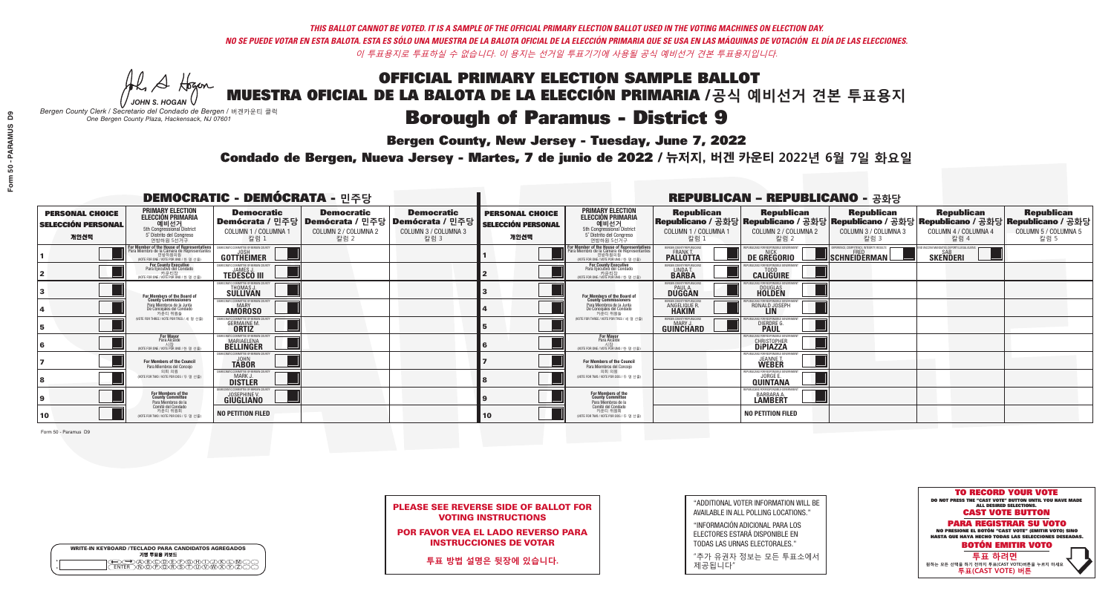A Hogen

| WRITE-IN KEYBOARD /TECLADO PARA CANDIDATOS AGREGADOS<br>기명 투표용 키보드 |  |
|--------------------------------------------------------------------|--|
|                                                                    |  |

# **Borough of Paramus - District 9**

**Bergen County, New Jersey - Tuesday, June 7, 2022** 

*JOHN S. HOGAN Bergen County Clerk / Secretario del Condado de Bergen /* 버겐카운티 클럭 *One Bergen County Plaza, Hackensack, NJ 07601*

Condado de Bergen, Nueva Jersey - Martes, 7 de junio de 2022 / 뉴저지, 버겐 카운티 2022년 6월 7일 화요일 *One Bergen County Plaza, Hackensack, NJ 07601*



PLEASE SEE REVERSE SIDE OF BALLOT FOR VOTING INSTRUCTIONS

POR FAVOR VEA EL LADO REVERSO PARA INSTRUCCIONES DE VOTAR

**투표 방법 설명은 뒷장에 있습니다.**

| "ADDITIONAL VOTER INFORMATION WILL BE |
|---------------------------------------|
| AVAILABLE IN ALL POLLING LOCATIONS."  |

"INFORMACIÓN ADICIONAL PARA LOS ELECTORES ESTARÁ DISPONIBLE EN TODAS LAS URNAS ELECTORALES."

"추가 유권자 정보는 모든 투표소에서 제공됩니다"

| <b>DEMOCRATIC - DEMÓCRATA - 민주당</b>                         |                                                                                                                                                      |                                                                                                        |                                                   |                                                   |                                                             |                                                                                                                                   |                                                             | <b>REPUBLICAN - REPUBLICANO - 공화당</b>                                                                                                          |                                                            |                                                                |                                                   |
|-------------------------------------------------------------|------------------------------------------------------------------------------------------------------------------------------------------------------|--------------------------------------------------------------------------------------------------------|---------------------------------------------------|---------------------------------------------------|-------------------------------------------------------------|-----------------------------------------------------------------------------------------------------------------------------------|-------------------------------------------------------------|------------------------------------------------------------------------------------------------------------------------------------------------|------------------------------------------------------------|----------------------------------------------------------------|---------------------------------------------------|
| <b>PERSONAL CHOICE</b><br><b>SELECCIÓN PERSONAL</b><br>개인선택 | <b>PRIMARY ELECTION</b><br><b>ELECCIÓN PRIMARIA</b><br>예비선거<br><sup>5th</sup> Congressional District<br>5° Distrito del Congreso<br>연방하원 5선거구        | <b>Democratic</b><br>│Demócrata / 민주당│Demócrata / 민주당│Demócrata / 민주당│<br>COLUMN 1 / COLUMNA 1<br>칼럼 1 | <b>Democratic</b><br>COLUMN 2 / COLUMNA 2<br>칼럼 2 | <b>Democratic</b><br>COLUMN 3 / COLUMNA 3<br>칼럼 3 | <b>PERSONAL CHOICE</b><br><b>SELECCIÓN PERSONAL</b><br>개인선택 | <b>PRIMARY ELECTION</b><br>ELECCIÓN PRIMARIA<br>5th Congressional District<br>5° Distrito del Congreso<br>연방하원 5선거구               | <b>Republican</b><br>COLUMN 1 / COLUMNA 1<br>칼럼 :           | <b>Republican</b><br>Republicano / 공화당 Republicano / 공화당 Republicano / 공화당 Republicano / 공화당 Republicano / 공화당<br>COLUMN 2 / COLUMNA 2<br>칼럼 2 | <b>Republican</b><br>COLUMN 3 / COLUMNA 3<br>칼럼 3          | <b>Republican</b><br>COLUMN 4 / COLUMNA 4<br>칼럼 4              | <b>Republican</b><br>COLUMN 5 / COLUMNA 5<br>칼럼 5 |
|                                                             | F <b>or Member of the House of Representatives</b><br>Para Miembro de la Cámara de Representantes<br>연방하원의원<br>(VOTE FOR ONE / VOTE POR UNO / 한 명 선출 | C COMMITTEE OF BERGEN COUNTY<br>GOTTHEIMER                                                             |                                                   |                                                   |                                                             | For Member of the House of Representatives<br>Para Miembro de la Cámara de Representantes<br>WOTE FOR ONE / VOTE POR UNO / 한 명 선출 | BERGEN COUNTY REPUBLICANS<br>FRANK T.<br><b>PALLOTTA</b>    | DE GREGORIO                                                                                                                                    | EXPERIENCE, COMPETENCE, INTEGRITY, RESULTS<br>SCHNEIDERMAN | ND VACCINE MANDATES, DEPORT ILLEGAL ALIENS.<br><b>SKENDERI</b> |                                                   |
|                                                             | For County Executive<br>Para Ejecutivo del Condado<br>NOTE FOR ONE / VOTE POR UNO / 한 명 선출)                                                          | <b>TEDESCO III</b>                                                                                     |                                                   |                                                   |                                                             | <b>For County Executive</b><br>Para Ejecutivo del Condado<br>WOTE FOR ONE / VOTE POR UNO / 한 명 선출                                 | BERGEN COUNTY REPUBLICAN<br>LINDA T.                        | <b>CALIGUIRE</b>                                                                                                                               |                                                            |                                                                |                                                   |
|                                                             | For Members of the Board of<br>County Commissioners                                                                                                  | <b>EMOCRATIC COMMITTEE OF BERGEN COUNT</b><br>THOMAS J.                                                |                                                   |                                                   |                                                             | For Members of the Board of<br>County Commissioners                                                                               | BERGEN COUNTY REPUBLICAN<br><b>PAUL A.</b><br><b>DUGGAN</b> | <b>DOUGLAS</b>                                                                                                                                 |                                                            |                                                                |                                                   |
|                                                             | Para Miembros de la Junta<br>De Concejales del Condado<br>카우티 위원들                                                                                    | MOCRATIC COMMITTEE OF BEBGEN COUNTY<br><b>AMOROSO</b>                                                  |                                                   |                                                   |                                                             | Para Miembros de la Junta<br>De Concejales del Condado<br>카우티 위원들                                                                 | ERGEN COUNTY REPUBLICAN<br>ANGELIQUE R.                     | RONALD JOSEPH<br><b>LIN</b>                                                                                                                    |                                                            |                                                                |                                                   |
|                                                             | NOTE FOR THREE / VOTE POR TRES / 세 명 선출)                                                                                                             | RATIC COMMITTEE OF RERGEN CI<br><b>GERMAINE M.</b>                                                     |                                                   |                                                   |                                                             | NOTE FOR THREE / VOTE POR TRES / 세 명 선출)                                                                                          | ERGEN COUNTY REPUBLICAN<br>MARY J<br>GUIÑCHARD              | DIERDRE G                                                                                                                                      |                                                            |                                                                |                                                   |
|                                                             | <b>For Mayor</b><br>Para Alcalde<br>시장<br>(VOTE FOR ONE / VOTE POR UNO / 한 명 선출)                                                                     | IOCRATIC COMMITTEE OF BERGEN COUN<br><b>MARIAELENA</b>                                                 |                                                   |                                                   |                                                             | <b>For Mayor</b><br>Para Alcalde<br>시장<br>(VOTE FOR ONE / VOTE POR UNO / 한 명 선출                                                   |                                                             | <b>CHRISTOPHER</b>                                                                                                                             |                                                            |                                                                |                                                   |
|                                                             | For Members of the Council<br>Para Miembros del Conceio                                                                                              | MOCRATIC COMMITTEE OF BERGEN COUNTY<br><b>TABOR</b>                                                    |                                                   |                                                   |                                                             | For Members of the Council<br>Para Miembros del Conceio                                                                           |                                                             | <b>JEANNE T.</b><br><b>WEBER</b>                                                                                                               |                                                            |                                                                |                                                   |
|                                                             | 의회 의원<br>(VOTE FOR TWO / VOTE POR DOS / 두 명 선출)                                                                                                      | CRATIC COMMITTEE OF BEBGEN COUNT<br><b>DISTLER</b>                                                     |                                                   |                                                   |                                                             | 이히 이워<br>NOTE FOR TWO / VOTE POR DOS / 두 명 선출)                                                                                    |                                                             | PUBLICANS FOR RESPONSIBLE (<br><b>QUINTANA</b>                                                                                                 |                                                            |                                                                |                                                   |
|                                                             | For Members of the<br>County Committee<br>Para Miembros de la                                                                                        | MOCRATIC COMMITTEE OF BERGEN COUNT<br><b>JOSEPHINE V.</b><br>GIUGLIANO                                 |                                                   |                                                   |                                                             | For Members of the<br>County Committee<br>Para Miembros de la                                                                     |                                                             | PUBLICANS FOR RESPONSIBLE G<br>BARBARA A.                                                                                                      |                                                            |                                                                |                                                   |
| 10                                                          | Comité del Condado<br>카운티 위원회<br>(VOTE FOR TWO / VOTE POR DOS / 두 명 선출)                                                                              | <b>NO PETITION FILED</b>                                                                               |                                                   |                                                   | 10 <sub>1</sub>                                             | Comité del Condado<br>카운티 위원회<br>(VOTE FOR TWO / VOTE POR DOS / 두 명 선출)                                                           |                                                             | <b>NO PETITION FILED</b>                                                                                                                       |                                                            |                                                                |                                                   |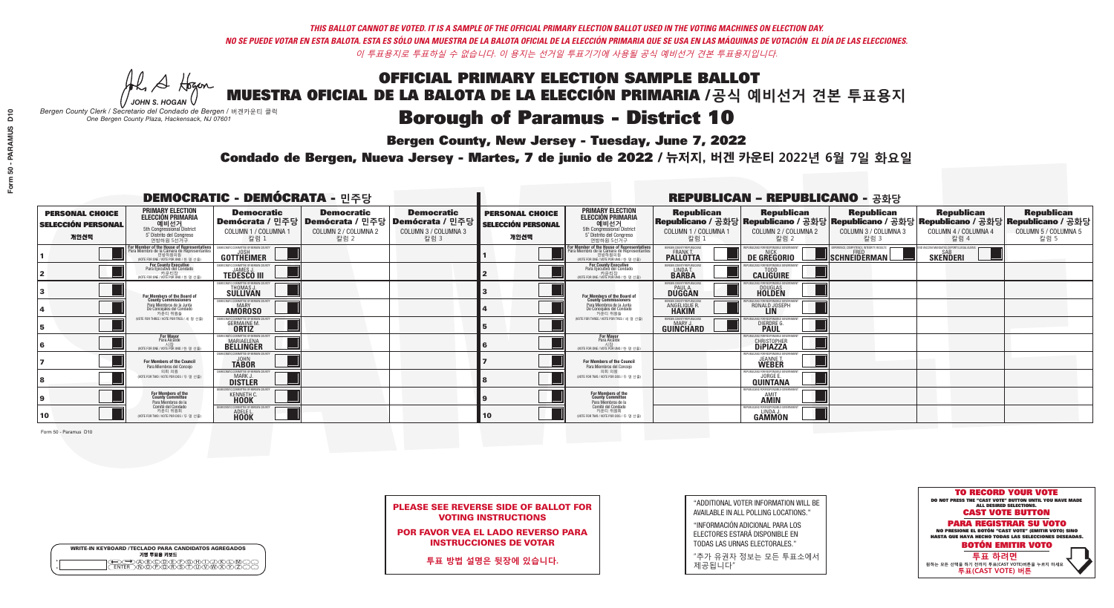### **Bergen County, New Jersey - Tuesday, June 7, 2022**

A Hogan *JOHN S. HOGAN*

| <b>WRITE-IN KEYBOARD /TECLADO PARA CANDIDATOS AGREGADOS</b><br>기명 투표용 키보드 |  |
|---------------------------------------------------------------------------|--|
|                                                                           |  |

*Bergen County Clerk / Secretario del Condado de Bergen /* 버겐카운티 클럭 *One Bergen County Plaza, Hackensack, NJ 07601*



PLEASE SEE REVERSE SIDE OF BALLOT FOR VOTING INSTRUCTIONS

POR FAVOR VEA EL LADO REVERSO PARA INSTRUCCIONES DE VOTAR

**투표 방법 설명은 뒷장에 있습니다.**

| "ADDITIONAL VOTER INFORMATION WILL BE |
|---------------------------------------|
| AVAILABLE IN ALL POLLING LOCATIONS."  |

"INFORMACIÓN ADICIONAL PARA LOS ELECTORES ESTARÁ DISPONIBLE EN TODAS LAS URNAS ELECTORALES."

"추가 유권자 정보는 모든 투표소에서 제공됩니다"

### Condado de Bergen, Nueva Jersey - Martes, 7 de junio de 2022 / 뉴저지, 버겐 카운티 2022년 6월 7일 화요일 *One Bergen County Plaza, Hackensack, NJ 07601*

| <b>DEMOCRATIC - DEMÓCRATA - 민주당</b>                         |                                                                                                                                                       |                                                                          |                                                   |                                                                                           |                                                             |                                                                                                                                           |                                                               | <b>REPUBLICAN - REPUBLICANO - 공화당</b>              |                                                                                                                                                 |                                                                 |                                                   |
|-------------------------------------------------------------|-------------------------------------------------------------------------------------------------------------------------------------------------------|--------------------------------------------------------------------------|---------------------------------------------------|-------------------------------------------------------------------------------------------|-------------------------------------------------------------|-------------------------------------------------------------------------------------------------------------------------------------------|---------------------------------------------------------------|----------------------------------------------------|-------------------------------------------------------------------------------------------------------------------------------------------------|-----------------------------------------------------------------|---------------------------------------------------|
| <b>PERSONAL CHOICE</b><br><b>SELECCIÓN PERSONAL</b><br>개인선택 | <b>PRIMARY ELECTION</b><br><b>ELECCIÓN PRIMARIA</b><br>예비선거<br><sup>5th</sup> Congressional District<br>5° Distrito del Congreso<br>연방하원 5선거구         | <b>Democratic</b><br>Demócrata / 민주당<br>COLUMN 1 / COLUMNA 1<br>칼럼 1     | <b>Democratic</b><br>COLUMN 2 / COLUMNA 2<br>칼럼 2 | <b>Democratic</b><br> Demócrata / 민주당   Demócrata / 민주당  <br>COLUMN 3 / COLUMNA 3<br>칼럼 3 | <b>PERSONAL CHOICE</b><br><b>SELECCIÓN PERSONAL</b><br>개인선택 | <b>PRIMARY ELECTION</b><br>ELECCIÓN PRIMARIA<br>5th Congressional District<br>5° Distrito del Congreso<br>연방하원 5선거구                       | <b>Republican</b><br>COLUMN 1 / COLUMNA 1<br>칼럼               | <b>Republican</b><br>COLUMN 2 / COLUMNA 2<br>칼럼 2  | <b>Republican</b><br>│Republicano / 공화당│Republicano / 공화당│Republicano / 공화당│Republicano / 공화당│Republicano / 공화당<br>COLUMN 3 / COLUMNA 3<br>칼럼 3 | <b>Republican</b><br>COLUMN 4 / COLUMNA 4<br>칼럼 4               | <b>Republican</b><br>COLUMN 5 / COLUMNA 5<br>칼럼 5 |
|                                                             | <b>For Member of the House of Representatives<br/>Para Miembro de la Cámara de Representantes</b><br>연방하원의원<br>(VOTE FOR ONE / VOTE POR UNO / 한 명 선출) | COMMITTEE OF BERGEN COUNTY<br>GOTTHEIMER                                 |                                                   |                                                                                           |                                                             | <b>For Member of the House of Representatives<br/>Para Miembro de la Cámara de Representantes</b><br>NOTE FOR ONE / VOTE POR UNO / 한 명 선출 | ERGEN COUNTY REPUBLICANS<br>FRANK T.<br><b>PALLOTTA</b>       | DE GREGORIO                                        | XPERIENCE, COMPETENCE, INTEGRITY, RESULTS<br>$\blacksquare$ SCHNEIDERMAN                                                                        | D VACCINE MANDATES, DEPORT ILLEGAL ALIENS. [<br><b>SKENDERI</b> |                                                   |
|                                                             | <b>For County Executive</b><br>Para Ejecutivo del Condado<br>NOTE FOR ONE / VOTE POR UNO / 한 명 선출!                                                    | EMOCRATIC COMMITTEE OF BERGEN COUNTY<br><b>TEDESCO III</b>               |                                                   |                                                                                           |                                                             | For County Executive<br>Para Ejecutivo del Condado<br>가운티장<br>(VOTE FOR ONE / VOTE POR UNO / 한 명 선출                                       | BERGEN COUNTY REPUBLICAN<br>LINDA T.                          | <b>CALIGUIRE</b>                                   |                                                                                                                                                 |                                                                 |                                                   |
|                                                             | For Members of the Board of<br>County Commissioners                                                                                                   | MOCRATIC COMMITTEE OF BERGEN CO<br>THOMAS J.                             |                                                   |                                                                                           |                                                             | For Members of the Board of<br>County Commissioners                                                                                       | ERGEN COUNTY REPUBLICAN<br><b>PAUL A.</b><br><b>DUGGAN</b>    | <b>DOUGLAS</b><br><b>HOLDEN</b>                    |                                                                                                                                                 |                                                                 |                                                   |
|                                                             | Para Miembros de la Junta<br>De Concejales del Condado<br>카우티 위원들                                                                                     | MOCRATIC COMMITTEE OF BERGEN COUNT<br><b>AMOROSO</b>                     |                                                   |                                                                                           |                                                             | Para Miembros de la Junta<br>De Concejales del Condado<br>카운티 위원들                                                                         | ERGEN COUNTY REPUBLICAN<br><b>ANGELIQUE F</b><br><b>HAKIM</b> | RONALD JOSEPH<br><b>LIN</b>                        |                                                                                                                                                 |                                                                 |                                                   |
|                                                             | NOTE FOR THREE / VOTE POR TRES / 세 명 선출)                                                                                                              | <b>GERMAINE M.</b>                                                       |                                                   |                                                                                           |                                                             | (VOTE FOR THREE / VOTE POR TRES / 세 명 선출)                                                                                                 | <b>ERGEN COUNTY REPUBLICANS</b><br>GUINCHARD                  | BLICANS FOR RESPONSIBLE (<br>DIERDRE G             |                                                                                                                                                 |                                                                 |                                                   |
|                                                             | <b>For Mayor</b><br>Para Alcalde<br>NOTE FOR ONE / VOTE POR UNO / 하 명 소                                                                               | FMOCRATIC COMMITTEE OF RERGEN O<br><b>MARIAELENA</b>                     |                                                   |                                                                                           |                                                             | For Mayor<br>Para Alcalde<br>(VOTE FOR ONE / VOTE POR UNO / 한 명 선출                                                                        |                                                               | PHRHICANS ENR RESPONSIBLE (<br><b>CHRISTOPHER</b>  |                                                                                                                                                 |                                                                 |                                                   |
|                                                             | <b>For Members of the Council</b><br>Para Miembros del Conceio                                                                                        | MOCRATIC COMMITTEE OF BERGEN COUNT<br><b>TÅBOR</b>                       |                                                   |                                                                                           |                                                             | <b>For Members of the Council</b><br>Para Miembros del Conceio                                                                            |                                                               | <b>JEANNE T.</b><br><b>WEBER</b>                   |                                                                                                                                                 |                                                                 |                                                   |
|                                                             | 의회 의원<br>(VOTE FOR TWO / VOTE POR DOS / 두 명 선출)                                                                                                       | MOCRATIC COMMITTEE OF BERGEN COUNT<br>MARK J.<br><b>DISTLER</b>          |                                                   |                                                                                           |                                                             | 의회 의원<br>NOTE FOR TWO / VOTE POR DOS / 두 명 선출)                                                                                            |                                                               | EPUBLICANS FOR RESPONSIBLE G<br><b>QUINTANA</b>    |                                                                                                                                                 |                                                                 |                                                   |
|                                                             | For Members of the<br>County Committee<br>Para Miembros de la                                                                                         | OCRATIC COMMITTEE OF BERGEN COUNT<br><b>KENNETH C.</b>                   |                                                   |                                                                                           |                                                             | For Members of the<br>County Committee<br>Para Miembros de la<br>Comité del Condado                                                       |                                                               | PUBLICANS FOR RESPONSIBLE GOVERNMEN<br><b>AMIN</b> |                                                                                                                                                 |                                                                 |                                                   |
| 10                                                          | Comité del Condado<br>카운티 위원회<br>(VOTE FOR TWO / VOTE POR DOS / 두 명 선출)                                                                               | <b>RATIC COMMITTEE OF BERGEN COUNTY</b><br><b>ADELE L</b><br><b>HOOK</b> |                                                   |                                                                                           | 10                                                          | 카운티 위원회<br>(VOTE FOR TWO / VOTE POR DOS / 두 명 선출)                                                                                         |                                                               | PUBLICANS FOR RESPONSIBLE GOVERNMENT<br>GAMMON     |                                                                                                                                                 |                                                                 |                                                   |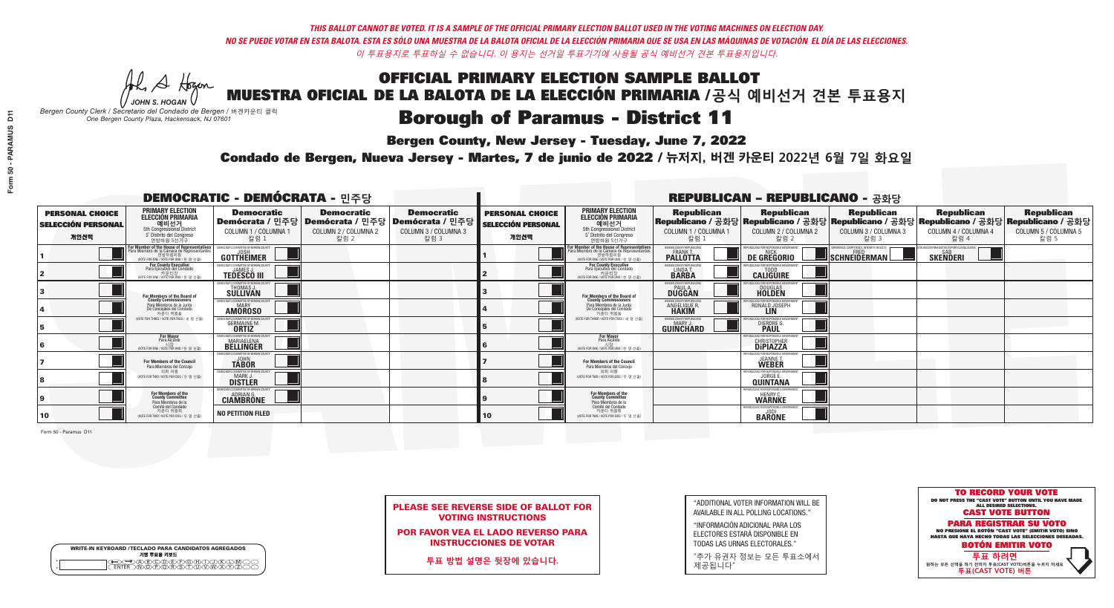### **Bergen County, New Jersey - Tuesday, June 7, 2022**

A Hogan *JOHN S. HOGAN*

| <b>WRITE-IN KEYBOARD /TECLADO PARA CANDIDATOS AGREGADOS</b><br>기명 투표용 키보드 |  |
|---------------------------------------------------------------------------|--|
| @@@@@@@@@QQ<br>\M@@@@&\$\DQ\W\X<br><b>FNTFR</b>                           |  |

| <b>PLEASE SEE REVERSE SIDE OF BALLOT FOR</b> |
|----------------------------------------------|
| <b>VOTING INSTRUCTIONS</b>                   |
|                                              |

*Bergen County Clerk / Secretario del Condado de Bergen /* 버겐카운티 클럭 *One Bergen County Plaza, Hackensack, NJ 07601*

### Condado de Bergen, Nueva Jersey - Martes, 7 de junio de 2022 / 뉴저지, 버겐 카운티 2022년 6월 7일 화요일 *One Bergen County Plaza, Hackensack, NJ 07601*



POR FAVOR VEA EL LADO REVERSO PARA INSTRUCCIONES DE VOTAR

**투표 방법 설명은 뒷장에 있습니다.**

| "ADDITIONAL VOTER INFORMATION WILL BE |
|---------------------------------------|
| AVAILABLE IN ALL POLLING LOCATIONS."  |

"INFORMACIÓN ADICIONAL PARA LOS ELECTORES ESTARÁ DISPONIBLE EN TODAS LAS URNAS ELECTORALES."

"추가 유권자 정보는 모든 투표소에서 제공됩니다"

|                                                             |                                                                                                                                               | <b>DEMOCRATIC - DEMÓCRATA - 민주당</b>                                    |                                                                                        |                                                                      |                                                             |                                                                                                                                            |                                                            | <b>REPUBLICAN - REPUBLICANO - 공화당</b>                             |                                                                                                                                                |                                                   |                                                   |
|-------------------------------------------------------------|-----------------------------------------------------------------------------------------------------------------------------------------------|------------------------------------------------------------------------|----------------------------------------------------------------------------------------|----------------------------------------------------------------------|-------------------------------------------------------------|--------------------------------------------------------------------------------------------------------------------------------------------|------------------------------------------------------------|-------------------------------------------------------------------|------------------------------------------------------------------------------------------------------------------------------------------------|---------------------------------------------------|---------------------------------------------------|
| <b>PERSONAL CHOICE</b><br><b>SELECCIÓN PERSONAL</b><br>개인선택 | <b>PRIMARY ELECTION</b><br><b>ELECCIÓN PRIMARIA</b><br>예비선거<br><sup>5th</sup> Congressional District<br>5° Distrito del Congreso<br>연방하원 5선거구 | <b>Democratic</b><br>COLUMN 1 / COLUMNA 1<br>칼럼 1                      | <b>Democratic</b><br>│Demócrata / 민주당│Demócrata / 민주당│<br>COLUMN 2 / COLUMNA 2<br>칼럼 2 | <b>Democratic</b><br>Demócrata / 민주당<br>COLUMN 3 / COLUMNA 3<br>칼럼 3 | <b>PERSONAL CHOICE</b><br><b>SELECCIÓN PERSONAL</b><br>개인선택 | <b>PRIMARY ELECTION</b><br>ELECCIÓN PRIMARIA<br>5th Congressional District<br>5° Distrito del Congreso<br>연방하원 5선거구                        | <b>Republican</b><br>COLUMN 1 / COLUMNA 1<br>칼럼            | <b>Republican</b><br>COLUMN 2 / COLUMNA 2<br>칼럼 2                 | <b>Republican</b><br>Republicano / 공화당 Republicano / 공화당 Republicano / 공화당 Republicano / 공화당 Republicano / 공화당<br>COLUMN 3 / COLUMNA 3<br>칼럼 3 | <b>Republican</b><br>COLUMN 4 / COLUMNA 4<br>칼럼 4 | <b>Republican</b><br>COLUMN 5 / COLUMNA 5<br>칼럼 5 |
|                                                             | For Member of the House of Representatives<br>Para Miembro de la Cámara de Representantes<br>연방하원의원<br>(VOTE FOR ONE / VOTE POR UNO / 한 명 선출) | GOTTHEIMER                                                             |                                                                                        |                                                                      |                                                             | For Member of the House of Representative<br>Para Miembro de la Cámara de Representante<br>연방하원의원<br>(VOTE FOR ONE / VOTE POR UNO / 한 명 선출 | ERGEN COUNTY REPUBLICANS<br><b>PALLOTTA</b>                | DE GREGORIO                                                       | PERIENCE, COMPETENCE, INTEGRITY, RESULTS<br>SCHNEIDERMAN                                                                                       | <b>SKENDERI</b>                                   |                                                   |
|                                                             | <b>For County Executive</b><br>Para Ejecutivo del Condado<br>WOTE FOR ONE / VOTE POR UNO / 한 명 선출)                                            | JEMOCRATIC COMMITTEE OF BERGEN COUNT<br><b>TEDESCO III</b>             |                                                                                        |                                                                      |                                                             | For County Executive<br>Para Ejecutivo del Condado<br>기운티상<br>(VOTE FOR ONE / VOTE POR UNO / 한 명 선출)                                       | BERGEN COUNTY REPUBLICAN<br>LINDA T.                       | <b>CALIGUIRE</b>                                                  |                                                                                                                                                |                                                   |                                                   |
|                                                             | For Members of the Board of<br>County Commissioners                                                                                           | EMOCRATIC COMMITTEE OF BERGEN (<br><b>THOMAS J.</b><br><b>SULLIVAN</b> |                                                                                        |                                                                      |                                                             | For Members of the Board of<br>County Commissioners                                                                                        | ERGEN COUNTY REPUBLICAN<br><b>PAUL A.</b><br><b>DUGGAN</b> | <b>DOUGLAS</b>                                                    |                                                                                                                                                |                                                   |                                                   |
|                                                             | Para Miembros de la Junta<br>De Concejales del Condado<br>카우티 위원들                                                                             | MOCRATIC COMMITTEE OF BERGEN CO<br><b>AMOROSO</b>                      |                                                                                        |                                                                      |                                                             | Para Miembros de la Junta<br>De Concejales del Condado<br>카운티 위원들                                                                          | ERGEN COUNTY REPUBLICAN<br>ANGELIQUE R                     | RONALD JOSEPH                                                     |                                                                                                                                                |                                                   |                                                   |
|                                                             | NOTE FOR THREE / VOTE POR TRES / 세 명 선출)                                                                                                      | ATIC COMMITTEE OF RERGEN (<br><b>GERMAINE M.</b>                       |                                                                                        |                                                                      |                                                             | (VOTE FOR THREE / VOTE POR TRES / 세 명 선출)                                                                                                  | <b>'ERGEN COUNTY REPUBLICANS</b><br>GUINCHARD              | BLICANS FOR RESPONSIBLE G<br>DIERDRE G                            |                                                                                                                                                |                                                   |                                                   |
|                                                             | <b>For Mayor</b><br>Para Alcalde<br>NOTE FOR ONE / VOTE POR UNO / 한 명 선출                                                                      | MOCRATIC COMMITTEE OF BERGEN (<br><b>MARIAELENA</b>                    |                                                                                        |                                                                      |                                                             | For Mayor<br>Para Alcalde<br>(VOTE FOR ONE / VOTE POR UNO / 한 명 선출)                                                                        |                                                            | PHRHICANS ENR RESPONSIBLE (<br><b>CHRISTOPHER</b>                 |                                                                                                                                                |                                                   |                                                   |
|                                                             | For Members of the Council<br>Para Miembros del Conceio                                                                                       | MOCRATIC COMMITTEE OF BERGEN COUNT<br><b>TABOR</b>                     |                                                                                        |                                                                      |                                                             | <b>For Members of the Council</b><br>Para Miembros del Conceio                                                                             |                                                            | PUBLICANS FOR RESPONSIBLE G<br><b>JEANNE T.</b><br><b>WEBER</b>   |                                                                                                                                                |                                                   |                                                   |
|                                                             | 의회 의원<br>(VOTE FOR TWO / VOTE POR DOS / 두 명 선출)                                                                                               | <b>IOCRATIC COMMITTEE OF BERGEN COUNT</b><br><b>DISTLER</b>            |                                                                                        |                                                                      |                                                             | 의회 의원<br>NOTE FOR TWO / VOTE POR DOS / 두 명 선출)                                                                                             |                                                            | PUBLICANS FOR RESPONSIBLE GO<br><b>QUINTANA</b>                   |                                                                                                                                                |                                                   |                                                   |
|                                                             | For Members of the<br>County Committee<br>Para Miembros de la<br>Comité del Condado                                                           | IOCRATIC COMMITTEE OF BEBGEN COUNTY<br><b>CIAMBRONE</b>                |                                                                                        |                                                                      |                                                             | For Members of the<br>County Committee<br>Para Miembros de la<br>Comité del Condado                                                        |                                                            | PUBLICANS FOR RESPONSIBLE GOV<br><b>HENRY C.</b><br><b>WARNKE</b> |                                                                                                                                                |                                                   |                                                   |
| 10                                                          | 카운티 위원회<br>(VOTE FOR TWO / VOTE POR DOS / 두 명 선출)                                                                                             | NO PETITION FILED                                                      |                                                                                        |                                                                      | 10                                                          | 카운티 위원회<br>(VOTE FOR TWO / VOTE POR DOS / 두 명 선출)                                                                                          |                                                            | PLIRI ICANS FOR RESPONSIRI E GOVERNMEN<br><b>BARONE</b>           |                                                                                                                                                |                                                   |                                                   |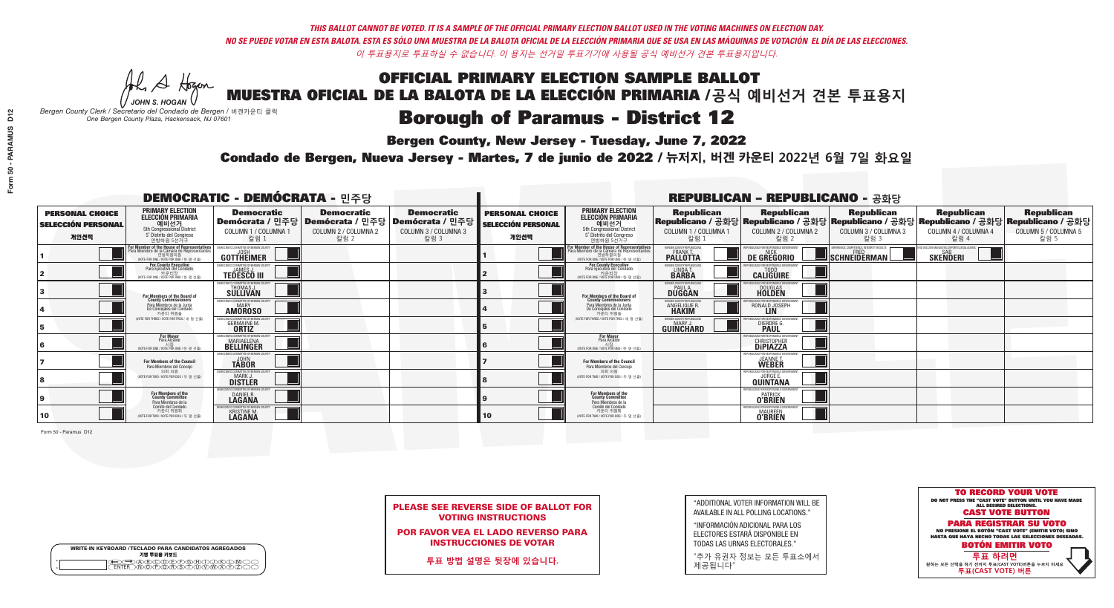**Bergen County, New Jersey - Tuesday, June 7, 2022** 

A Hogan *JOHN S. HOGAN*

| <b>WRITE-IN KEYBOARD /TECLADO PARA CANDIDATOS AGREGADOS</b><br>기명 투표용 키보드 |  |
|---------------------------------------------------------------------------|--|
| )®©®©©©®©<br>`©®®®®©™™                                                    |  |

*Bergen County Clerk / Secretario del Condado de Bergen /* 버겐카운티 클럭 *One Bergen County Plaza, Hackensack, NJ 07601*



PLEASE SEE REVERSE SIDE OF BALLOT FOR VOTING INSTRUCTIONS

POR FAVOR VEA EL LADO REVERSO PARA INSTRUCCIONES DE VOTAR

**투표 방법 설명은 뒷장에 있습니다.**

| "ADDITIONAL VOTER INFORMATION WILL BE |
|---------------------------------------|
| AVAILABLE IN ALL POLLING LOCATIONS."  |

"INFORMACIÓN ADICIONAL PARA LOS ELECTORES ESTARÁ DISPONIBLE EN TODAS LAS URNAS ELECTORALES."

"추가 유권자 정보는 모든 투표소에서 제공됩니다"

Condado de Bergen, Nueva Jersey - Martes, 7 de junio de 2022 / 뉴저지, 버겐 카운티 2022년 6월 7일 화요일 *One Bergen County Plaza, Hackensack, NJ 07601*

| <b>DEMOCRATIC - DEMÓCRATA - 민주당</b>                         |                                                                                                                                               |                                                                          |                                                   |                                                                                                        | <b>REPUBLICAN - REPUBLICANO - 공화당</b>                       |                                                                                                                                           |                                                           |                                                                                                                                                 |                                                   |                                                   |                                                   |
|-------------------------------------------------------------|-----------------------------------------------------------------------------------------------------------------------------------------------|--------------------------------------------------------------------------|---------------------------------------------------|--------------------------------------------------------------------------------------------------------|-------------------------------------------------------------|-------------------------------------------------------------------------------------------------------------------------------------------|-----------------------------------------------------------|-------------------------------------------------------------------------------------------------------------------------------------------------|---------------------------------------------------|---------------------------------------------------|---------------------------------------------------|
| <b>PERSONAL CHOICE</b><br><b>SELECCIÓN PERSONAL</b><br>개인선택 | <b>PRIMARY ELECTION</b><br>ELECCIÓN PRIMARIA<br>예비선거<br><sub>5th Congressional District</sub><br>5° Distrito del Congreso<br>연방하원 5선거구        | <b>Democratic</b><br>COLUMN 1 / COLUMNA 1<br>칼럼 1                        | <b>Democratic</b><br>COLUMN 2 / COLUMNA 2<br>칼럼 2 | <b>Democratic</b><br>│Demócrata / 민주당│Demócrata / 민주당│Demócrata / 민주당│<br>COLUMN 3 / COLUMNA 3<br>칼럼 3 | <b>PERSONAL CHOICE</b><br><b>SELECCIÓN PERSONAL</b><br>개인선택 | <b>PRIMARY ELECTION</b><br>ELECCIÓN PRIMARIA<br>예비선거<br>5th Congressional District<br>5° Distrito del Congreso<br>연방하워 5선거구               | <b>Republican</b><br>COLUMN 1 / COLUMNA 1<br>칼럼 :         | <b>Republican</b><br>│Republicano / 공화당│Republicano / 공화당│Republicano / 공화당│Republicano / 공화당│Republicano / 공화당<br>COLUMN 2 / COLUMNA 2<br>칼럼 2 | <b>Republican</b><br>COLUMN 3 / COLUMNA 3<br>칼럼 3 | <b>Republican</b><br>COLUMN 4 / COLUMNA 4<br>칼럼 4 | <b>Republican</b><br>COLUMN 5 / COLUMNA 5<br>칼럼 5 |
|                                                             | For Member of the House of Representatives<br>Para Miembro de la Cámara de Representantes<br>연방하원의원<br>(VOTE FOR ONE / VOTE POR UNO / 한 명 선출) | GOTTHEIMER                                                               |                                                   |                                                                                                        |                                                             | <b>For Member of the House of Representatives<br/>Para Miembro de la Cámara de Representantes</b><br>WOTE FOR ONE / VOTE POR UNO / 한 명 선출 | ERGEN COUNTY REPUBLICANS<br><b>PALLOTTA</b>               | DE GREGORIO                                                                                                                                     | SCHNEIDERMAN                                      | <b>SKENDERI</b>                                   |                                                   |
|                                                             | <b>For County Executive</b><br>Para Ejecutivo del Condado<br>7 카운티장<br>(VOTE FOR ONE / VOTE POR UNO / 한 명 선출)                                 | JEMOCRATIC COMMITTEE OF BEBGEN COUNTY<br><b>TEDESCO III</b>              |                                                   |                                                                                                        |                                                             | For County Executive<br>Para Ejecutivo del Condado<br>7 카운티장<br>(VOTE FOR ONE / VOTE POR UNO / 한 명 선출)                                    | BERGEN COUNTY REPUBLICAN<br>LINDA T.                      | <b>CALIGUIRE</b>                                                                                                                                |                                                   |                                                   |                                                   |
|                                                             | For Members of the Board of<br>County Commissioners                                                                                           | MOCRATIC COMMITTEE OF BERGEN COUN<br><b>THOMAS J.</b><br><b>SULLIVAN</b> |                                                   |                                                                                                        |                                                             | For Members of the Board of<br>County Commissioners                                                                                       | ERGEN COUNTY REPUBLICA<br><b>PAUL A.</b><br><b>DUGGAN</b> | <b>DOUGLAS</b><br><b>HOLDEN</b>                                                                                                                 |                                                   |                                                   |                                                   |
|                                                             | Para Miembros de la Junta<br>De Concejales del Condado<br>카우티 위원들                                                                             | OCRATIC COMMITTEE OF BERGEN COUNT<br><b>AMOROSO</b>                      |                                                   |                                                                                                        |                                                             | Para Miembros de la Junta<br>De Concejales del Condado<br>카우티 위워들                                                                         | ERGEN COUNTY REPUBLICAN<br>ANGELIQUE R                    | ICANS FOR RESPONSIBI E GOVERNME<br>RONALD JOSEPH                                                                                                |                                                   |                                                   |                                                   |
|                                                             | NOTE FOR THREE / VOTE POR TRES / 세 명 선출)                                                                                                      | RATIC COMMUTTEE OF RERGEN COLIN<br><b>GERMAINE M.</b><br><b>ORTIZ</b>    |                                                   |                                                                                                        |                                                             | (VOTE FOR THREE / VOTE POR TRES / 세 명 선출)                                                                                                 | ERGEN COUNTY REPUBLICANS<br><b>GUINCHARD</b>              | DIERDRE G                                                                                                                                       |                                                   |                                                   |                                                   |
|                                                             | <b>For Mayor</b><br>Para Alcalde<br>(VOTE FOR ONE / VOTE POR UNO / 한                                                                          | <b>MARIAELENA</b>                                                        |                                                   |                                                                                                        |                                                             | For Mayor<br>Para Alcalde<br>NOTE FOR ONE/VOTE POR UNO/한 명 선출                                                                             |                                                           | <b>CHRISTOPHER</b>                                                                                                                              |                                                   |                                                   |                                                   |
|                                                             | <b>For Members of the Council</b><br>Para Miembros del Conceio                                                                                | <b>MOCRATIC COMMITTEE OF BERGEN COUNT</b><br><b>TÄBOR</b>                |                                                   |                                                                                                        |                                                             | <b>For Members of the Council</b><br>Para Miembros del Conceio                                                                            |                                                           | PUBLICANS FOR RESPONSIBLE G<br><b>JEANNE T.</b><br><b>WEBER</b>                                                                                 |                                                   |                                                   |                                                   |
|                                                             | 의회 의원<br>(VOTE FOR TWO / VOTE POR DOS / 두 명 선출)                                                                                               | MOCRATIC COMMITTEE OF BERGEN COUNTY<br><b>DISTLER</b>                    |                                                   |                                                                                                        |                                                             | 의회 의원<br>WOTE FOR TWO / VOTE POR DOS / 두 명 선출)                                                                                            |                                                           | PUBLICANS FOR RESPONSIBLE GO<br><b>QUINTANA</b>                                                                                                 |                                                   |                                                   |                                                   |
|                                                             | For Members of the<br>County Committee<br>Para Miembros de la                                                                                 | ICRATIC COMMITTEE OF BERGEN COUNT<br>DANIEL R.                           |                                                   |                                                                                                        |                                                             | For Members of the<br>County Committee<br>Para Miembros de la<br>Comité del Condado                                                       |                                                           | FPUBLICANS FOR RESPONSIBLE GOVE<br>PATRICK<br><b>O'BRIEN</b>                                                                                    |                                                   |                                                   |                                                   |
| 10                                                          | Comité del Condado<br>카운티 위원회<br>(VOTE FOR TWO / VOTE POR DOS / 두 명 선출)                                                                       | ATIC COMMITTEE OF BERGEN COUNT<br><b>KRISTINE M.</b><br><b>LAGANA</b>    |                                                   |                                                                                                        | 10                                                          | 카운티 위원회<br>(VOTE FOR TWO / VOTE POR DOS / 두 명 선출)                                                                                         |                                                           | UBI ICANS FOR RESPONSIBI E GOVERNMENT<br><b>MAUREEN</b>                                                                                         |                                                   |                                                   |                                                   |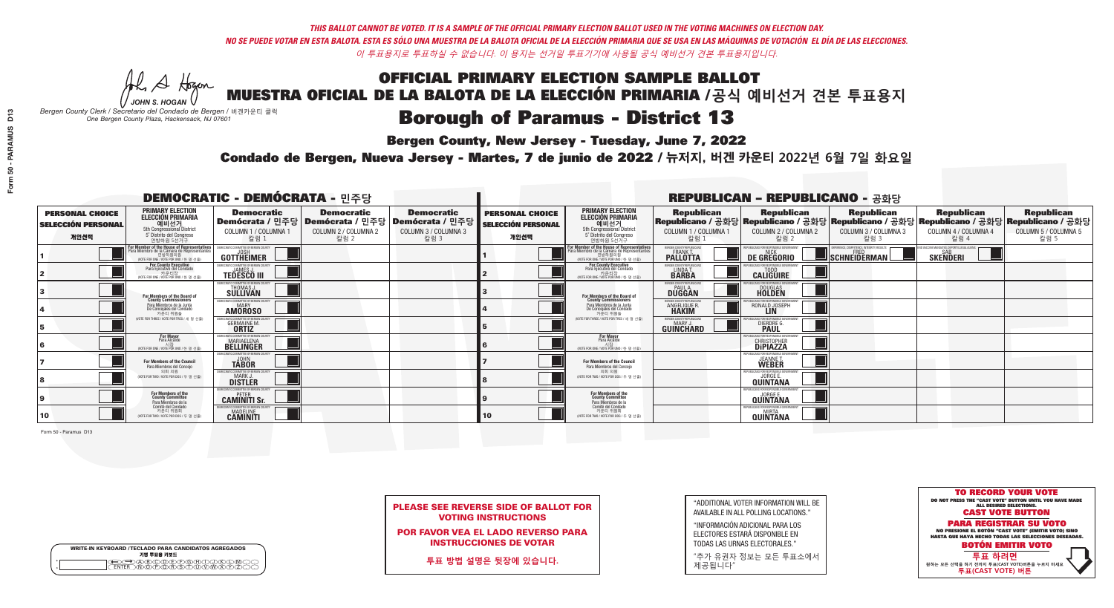**Bergen County, New Jersey - Tuesday, June 7, 2022** 

A Hogan *JOHN S. HOGAN*

| <b>WRITE-IN KEYBOARD /TECLADO PARA CANDIDATOS AGREGADOS</b><br>기명 투표용 키보드 |  |
|---------------------------------------------------------------------------|--|
| >@B\C\D\E\F\G\A\T\J<br><u> ዂዀዀዂዂ፝ጜጟጟ</u>                                  |  |

*Bergen County Clerk / Secretario del Condado de Bergen /* 버겐카운티 클럭 *One Bergen County Plaza, Hackensack, NJ 07601*



PLEASE SEE REVERSE SIDE OF BALLOT FOR VOTING INSTRUCTIONS

POR FAVOR VEA EL LADO REVERSO PARA INSTRUCCIONES DE VOTAR

**투표 방법 설명은 뒷장에 있습니다.**

| "ADDITIONAL VOTER INFORMATION WILL BE |
|---------------------------------------|
| AVAILABLE IN ALL POLLING LOCATIONS."  |

"INFORMACIÓN ADICIONAL PARA LOS ELECTORES ESTARÁ DISPONIBLE EN TODAS LAS URNAS ELECTORALES."

"추가 유권자 정보는 모든 투표소에서 제공됩니다"

Condado de Bergen, Nueva Jersey - Martes, 7 de junio de 2022 / 뉴저지, 버겐 카운티 2022년 6월 7일 화요일 *One Bergen County Plaza, Hackensack, NJ 07601*

| <b>DEMOCRATIC - DEMÓCRATA - 민주당</b>                         |                                                                                                                                               |                                                             |                                                   |                                                                                                        | <b>REPUBLICAN - REPUBLICANO - 공화당</b>                       |                                                                                                                                                             |                                                           |                                                                 |                                                                                                                                                 |                                                   |                                                   |
|-------------------------------------------------------------|-----------------------------------------------------------------------------------------------------------------------------------------------|-------------------------------------------------------------|---------------------------------------------------|--------------------------------------------------------------------------------------------------------|-------------------------------------------------------------|-------------------------------------------------------------------------------------------------------------------------------------------------------------|-----------------------------------------------------------|-----------------------------------------------------------------|-------------------------------------------------------------------------------------------------------------------------------------------------|---------------------------------------------------|---------------------------------------------------|
| <b>PERSONAL CHOICE</b><br><b>SELECCIÓN PERSONAL</b><br>개인선택 | <b>PRIMARY ELECTION</b><br>ELECCIÓN PRIMARIA<br>예비선거<br><sub>5th Congressional District</sub><br>5° Distrito del Congreso<br>연방하원 5선거구        | <b>Democratic</b><br>COLUMN 1 / COLUMNA 1<br>칼럼 1           | <b>Democratic</b><br>COLUMN 2 / COLUMNA 2<br>칼럼 2 | <b>Democratic</b><br>│Demócrata / 민주당│Demócrata / 민주당│Demócrata / 민주당│<br>COLUMN 3 / COLUMNA 3<br>칼럼 3 | <b>PERSONAL CHOICE</b><br><b>SELECCIÓN PERSONAL</b><br>개인선택 | <b>PRIMARY ELECTION</b><br>ELECCIÓN PRIMARIA<br>5th Congressional District<br>5° Distrito del Congreso<br>연방하워 5선거구                                         | <b>Republican</b><br>COLUMN 1 / COLUMNA 1<br>칼럼 :         | <b>Republican</b><br>COLUMN 2 / COLUMNA 2<br>칼럼 2               | <b>Republican</b><br>│Republicano / 공화당│Republicano / 공화당│Republicano / 공화당│Republicano / 공화당│Republicano / 공화당<br>COLUMN 3 / COLUMNA 3<br>칼럼 3 | <b>Republican</b><br>COLUMN 4 / COLUMNA 4<br>칼럼 4 | <b>Republican</b><br>COLUMN 5 / COLUMNA 5<br>칼럼 5 |
|                                                             | For Member of the House of Representatives<br>Para Miembro de la Cámara de Representantes<br>연방하원의원<br>(VOTE FOR ONE / VOTE POR UNO / 한 명 선출) | GOTTHEIMER                                                  |                                                   |                                                                                                        |                                                             | F <mark>or Member of the House of Representatives</mark><br>Para Miembro de la Cámara de Representantes<br>연방하원의원<br>(VOTE FOR ONE / VOTE POR UNO / 한 명 선출) | ERGEN COUNTY REPUBLICAN<br><b>PALLOTTA</b>                | DE GREGORIO                                                     | SCHNEIDERMAN                                                                                                                                    | <b>SKENDERI</b>                                   |                                                   |
|                                                             | <b>For County Executive</b><br>Para Ejecutivo del Condado<br>7 카운티장<br>(VOTE FOR ONE / VOTE POR UNO / 한 명 선출)                                 | JEMOCRATIC COMMITTEE OF BERGEN COUNTY<br><b>TEDESCO III</b> |                                                   |                                                                                                        |                                                             | For County Executive<br>Para Ejecutivo del Condado<br>7 카운티장<br>(VOTE FOR ONE / VOTE POR UNO / 한 명 선출                                                       | BERGEN COUNTY REPUBLICAN<br>LINDA T.                      | <b>CALIGUIRE</b>                                                |                                                                                                                                                 |                                                   |                                                   |
|                                                             | For Members of the Board of<br>County Commissioners                                                                                           | MOCRATIC COMMITTEE OF BERGEN CI<br>THOMAS J.                |                                                   |                                                                                                        |                                                             | For Members of the Board of<br>County Commissioners                                                                                                         | ERGEN COUNTY REPUBLICA<br><b>PAUL A.</b><br><b>DUGGAN</b> | <b>DOUGLAS</b><br><b>HOLDEN</b>                                 |                                                                                                                                                 |                                                   |                                                   |
|                                                             | Para Miembros de la Junta<br>De Concejales del Condado<br>카우티 위원들                                                                             | OCRATIC COMMITTEE OF BEBGEN COUN'<br><b>AMOROSO</b>         |                                                   |                                                                                                        |                                                             | Para Miembros de la Junta<br>De Concejales del Condado<br>카우티 위원들                                                                                           | ERGEN COUNTY REPUBLICAN<br><b>ANGELIQUE R<br/>HAKIM</b>   | ICANS FOR RESPONSIBLE GOV<br>RONALD JOSEPH                      |                                                                                                                                                 |                                                   |                                                   |
|                                                             | NOTE FOR THREE / VOTE POR TRES / 세 명 선출)                                                                                                      | RATIC COMMUTTEE OF RERGEN COLIN<br><b>GERMAINE M.</b>       |                                                   |                                                                                                        |                                                             | (VOTE FOR THREE / VOTE POR TRES / 세 명 선출)                                                                                                                   | ERGEN COUNTY REPUBLICAN<br><b>GUINCHARD</b>               | DIERDRE G.                                                      |                                                                                                                                                 |                                                   |                                                   |
|                                                             | <b>For Mayor</b><br>Para Alcalde<br>(VOTE FOR ONE / VOTE POR UNO / 한                                                                          | <b>MARIAELENA</b>                                           |                                                   |                                                                                                        |                                                             | For Mayor<br>Para Alcalde<br>NOTE FOR ONE / VOTE POR UNO / 한 명 선출                                                                                           |                                                           | <b>CHRISTOPHER</b>                                              |                                                                                                                                                 |                                                   |                                                   |
|                                                             | For Members of the Council<br>Para Miembros del Conceio                                                                                       | MOCRATIC COMMITTEE OF BERGEN COUN<br><b>TÄBOR</b>           |                                                   |                                                                                                        |                                                             | <b>For Members of the Council</b><br>Para Miembros del Conceio                                                                                              |                                                           | PUBLICANS FOR RESPONSIBLE (<br><b>JEANNE T.</b><br><b>WEBER</b> |                                                                                                                                                 |                                                   |                                                   |
|                                                             | 의회 의원<br>(VOTE FOR TWO / VOTE POR DOS / 두 명 선출)                                                                                               | MOCRATIC COMMITTEE OF BERGEN COUNTY<br><b>DISTLER</b>       |                                                   |                                                                                                        |                                                             | 의회 의원<br>NOTE FOR TWO / VOTE POR DOS / 두 명 선출)                                                                                                              |                                                           | PUBLICANS FOR RESPONSIBLE G(<br><b>QUINTANA</b>                 |                                                                                                                                                 |                                                   |                                                   |
|                                                             | For Members of the<br>County Committee<br>Para Miembros de la                                                                                 | MOCRATIC COMMITTEE OF BERGEN COUNTY<br><b>CAMINITI Sr.</b>  |                                                   |                                                                                                        |                                                             | For Members of the<br>County Committee<br>Para Miembros de la<br>Comité del Condado                                                                         |                                                           | PUBLICANS FOR RESPONSIBLE GOVERN<br><b>QUINTANA</b>             |                                                                                                                                                 |                                                   |                                                   |
| 10                                                          | Comité del Condado<br>카운티 위원회<br>(VOTE FOR TWO / VOTE POR DOS / 두 명 선출)                                                                       | MOCRATIC COMMITTEE OF RERGEN COLINT<br><b>CAMINITI</b>      |                                                   |                                                                                                        | 10                                                          | 카운티 위원회<br>(VOTE FOR TWO / VOTE POR DOS / 두 명 선출)                                                                                                           |                                                           | PUBLICANS FOR RESPONSIBLE GOVERNMENT<br><b>QUINTANA</b>         |                                                                                                                                                 |                                                   |                                                   |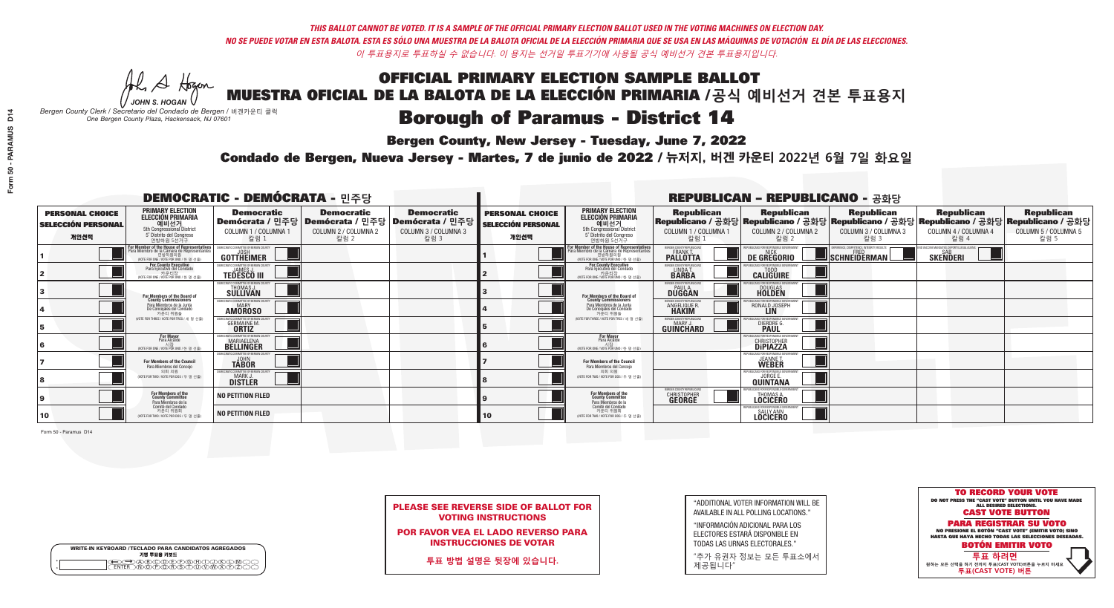Hracin

### **Bergen County, New Jersey - Tuesday, June 7, 2022**

| <b>WRITE-IN KEYBOARD /TECLADO PARA CANDIDATOS AGREGADOS</b><br>기명 투표용 키보드 |
|---------------------------------------------------------------------------|
| @®©®©E@®DO®<br>M@P@R\$TWW\                                                |

*JOHN S. HOGAN Bergen County Clerk / Secretario del Condado de Bergen /* 버겐카운티 클럭 *One Bergen County Plaza, Hackensack, NJ 07601*

### Condado de Bergen, Nueva Jersey - Martes, 7 de junio de 2022 / 뉴저지, 버겐 카운티 2022년 6월 7일 화요일 *One Bergen County Plaza, Hackensack, NJ 07601*



PLEASE SEE REVERSE SIDE OF BALLOT FOR VOTING INSTRUCTIONS

POR FAVOR VEA EL LADO REVERSO PARA INSTRUCCIONES DE VOTAR

**투표 방법 설명은 뒷장에 있습니다.**

"ADDITIONAL VOTER INFORMATION WILL BE AVAILABLE IN ALL POLLING LOCATIONS."

"INFORMACIÓN ADICIONAL PARA LOS ELECTORES ESTARÁ DISPONIBLE EN TODAS LAS URNAS ELECTORALES."

"추가 유권자 정보는 모든 투표소에서 제공됩니다"

| <b>DEMOCRATIC - DEMÓCRATA - 민주당</b>                         |                                                                                                                                                       |                                                             |                                                                                                        |                                                   | <b>REPUBLICAN - REPUBLICANO - 공화당</b>                       |                                                                                                                                           |                                                                     |                                                                             |                                                                                                                                                  |                                                                        |                                                   |
|-------------------------------------------------------------|-------------------------------------------------------------------------------------------------------------------------------------------------------|-------------------------------------------------------------|--------------------------------------------------------------------------------------------------------|---------------------------------------------------|-------------------------------------------------------------|-------------------------------------------------------------------------------------------------------------------------------------------|---------------------------------------------------------------------|-----------------------------------------------------------------------------|--------------------------------------------------------------------------------------------------------------------------------------------------|------------------------------------------------------------------------|---------------------------------------------------|
| <b>PERSONAL CHOICE</b><br><b>SELECCIÓN PERSONAL</b><br>개인선택 | <b>PRIMARY ELECTION</b><br><b>ELECCIÓN PRIMARIA</b><br>예비선거<br><sup>6</sup> 60ngressional District<br>5° Distrito del Congreso<br>연방하원 5선거구           | <b>Democratic</b><br>COLUMN 1 / COLUMNA 1<br>칼럼 :           | <b>Democratic</b><br>│Demócrata / 민주당│Demócrata / 민주당│Demócrata / 민주당│<br>COLUMN 2 / COLUMNA 2<br>칼럼 2 | <b>Democratic</b><br>COLUMN 3 / COLUMNA 3<br>칼럼 3 | <b>PERSONAL CHOICE</b><br><b>SELECCIÓN PERSONAL</b><br>개인선택 | <b>PRIMARY ELECTION</b><br>ELECCIÓN PRIMARIA<br>5th Congressional District<br>5° Distrito del Congreso<br>연방하원 5선거구                       | <b>Republican</b><br>COLUMN 1 / COLUMNA 1<br>칼럼 :                   | <b>Republican</b><br>COLUMN 2 / COLUMNA 2<br>칼럼 2                           | <b>Republican</b><br> Republicano / 공화당 Republicano / 공화당 Republicano / 공화당 Republicano / 공화당 Republicano / 공화당 <br>COLUMN 3 / COLUMNA 3<br>칼럼 3 | <b>Republican</b><br>COLUMN 4 / COLUMNA 4<br>칼럼 4                      | <b>Republican</b><br>COLUMN 5 / COLUMNA 5<br>칼럼 5 |
|                                                             | <b>For Member of the House of Representatives<br/>Para Miembro de la Cámara de Representantes</b><br>연방하원의원<br>(VOTE FOR ONE / VOTE POR UNO / 한 명 선출) | DEMOCRATIC COMMITTEE OF BERGEN COUNTY<br>GOTTHEIMER         |                                                                                                        |                                                   |                                                             | <b>For Member of the House of Representatives<br/>Para Miembro de la Cámara de Representantes</b><br>WOTE FOR ONE / VOTE POR UNO / 한 명 선출 | ERGEN COUNTY REPUBLICANS<br><b>PALLOTTA</b>                         | DE GREGORIO                                                                 | KPERIENCE. COMPETENCE. INTEGRITY. RESULTS<br>$\blacksquare$ SCHNEIDERMAN                                                                         | <b>D VACCINE MANDATES, DEPORT ILLEGAL ALIENS. F</b><br><b>SKENDERI</b> |                                                   |
|                                                             | <b>For County Executive</b><br>Para Ejecutivo del Condado<br>(VOTE FOR ONE / VOTE POR UNO / 한 명 선출)                                                   | DEMOCRATIC COMMITTEE OF BERGEN COUNTY<br><b>TEDESCO III</b> |                                                                                                        |                                                   |                                                             | <b>For County Executive</b><br>Para Ejecutivo del Condado<br>가운티장<br>(VOTE FOR ONE / VOTE POR UNO / 한 명 선출)                               | BERGEN COUNTY REPUBLICAN<br>LINDA T.                                | <b>CALIGUIRE</b>                                                            |                                                                                                                                                  |                                                                        |                                                   |
|                                                             | For Members of the Board of<br>County Commissioners                                                                                                   | MOCRATIC COMMITTEE OF BERGEN COL<br>THOMAS J.               |                                                                                                        |                                                   |                                                             | For Members of the Board of<br>County Commissioners                                                                                       | ERGEN COUNTY REPUBLICAN<br><b>PAUL A.</b><br><b>DUGGAN</b>          | <b>DOUGLAS</b><br><b>HOLDEN</b>                                             |                                                                                                                                                  |                                                                        |                                                   |
|                                                             | Para Miembros de la Junta<br>De Concejales del Condado<br>카우티 위원들                                                                                     | AOCRATIC COMMITTEE OF BERGEN COUNTY<br><b>AMOROSO</b>       |                                                                                                        |                                                   |                                                             | Para Miembros de la Junta<br>De Concejales del Condado<br>카운티 위원들                                                                         | <b>FRGEN COUNTY REPUBLICA</b><br><b>ANGELIQUE R</b><br><b>HAKIM</b> | RONALD JOSEPH<br><b>LIN</b>                                                 |                                                                                                                                                  |                                                                        |                                                   |
|                                                             | (VOTE FOR THREE / VOTE POR TRES / 세 명 선출)                                                                                                             | RATIC COMMITTEE OF RERGEN<br>GERMAINE M.                    |                                                                                                        |                                                   |                                                             | (VOTE FOR THREE / VOTE POR TRES / 세 명 선출                                                                                                  | ERGEN COUNTY REPUBLICANS<br>GUIÑCHARD                               | I ICANS FOR RESPONSIBI F<br>DIERDRE L                                       |                                                                                                                                                  |                                                                        |                                                   |
|                                                             | <b>For Mayor</b><br>Para Alcalde<br>시장<br>(VOTE FOR ONE / VOTE POR UNO / 한 명 선출)                                                                      | <b>MARIAELENA</b>                                           |                                                                                                        |                                                   |                                                             | <b>For Mayor</b><br>Para Alcalde<br>(VOTE FOR ONE / VOTE POR UNO / 한 명 선출)                                                                |                                                                     | <b>CHRISTOPHER</b>                                                          |                                                                                                                                                  |                                                                        |                                                   |
|                                                             | <b>For Members of the Council</b><br>Para Miembros del Conceio                                                                                        | EMOCRATIC COMMITTEE OF BERGEN COUNTY<br><b>TÅBOR</b>        |                                                                                                        |                                                   |                                                             | <b>For Members of the Council</b><br>Para Miembros del Concejo                                                                            |                                                                     | PUBLICANS FOR RESPONSIBLE (<br><b>JEANNE T.</b><br><b>WEBER</b>             |                                                                                                                                                  |                                                                        |                                                   |
|                                                             | 의회 의유<br>(VOTE FOR TWO / VOTE POR DOS / 두 명 선출)                                                                                                       | <b>DCRATIC COMMITTEE OF BERGEN COUNTY</b><br><b>DISTLER</b> |                                                                                                        |                                                   |                                                             | 의회 의원<br>NOTE FOR TWO / VOTE POR DOS / 두 명 선출)                                                                                            |                                                                     | <b>IEPUBLICANS FOR RESPONSIBLE G!</b><br><b>QUINTANA</b>                    |                                                                                                                                                  |                                                                        |                                                   |
|                                                             | <b>For Members of the<br/>County Committee</b><br>Para Miembros de la                                                                                 | <b>NO PETITION FILED</b>                                    |                                                                                                        |                                                   |                                                             | For Members of the<br>County Committee<br>Para Miembros de la<br>Comité del Condado                                                       | BERGEN COUNTY REPUBLICANS<br><b>CHRISTOPHER</b>                     | <b>THOMAS A.</b><br>LOCICERO                                                |                                                                                                                                                  |                                                                        |                                                   |
| 10                                                          | Comité del Condado<br>카운티 위원회<br>(VOTE FOR TWO / VOTE POR DOS / 두 명 선출)                                                                               | <b>NO PETITION FILED</b>                                    |                                                                                                        |                                                   | 10                                                          | 카운티 위원회<br>(VOTE FOR TWO / VOTE POR DOS / 두 명 선출)                                                                                         |                                                                     | UBI ICANS FOR RESPONSIBI E GOVERNMEN<br><b>SALLY ANN</b><br><b>LOCICERO</b> |                                                                                                                                                  |                                                                        |                                                   |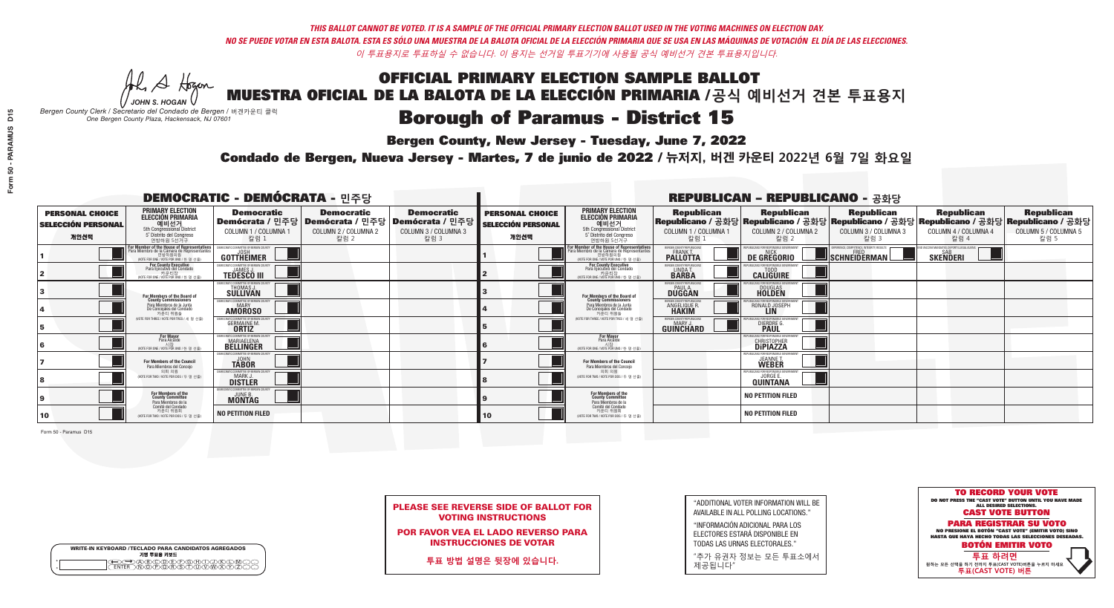A Hram

### **Bergen County, New Jersey - Tuesday, June 7, 2022**

| WRITE-IN KEYBOARD /TECLADO PARA CANDIDATOS AGREGADOS |  |
|------------------------------------------------------|--|
| 기명 투표용 키보드                                           |  |
|                                                      |  |

*JOHN S. HOGAN Bergen County Clerk / Secretario del Condado de Bergen /* 버겐카운티 클럭 *One Bergen County Plaza, Hackensack, NJ 07601*

### Condado de Bergen, Nueva Jersey - Martes, 7 de junio de 2022 / 뉴저지, 버겐 카운티 2022년 6월 7일 화요일 *One Bergen County Plaza, Hackensack, NJ 07601*





POR FAVOR VEA EL LADO REVERSO PARA INSTRUCCIONES DE VOTAR

**투표 방법 설명은 뒷장에 있습니다.**

| "ADDITIONAL VOTER INFORMATION WILL BE |
|---------------------------------------|
| AVAILABLE IN ALL POLLING LOCATIONS."  |

"INFORMACIÓN ADICIONAL PARA LOS ELECTORES ESTARÁ DISPONIBLE EN TODAS LAS URNAS ELECTORALES."

"추가 유권자 정보는 모든 투표소에서 제공됩니다"

| <b>DEMOCRATIC - DEMÓCRATA - 민주당</b>                         |                                                                                                                                               |                                                                        |                                                                                        |                                                                      | <b>REPUBLICAN - REPUBLICANO - 공화당</b>                       |                                                                                                                                                      |                                                             |                                                                 |                                                                                                                                                |                                                   |                                                   |  |
|-------------------------------------------------------------|-----------------------------------------------------------------------------------------------------------------------------------------------|------------------------------------------------------------------------|----------------------------------------------------------------------------------------|----------------------------------------------------------------------|-------------------------------------------------------------|------------------------------------------------------------------------------------------------------------------------------------------------------|-------------------------------------------------------------|-----------------------------------------------------------------|------------------------------------------------------------------------------------------------------------------------------------------------|---------------------------------------------------|---------------------------------------------------|--|
| <b>PERSONAL CHOICE</b><br><b>SELECCIÓN PERSONAL</b><br>개인선택 | <b>PRIMARY ELECTION</b><br>ELECCIÓN PRIMARIA<br>예비선거<br><sub>5th Congressional District</sub><br>5° Distrito del Congreso<br>연방하원 5선거구        | <b>Democratic</b><br>COLUMN 1 / COLUMNA 1<br>칼럼 1                      | <b>Democratic</b><br>│Demócrata / 민주당│Demócrata / 민주당│<br>COLUMN 2 / COLUMNA 2<br>칼럼 2 | <b>Democratic</b><br>Demócrata / 민주당<br>COLUMN 3 / COLUMNA 3<br>칼럼 3 | <b>PERSONAL CHOICE</b><br><b>SELECCIÓN PERSONAL</b><br>개인선택 | <b>PRIMARY ELECTION</b><br>ELECCIÓN PRIMARIA<br>5th Congressional District<br>5° Distrito del Congreso<br>연방하원 5선거구                                  | <b>Republican</b><br>COLUMN 1 / COLUMNA 1<br>칼럼 1           | <b>Republican</b><br>COLUMN 2 / COLUMNA 2<br>칼럼 2               | <b>Republican</b><br>Republicano / 공화당 Republicano / 공화당 Republicano / 공화당 Republicano / 공화당 Republicano / 공화당<br>COLUMN 3 / COLUMNA 3<br>칼럼 3 | <b>Republican</b><br>COLUMN 4 / COLUMNA 4<br>칼럼 4 | <b>Republican</b><br>COLUMN 5 / COLUMNA 5<br>칼럼 5 |  |
|                                                             | For Member of the House of Representatives<br>Para Miembro de la Cámara de Representantes<br>연방하원의원<br>(VOTE FOR ONE / VOTE POR UNO / 한 명 선출) | GOTTHEIMER                                                             |                                                                                        |                                                                      |                                                             | <b>For Member of the House of Representatives<br/>Para Miembro de la Cámara de Representantes</b><br>연방하원의원<br>(VOTE FOR ONE / VOTE POR UNO / 한 명 선출 | BERGEN COUNTY REPUBLICANS<br><b>PALLOTTA</b>                | DE GREGORIO                                                     | (PERIENCE, COMPETENCE, INTEGRITY, RESULTS<br>SCHNEIDERMAN                                                                                      | <b>SKENDERI</b>                                   |                                                   |  |
|                                                             | <b>For County Executive</b><br>Para Ejecutivo del Condado<br>WOTE FOR ONE / VOTE POR UNO / 한 명 선출)                                            | JEMOCRATIC COMMITTEE OF BERGEN COUNT<br><b>TEDESCO III</b>             |                                                                                        |                                                                      |                                                             | <b>For County Executive</b><br>Para Ejecutivo del Condado<br>카운티장<br>(VOTE FOR ONE / VOTE POR UNO / 한 명 선출)                                          | BERGEN COUNTY REPUBLICA!<br>LINDAT.                         | <b>CALIGUIRE</b>                                                |                                                                                                                                                |                                                   |                                                   |  |
|                                                             | For Members of the Board of<br>County Commissioners                                                                                           | EMOCRATIC COMMITTEE OF BERGEN (<br><b>THOMAS J.</b><br><b>SULLIVAN</b> |                                                                                        |                                                                      |                                                             | For Members of the Board of<br>County Commissioners                                                                                                  | BERGEN COUNTY REPUBLICA!<br><b>PAUL A.</b><br><b>DUGGAN</b> | <b>DOUGLAS</b>                                                  |                                                                                                                                                |                                                   |                                                   |  |
|                                                             | Para Miembros de la Junta<br>De Concejales del Condado<br>카우티 위원들                                                                             | MOCRATIC COMMITTEE OF BERGEN C'<br><b>AMOROSO</b>                      |                                                                                        |                                                                      |                                                             | Para Miembros de la Junta<br>De Concejales del Condado<br>카운티 위원들                                                                                    | BERGEN COUNTY REPUBLICA!<br>ANGELIQUE F                     | RONALD JOSEPH<br><b>LIN</b>                                     |                                                                                                                                                |                                                   |                                                   |  |
|                                                             | NOTE FOR THREE / VOTE POR TRES / 세 명 선출)                                                                                                      | ITIC COMMITTEE OF RERGEN (<br><b>GERMAINE M.</b>                       |                                                                                        |                                                                      |                                                             | (VOTE FOR THREE / VOTE POR TRES / 세 명 선출)                                                                                                            | ERGEN COUNTY REPUBLICANS<br><b>GUINCHARD</b>                | ICANS FOR RESPONSIBLE G<br><b>DIERDRE</b> C                     |                                                                                                                                                |                                                   |                                                   |  |
|                                                             | <b>For Mayor</b><br>Para Alcalde<br>(VOTE FOR ONE / VOTE POR UNO / 한 명 선출)                                                                    | MOCRATIC COMMITTEE OF BERGEN (<br><b>MARIAELENA</b>                    |                                                                                        |                                                                      |                                                             | For Mayor<br>Para Alcalde<br>NOTE FOR ONE / VOTE POR UNO / 한 명 선출                                                                                    |                                                             | PHRI ICANS ENR RESPONSIRI E I<br><b>CHRISTOPHER</b>             |                                                                                                                                                |                                                   |                                                   |  |
|                                                             | For Members of the Council<br>Para Miembros del Conceio                                                                                       | VIOCRATIC COMMITTEE OF BERGEN COUNTY<br><b>TABOR</b>                   |                                                                                        |                                                                      |                                                             | <b>For Members of the Council</b><br>Para Miembros del Conceio                                                                                       |                                                             | PUBLICANS FOR RESPONSIBLE (<br><b>JEANNE T.</b><br><b>WEBER</b> |                                                                                                                                                |                                                   |                                                   |  |
|                                                             | 의회 의원<br>(VOTE FOR TWO / VOTE POR DOS / 두 명 선출)                                                                                               | OCRATIC COMMITTEE OF BERGEN COUNTY<br><b>DISTLER</b>                   |                                                                                        |                                                                      |                                                             | 의회 의원<br>(VOTE FOR TWO / VOTE POR DOS / 두 명 선출)                                                                                                      |                                                             | REPUBLICANS FOR RESPONSIBLE GI<br><b>QUINTANA</b>               |                                                                                                                                                |                                                   |                                                   |  |
|                                                             | For Members of the<br>County Committee<br>Para Miembros de la<br>Comité del Condado                                                           | OCRATIC COMMITTEE OF BERGEN COUN<br><b>MONTAG</b>                      |                                                                                        |                                                                      |                                                             | For Members of the<br>County Committee<br>Para Miembros de la<br>Comité del Condado                                                                  |                                                             | <b>NO PETITION FILED</b>                                        |                                                                                                                                                |                                                   |                                                   |  |
| 10                                                          | 카운티 위원회<br>(VOTE FOR TWO / VOTE POR DOS / 두 명 선출)                                                                                             | NO PETITION FILED                                                      |                                                                                        |                                                                      | <b>10</b>                                                   | 카운티 위원회<br>(VOTE FOR TWO / VOTE POR DOS / 두 명 선출)                                                                                                    |                                                             | <b>NO PETITION FILED</b>                                        |                                                                                                                                                |                                                   |                                                   |  |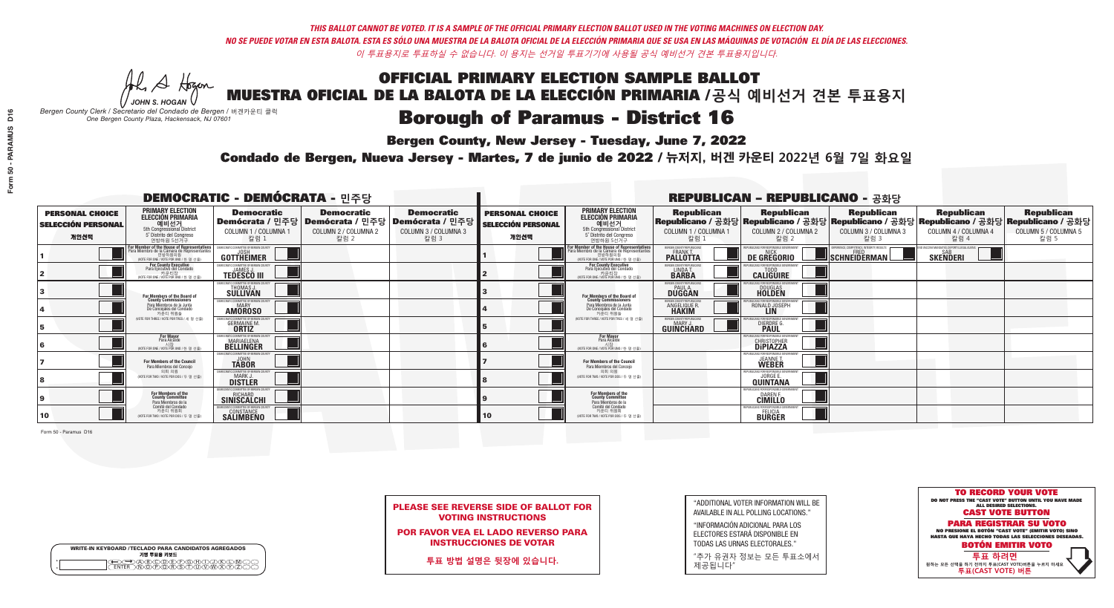### **Bergen County, New Jersey - Tuesday, June 7, 2022**

A Hogan *JOHN S. HOGAN*

| <b>WRITE-IN KEYBOARD /TECLADO PARA CANDIDATOS AGREGADOS</b><br>기명 투표용 키보드 |  |
|---------------------------------------------------------------------------|--|
| @@@@@@@@@@<br>\M@@@@&\$@@W                                                |  |

*Bergen County Clerk / Secretario del Condado de Bergen /* 버겐카운티 클럭 *One Bergen County Plaza, Hackensack, NJ 07601*



PLEASE SEE REVERSE SIDE OF BALLOT FOR VOTING INSTRUCTIONS

POR FAVOR VEA EL LADO REVERSO PARA INSTRUCCIONES DE VOTAR

**투표 방법 설명은 뒷장에 있습니다.**

| "ADDITIONAL VOTER INFORMATION WILL BE |
|---------------------------------------|
| AVAILABLE IN ALL POLLING LOCATIONS."  |

"INFORMACIÓN ADICIONAL PARA LOS ELECTORES ESTARÁ DISPONIBLE EN TODAS LAS URNAS ELECTORALES."

"추가 유권자 정보는 모든 투표소에서 제공됩니다"

### Condado de Bergen, Nueva Jersey - Martes, 7 de junio de 2022 / 뉴저지, 버겐 카운티 2022년 6월 7일 화요일 *One Bergen County Plaza, Hackensack, NJ 07601*

| <b>DEMOCRATIC - DEMÓCRATA - 민주당</b>                         |                                                                                                                                                       |                                                                      |                                                                                                       |                                                   | <b>REPUBLICAN - REPUBLICANO - 공화당</b>                       |                                                                                                                                                       |                                                            |                                                                |                                                                                                                                                |                                                   |                                                   |
|-------------------------------------------------------------|-------------------------------------------------------------------------------------------------------------------------------------------------------|----------------------------------------------------------------------|-------------------------------------------------------------------------------------------------------|---------------------------------------------------|-------------------------------------------------------------|-------------------------------------------------------------------------------------------------------------------------------------------------------|------------------------------------------------------------|----------------------------------------------------------------|------------------------------------------------------------------------------------------------------------------------------------------------|---------------------------------------------------|---------------------------------------------------|
| <b>PERSONAL CHOICE</b><br><b>SELECCIÓN PERSONAL</b><br>개인선택 | <b>PRIMARY ELECTION</b><br><b>ELECCIÓN PRIMARIA</b><br>$\left[$ 예비선거 $\right]$<br>5th Congressional District<br>5° Distrito del Congreso<br>연방하원 5선거구 | <b>Democratic</b><br>COLUMN 1 / COLUMNA 1<br>칼럼 :                    | <b>Democratic</b><br>│Demócrata / 민주당│Demócrata / 민주당│Demócrata / 민주당<br>COLUMN 2 / COLUMNA 2<br>칼럼 2 | <b>Democratic</b><br>COLUMN 3 / COLUMNA 3<br>칼럼 3 | <b>PERSONAL CHOICE</b><br><b>SELECCIÓN PERSONAL</b><br>개인선택 | <b>PRIMARY ELECTION</b><br>ELECCIÓN PRIMARIA<br>5th Congressional District<br>5° Distrito del Congreso<br>연방하원 5선거구                                   | <b>Republican</b><br>COLUMN 1 / COLUMNA 1<br>칼럼 :          | <b>Republican</b><br>COLUMN 2 / COLUMNA 2<br>칼럼 2              | <b>Republican</b><br>Republicano / 공화당 Republicano / 공화당 Republicano / 공화당 Republicano / 공화당 Republicano / 공화당<br>COLUMN 3 / COLUMNA 3<br>칼럼 3 | <b>Republican</b><br>COLUMN 4 / COLUMNA 4<br>칼럼 4 | <b>Republican</b><br>COLUMN 5 / COLUMNA 5<br>칼럼 5 |
|                                                             | <b>For Member of the House of Representatives<br/>Para Miembro de la Cámara de Representantes</b><br>연방하원의원<br>(VOTE FOR ONE / VOTE POR UNO / 한 명 선출) | GOTTHEIMER                                                           |                                                                                                       |                                                   |                                                             | <b>For Member of the House of Representatives<br/>Para Miembro de la Cámara de Representantes</b><br>연방하원의원<br>(VOTE FOR ONE / VOTE POR UNO / 한 명 선출) | ERGEN COUNTY REPUBLICANS<br><b>PALLOTTA</b>                | DE GREGORIO                                                    | PERIENCE, COMPETENCE, INTEGRITY, RESULTS<br>SCHNEIDERMAN                                                                                       | <b>SKENDERI</b>                                   |                                                   |
|                                                             | <b>For County Executive</b><br>Para Ejecutivo del Condado<br>NOTE FOR ONE / VOTE POR UNO / 한 명 선출!                                                    | FMOCRATIC COMMITTEE OF BERGEN COUNTY<br><b>TEDESCO III</b>           |                                                                                                       |                                                   |                                                             | <b>For County Executive</b><br>Para Ejecutivo del Condado<br>카운티장<br>(VOTE FOR ONE / VOTE POR UNO / 한 명 선출)                                           | BERGEN COUNTY REPUBLICAN<br>LINDA T.                       | <b>CALIGUIRE</b>                                               |                                                                                                                                                |                                                   |                                                   |
|                                                             | For Members of the Board of<br>County Commissioners                                                                                                   | EMOCRATIC COMMITTEE OF BERGEN C<br>THOMAS J.                         |                                                                                                       |                                                   |                                                             | For Members of the Board of<br>County Commissioners                                                                                                   | ERGEN COUNTY REPUBLICAN<br><b>PAUL A.</b><br><b>DUGGAN</b> | DOUGLAS<br>HOLDEN                                              |                                                                                                                                                |                                                   |                                                   |
|                                                             | Para Miembros de la Junta<br>De Concejales del Condado<br>카우티 위원들                                                                                     | MOCRATIC COMMITTEE OF BERGEN CO<br><b>AMOROSO</b>                    |                                                                                                       |                                                   |                                                             | Para Miembros de la Junta<br>De Concejales del Condado<br>카운티 위원들                                                                                     | ERGEN COUNTY REPUBLICAN<br>ANGELIQUE R                     | RONALD JOSEPH                                                  |                                                                                                                                                |                                                   |                                                   |
|                                                             | NOTE FOR THREE / VOTE POR TRES / 세 명 선출)                                                                                                              | JTIC COMMITTEE OF RERGEN COLII<br><b>GERMAINE M.</b><br><b>ORTIZ</b> |                                                                                                       |                                                   |                                                             | (VOTE FOR THREE / VOTE POR TRES / 세 명 선출)                                                                                                             | <b>'ERGEN COUNTY REPUBLICANS</b><br><b>GUINCHARD</b>       | LICANS FOR RESPONSIBLE G<br><b>DIERDRE</b> O                   |                                                                                                                                                |                                                   |                                                   |
|                                                             | <b>For Mayor</b><br>Para Alcalde<br>NOTE FOR ONE / VOTE POR UNO / 하 명 소                                                                               | MOCRATIC COMMITTEE OF BERGEN C<br><b>MARIAELENA</b>                  |                                                                                                       |                                                   |                                                             | <b>For Mayor</b><br>Para Alcalde<br>NOTE FOR ONE / VOTE POR UNO / 한 명 선출                                                                              |                                                            | <b>MIRLICANS FOR RESPONSIBLE G</b><br><b>CHRISTOPHER</b>       |                                                                                                                                                |                                                   |                                                   |
|                                                             | <b>For Members of the Council</b><br>Para Miembros del Conceio                                                                                        | MOCRATIC COMMITTEE OF BERGEN COUNT<br><b>TÅBOR</b>                   |                                                                                                       |                                                   |                                                             | For Members of the Council<br>Para Miembros del Conceio                                                                                               |                                                            | UBLICANS FOR RESPONSIBLE G<br><b>JEANNE T.</b><br><b>WEBER</b> |                                                                                                                                                |                                                   |                                                   |
|                                                             | 의회 의원<br>(VOTE FOR TWO / VOTE POR DOS / 두 명 선출)                                                                                                       | <b><i>AOCRATIC COMMITTEE OF BERGEN COUNTY</i></b><br><b>DISTLER</b>  |                                                                                                       |                                                   |                                                             | 의회 의원<br>NOTE FOR TWO / VOTE POR DOS / 두 명 선출)                                                                                                        |                                                            | <b>FPUBLICANS FOR RESPONSIBLE GO</b><br><b>QUINTANA</b>        |                                                                                                                                                |                                                   |                                                   |
|                                                             | For Members of the<br>County Committee<br>Para Miembros de la                                                                                         | <b>AOCRATIC COMMITTEE OF BEBGEN COUNTY</b><br><b>SINISCALCHI</b>     |                                                                                                       |                                                   |                                                             | For Members of the<br>County Committee<br>Para Miembros de la<br>Comité del Condado                                                                   |                                                            | PUBLICANS FOR RESPONSIBLE GO<br>DAREN F.                       |                                                                                                                                                |                                                   |                                                   |
| 10                                                          | Comité del Condado<br>카운티 위원회<br>(VOTE FOR TWO / VOTE POR DOS / 두 명 선출)                                                                               | <b>SALIMBENO</b>                                                     |                                                                                                       |                                                   | 10                                                          | 카운티 위원회<br>(VOTE FOR TWO / VOTE POR DOS / 두 명 선출)                                                                                                     |                                                            | PLIRI ICANS FOR RESPONSIRI E GOVERNMEN<br><b>BURGER</b>        |                                                                                                                                                |                                                   |                                                   |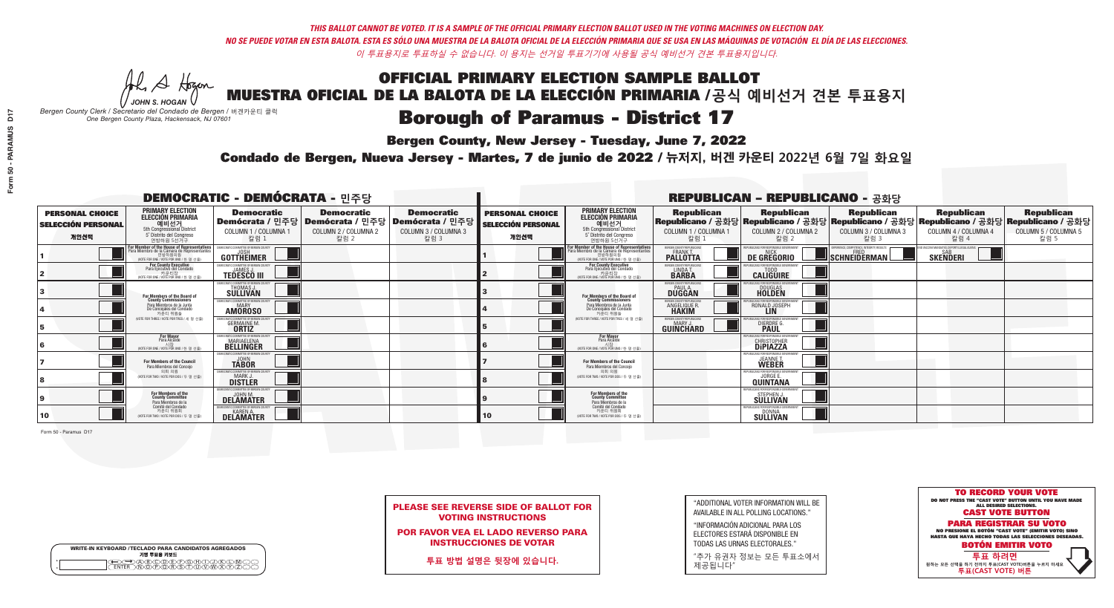### **Bergen County, New Jersey - Tuesday, June 7, 2022**

A Hogan *JOHN S. HOGAN*

| <b>WRITE-IN KEYBOARD /TECLADO PARA CANDIDATOS AGREGADOS</b><br>기명 투표용 키보드 |  |
|---------------------------------------------------------------------------|--|
| @@@@@@@@@@@@<br>\@@@@@@@@@@@@@@<br><b>FNTFR</b>                           |  |

*Bergen County Clerk / Secretario del Condado de Bergen /* 버겐카운티 클럭 *One Bergen County Plaza, Hackensack, NJ 07601*



PLEASE SEE REVERSE SIDE OF BALLOT FOR VOTING INSTRUCTIONS

POR FAVOR VEA EL LADO REVERSO PARA INSTRUCCIONES DE VOTAR

**투표 방법 설명은 뒷장에 있습니다.**

"ADDITIONAL VOTER INFORMATION WILL BE AVAILABLE IN ALL POLLING LOCATIONS."

"INFORMACIÓN ADICIONAL PARA LOS ELECTORES ESTARÁ DISPONIBLE EN TODAS LAS URNAS ELECTORALES."

"추가 유권자 정보는 모든 투표소에서 제공됩니다"

### Condado de Bergen, Nueva Jersey - Martes, 7 de junio de 2022 / 뉴저지, 버겐 카운티 2022년 6월 7일 화요일 *One Bergen County Plaza, Hackensack, NJ 07601*

| <b>DEMOCRATIC - DEMÓCRATA - 민주당</b>                         |                                                                                                                                               |                                                                      |                                                                                       |                                                                      |                                                             |                                                                                                                                               |                                                            | <b>REPUBLICAN - REPUBLICANO - 공화당</b>                                                                                                          |                                                   |                                                   |                                                   |
|-------------------------------------------------------------|-----------------------------------------------------------------------------------------------------------------------------------------------|----------------------------------------------------------------------|---------------------------------------------------------------------------------------|----------------------------------------------------------------------|-------------------------------------------------------------|-----------------------------------------------------------------------------------------------------------------------------------------------|------------------------------------------------------------|------------------------------------------------------------------------------------------------------------------------------------------------|---------------------------------------------------|---------------------------------------------------|---------------------------------------------------|
| <b>PERSONAL CHOICE</b><br><b>SELECCIÓN PERSONAL</b><br>개인선택 | <b>PRIMARY ELECTION</b><br><b>ELECCIÓN PRIMARIA</b><br>예비선거<br>5th Congressional District<br>5° Distrito del Conareso<br>연방하원 5선거구            | <b>Democratic</b><br>COLUMN 1 / COLUMNA 1<br>칼럼 1                    | <b>Democratic</b><br>│Demócrata / 민주당│Demócrata / 민주당<br>COLUMN 2 / COLUMNA 2<br>칼럼 2 | <b>Democratic</b><br>Demócrata / 민주당<br>COLUMN 3 / COLUMNA 3<br>칼럼 3 | <b>PERSONAL CHOICE</b><br><b>SELECCIÓN PERSONAL</b><br>개인선택 | <b>PRIMARY ELECTION</b><br>ELECCIÓN PRIMARIA<br>5th Congressional District<br>5° Distrito del Congreso<br>연방하원 5선거구                           | <b>Republican</b><br>COLUMN 1 / COLUMNA 1<br>칼럼            | <b>Republican</b><br>Republicano / 공화당 Republicano / 공화당 Republicano / 공화당 Republicano / 공화당 Republicano / 공화당<br>COLUMN 2 / COLUMNA 2<br>칼럼 2 | <b>Republican</b><br>COLUMN 3 / COLUMNA 3<br>칼럼 3 | <b>Republican</b><br>COLUMN 4 / COLUMNA 4<br>칼럼 4 | <b>Republican</b><br>COLUMN 5 / COLUMNA 5<br>칼럼 5 |
|                                                             | For Member of the House of Representatives<br>Para Miembro de la Cámara de Representantes<br>연방하원의원<br>(VOTE FOR ONE / VOTE POR UNO / 한 명 선출) | GOTTHEIMER                                                           |                                                                                       |                                                                      |                                                             | For Member of the House of Representatives<br>Para Miembro de la Cámara de Representantes<br>연방하원의원<br>(VOTE FOR ONE / VOTE POR UNO / 한 명 선출) | ERGEN COUNTY REPUBLICAN<br><b>PALLOTTA</b>                 | DE GREGORIO                                                                                                                                    | SCHNEIDERMAN                                      | <b>SKENDERI</b>                                   |                                                   |
|                                                             | <b>For County Executive</b><br>Para Ejecutivo del Condado<br>가운티장<br>(VOTE FOR ONE / VOTE POR UNO / 한 명 선출)                                   | JEMOCRATIC COMMITTEE OF BERGEN COUNTY<br><b>TEDESCO III</b>          |                                                                                       |                                                                      |                                                             | For County Executive<br>Para Ejecutivo del Condado<br>가운티장<br>(VOTE FOR ONE / VOTE POR UNO / 한 명 선출)                                          | BERGEN COUNTY REPUBLICAN<br>LINDA T.                       | <b>CALIGUIRE</b>                                                                                                                               |                                                   |                                                   |                                                   |
|                                                             | For Members of the Board of<br>County Commissioners                                                                                           | EMOCRATIC COMMITTEE OF BERGEN<br><b>THOMAS J.</b><br><b>SULLIVAN</b> |                                                                                       |                                                                      |                                                             | For Members of the Board of<br>County Commissioners                                                                                           | ERGEN COUNTY REPUBLICAN<br><b>PAUL A.</b><br><b>DUGGAN</b> | <b>DOUGLAS</b><br><b>HOLDEN</b>                                                                                                                |                                                   |                                                   |                                                   |
|                                                             | Para Miembros de la Junta<br>De Concejales del Condado<br>카우티 위원들                                                                             | OCRATIC COMMITTEE OF BERGEN COUN<br><b>AMOROSO</b>                   |                                                                                       |                                                                      |                                                             | Para Miembros de la Junta<br>De Concejales del Condado<br>카우티 위워들                                                                             | ERGEN COUNTY REPUBLICAN<br><b>ANGELIQUE R<br/>HAKIM</b>    | ICANS FOR RESPONSIBI E GOVERNMI<br>RONALD JOSEPH                                                                                               |                                                   |                                                   |                                                   |
|                                                             | (VOTE FOR THREE / VOTE POR TRES / 세 명 선출)                                                                                                     | <b>GERMAINE M.</b>                                                   |                                                                                       |                                                                      |                                                             | (VOTE FOR THREE / VOTE POR TRES / 세 명 선출)                                                                                                     | ERGEN COUNTY REPUBLICAN<br><b>GUINCHARD</b>                | DIERDRE G.                                                                                                                                     |                                                   |                                                   |                                                   |
|                                                             | <b>For Mayor</b><br>Para Alcalde<br>NOTE FOR ONE / VOTE POR UNO / 하                                                                           | <b>MARIAELENA</b>                                                    |                                                                                       |                                                                      |                                                             | For Mayor<br>Para Alcalde<br>(VOTE FOR ONE / VOTE POR UNO / 한 명 선출                                                                            |                                                            | CHRISTOPHER                                                                                                                                    |                                                   |                                                   |                                                   |
|                                                             | <b>For Members of the Council</b><br>Para Miembros del Conceio                                                                                | <b>TÅBOR</b>                                                         |                                                                                       |                                                                      |                                                             | <b>For Members of the Council</b><br>Para Miembros del Concejo                                                                                |                                                            | <b>JEANNE T.</b><br><b>WEBER</b>                                                                                                               |                                                   |                                                   |                                                   |
|                                                             | 의회 의원<br>VOTE FOR TWO / VOTE POR DOS / 두 명 선출)                                                                                                | RATIC COMMITTEE OF BERGEN COUNTY<br><b>DISTLER</b>                   |                                                                                       |                                                                      |                                                             | 의회 의원<br>(VOTE FOR TWO / VOTE POR DOS / 두 명 선출)                                                                                               |                                                            | PUBLICANS FOR RESPONSIBLE GOV<br><b>QUINTANA</b>                                                                                               |                                                   |                                                   |                                                   |
|                                                             | For Members of the<br>County Committee<br>Para Miembros de la                                                                                 | DELAMATER                                                            |                                                                                       |                                                                      |                                                             | For Members of the<br>County Committee<br>Para Miembros de la<br>Comité del Condado                                                           |                                                            | PUBLICANS FOR RESPONSIBLE<br>STEPHEN J.                                                                                                        |                                                   |                                                   |                                                   |
| 10                                                          | `omité del Condado<br>카운티 위원회<br>(VOTE FOR TWO / VOTE POR DOS / 두 명 선출)                                                                       | EMOCRATIC COMMITTEE OF BERGEN COUNTY<br><b>DELAMATER</b>             |                                                                                       |                                                                      | 10                                                          | 카운티 위원회<br>(VOTE FOR TWO / VOTE POR DOS / 두 명 선출)                                                                                             |                                                            | PUBLICANS FOR RESPONSIBLE GOVERNMENT<br><b>SULLIVAN</b>                                                                                        |                                                   |                                                   |                                                   |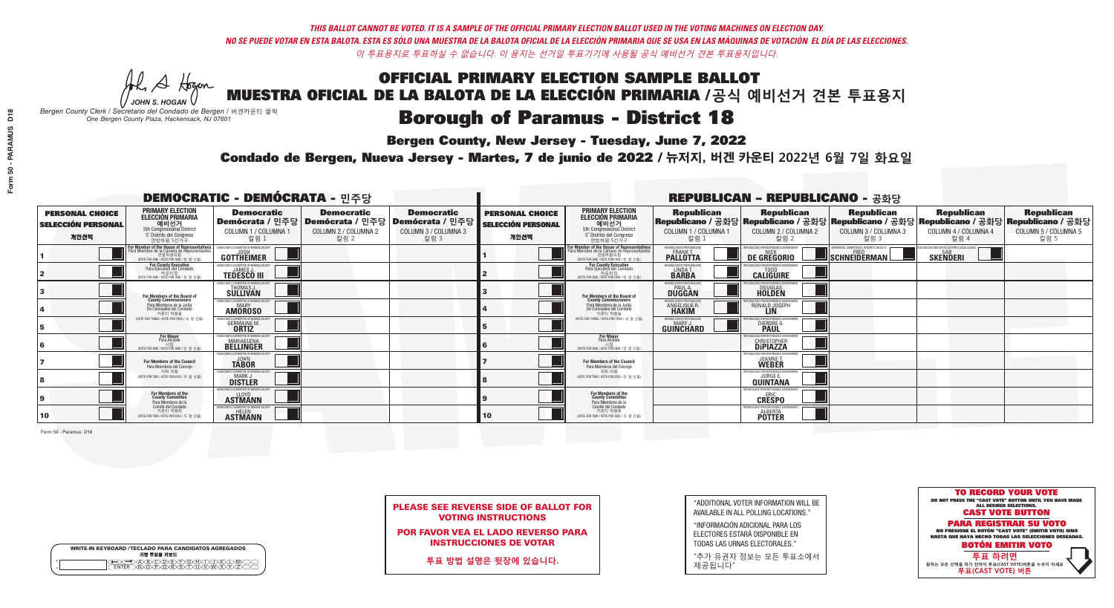**Bergen County, New Jersey - Tuesday, June 7, 2022** 

A Hogan *JOHN S. HOGAN*

| <b>WRITE-IN KEYBOARD /TECLADO PARA CANDIDATOS AGREGADOS</b><br>기명 투표용 키보드 |  |
|---------------------------------------------------------------------------|--|
| DACBOODECFOGAADA<br>ስ <u>គለሽ እን</u> ፈፈ                                    |  |

*Bergen County Clerk / Secretario del Condado de Bergen /* 버겐카운티 클럭 *One Bergen County Plaza, Hackensack, NJ 07601*



PLEASE SEE REVERSE SIDE OF BALLOT FOR VOTING INSTRUCTIONS

POR FAVOR VEA EL LADO REVERSO PARA INSTRUCCIONES DE VOTAR

**투표 방법 설명은 뒷장에 있습니다.**

| "ADDITIONAL VOTER INFORMATION WILL BE |
|---------------------------------------|
| AVAILABLE IN ALL POLLING LOCATIONS."  |

"INFORMACIÓN ADICIONAL PARA LOS ELECTORES ESTARÁ DISPONIBLE EN TODAS LAS URNAS ELECTORALES."

"추가 유권자 정보는 모든 투표소에서 제공됩니다"

Condado de Bergen, Nueva Jersey - Martes, 7 de junio de 2022 / 뉴저지, 버겐 카운티 2022년 6월 7일 화요일 *One Bergen County Plaza, Hackensack, NJ 07601*

| <b>DEMOCRATIC - DEMÓCRATA - 민주당</b>                         |                                                                                                                                               |                                                             |                                                   |                                                                                                        |                                                             |                                                                                                                                    |                                                                | <b>REPUBLICAN - REPUBLICANO - 공화당</b>                                                                                                          |                                                   |                                                   |                                                   |
|-------------------------------------------------------------|-----------------------------------------------------------------------------------------------------------------------------------------------|-------------------------------------------------------------|---------------------------------------------------|--------------------------------------------------------------------------------------------------------|-------------------------------------------------------------|------------------------------------------------------------------------------------------------------------------------------------|----------------------------------------------------------------|------------------------------------------------------------------------------------------------------------------------------------------------|---------------------------------------------------|---------------------------------------------------|---------------------------------------------------|
| <b>PERSONAL CHOICE</b><br><b>SELECCIÓN PERSONAL</b><br>개인선택 | PRIMARY ELECTION<br>ELECCIÓN PRIMARIA<br>예비선거<br><sub>5th Congressional District</sub><br>5° Distrito del Congreso<br>연방하워 5선거구               | <b>Democratic</b><br>COLUMN 1 / COLUMNA 1<br>칼럼 1           | <b>Democratic</b><br>COLUMN 2 / COLUMNA 2<br>칼럼 2 | <b>Democratic</b><br>│Demócrata / 민주당│Demócrata / 민주당│Demócrata / 민주당│<br>COLUMN 3 / COLUMNA 3<br>칼럼 3 | <b>PERSONAL CHOICE</b><br><b>SELECCIÓN PERSONAL</b><br>개인선택 | <b>PRIMARY ELECTION</b><br>ELECCIÓN PRIMARIA<br>5th Congressional District<br>5° Distrito del Congreso<br>연방하워 5선거구                | <b>Republican</b><br>COLUMN 1 / COLUMNA 1<br>칼럼 1              | <b>Republican</b><br>Republicano / 공화당 Republicano / 공화당 Republicano / 공화당 Republicano / 공화당 Republicano / 공화당<br>COLUMN 2 / COLUMNA 2<br>칼럼 2 | <b>Republican</b><br>COLUMN 3 / COLUMNA 3<br>칼럼 3 | <b>Republican</b><br>COLUMN 4 / COLUMNA 4<br>칼럼 4 | <b>Republican</b><br>COLUMN 5 / COLUMNA 5<br>칼럼 5 |
|                                                             | For Member of the House of Representatives<br>Para Miembro de la Cámara de Representantes<br>연방하원의원<br>(VOTE FOR ONE / VOTE POR UNO / 한 명 선출) | GOTTHEIMER                                                  |                                                   |                                                                                                        |                                                             | For Member of the House of Representatives<br>Para Miembro de la Cámara de Representantes<br>(VOTE FOR ONE / VOTE POR UNO / 한 명 선출 | ERGEN COUNTY REPUBLICANS<br><b>PALLOTTA</b>                    | DE GREGORIO                                                                                                                                    | SCHNEIDERMAN                                      | <b>SKENDERI</b>                                   |                                                   |
|                                                             | <b>For County Executive</b><br>Para Ejecutivo del Condado<br>가운티장<br>(VOTE FOR ONE / VOTE POR UNO / 한 명 선출)                                   | DEMOCRATIC COMMITTEE OF BERGEN COUNTY<br><b>TEDESCO III</b> |                                                   |                                                                                                        |                                                             | For County Executive<br>Para Ejecutivo del Condado<br>7) 카운티장<br>(VOTE FOR ONE / VOTE POR UNO / 한 명 선출)                            | BERGEN COUNTY REPUBLICAN<br>LINDA T.                           | <b>CALIGUIRE</b>                                                                                                                               |                                                   |                                                   |                                                   |
|                                                             | For Members of the Board of<br>County Commissioners                                                                                           | MOCRATIC COMMITTEE OF BERGEN CO<br>THOMAS J.                |                                                   |                                                                                                        |                                                             | For Members of the Board of<br>County Commissioners                                                                                | ERGEN COUNTY REPUBLICAN<br><b>PAUL A.</b><br><b>DUGGAN</b>     | DOUGLAS<br>HOLDEN                                                                                                                              |                                                   |                                                   |                                                   |
|                                                             | Para Miembros de la Junta<br>De Concejales del Condado<br>카우티 위워들                                                                             | MOCRATIC COMMITTEE OF BERGEN COUNT<br><b>AMOROSO</b>        |                                                   |                                                                                                        |                                                             | Para Miembros de la Junta<br>De Concejales del Condado<br>카우티 위워들                                                                  | ERGEN COUNTY REPUBLICANS<br><b>ANGELIQUE R</b><br><b>HAKIM</b> | BLICANS FOR RESPONSIBLE GOVERNME!<br>RONALD JOSEPH                                                                                             |                                                   |                                                   |                                                   |
|                                                             | NOTE FOR THREE / VOTE POR TRES / 세 명 선출)                                                                                                      | RATIC COMMITTEE OF RERGEN COLIN<br><b>GERMAINE M.</b>       |                                                   |                                                                                                        |                                                             | (VOTE FOR THREE / VOTE POR TRES / 세 명 선출)                                                                                          | ERGEN COUNTY REPUBLICAN<br><b>GUINCHARD</b>                    | DIERDRE G                                                                                                                                      |                                                   |                                                   |                                                   |
|                                                             | <b>For Mayor</b><br>Para Alcalde<br>NOTE FOR ONE / VOTE POR UNO / 하 및                                                                         | <b>MARIAELENA</b>                                           |                                                   |                                                                                                        |                                                             | <b>For Mayor</b><br>Para Alcalde<br>NOTE FOR ONE/VOTE POR UNO/한 명 선출                                                               |                                                                | <b>CHRISTOPHER</b>                                                                                                                             |                                                   |                                                   |                                                   |
|                                                             | <b>For Members of the Council</b><br>Para Miembros del Conceio                                                                                | MOCRATIC COMMITTEE OF BERGEN COUN<br><b>TÄBOR</b>           |                                                   |                                                                                                        |                                                             | <b>For Members of the Council</b><br>Para Miembros del Conceio                                                                     |                                                                | PUBLICANS FOR RESPONSIBLE G<br><b>JEANNE T.</b><br><b>WEBER</b>                                                                                |                                                   |                                                   |                                                   |
|                                                             | 의회 의원<br>(VOTE FOR TWO / VOTE POR DOS / 두 명 선출)                                                                                               | MOCRATIC COMMITTEE OF BERGEN COUNTY<br><b>DISTLER</b>       |                                                   |                                                                                                        |                                                             | 의회 의원<br>WOTE FOR TWO / VOTE POR DOS / 두 명 선출)                                                                                     |                                                                | PUBLICANS FOR RESPONSIBLE GOVERNMEN<br><b>QUINTANA</b>                                                                                         |                                                   |                                                   |                                                   |
|                                                             | For Members of the<br>County Committee<br>Para Miembros de la                                                                                 | MOCRATIC COMMITTEE OF BERGEN COUNT<br><b>ASTMANN</b>        |                                                   |                                                                                                        |                                                             | For Members of the<br>County Committee<br>Para Miembros de la<br>Comité del Condado                                                |                                                                | EPUBLICANS FOR RESPONSIBLE GOVERNMEN<br><b>CRESPO</b>                                                                                          |                                                   |                                                   |                                                   |
| 10                                                          | Comité del Condado<br>카운티 위원회<br>(VOTE FOR TWO / VOTE POR DOS / 두 명 선출)                                                                       | MOCRATIC COMMITTEE OF BERGEN COUNTY<br><b>ASTMANN</b>       |                                                   |                                                                                                        | 10                                                          | 카운티 위원회<br>(VOTE FOR TWO / VOTE POR DOS / 두 명 선출)                                                                                  |                                                                | PUBLICANS FOR RESPONSIBLE GOVERNMENT<br><b>ALBERTA</b><br><b>POTTER</b>                                                                        |                                                   |                                                   |                                                   |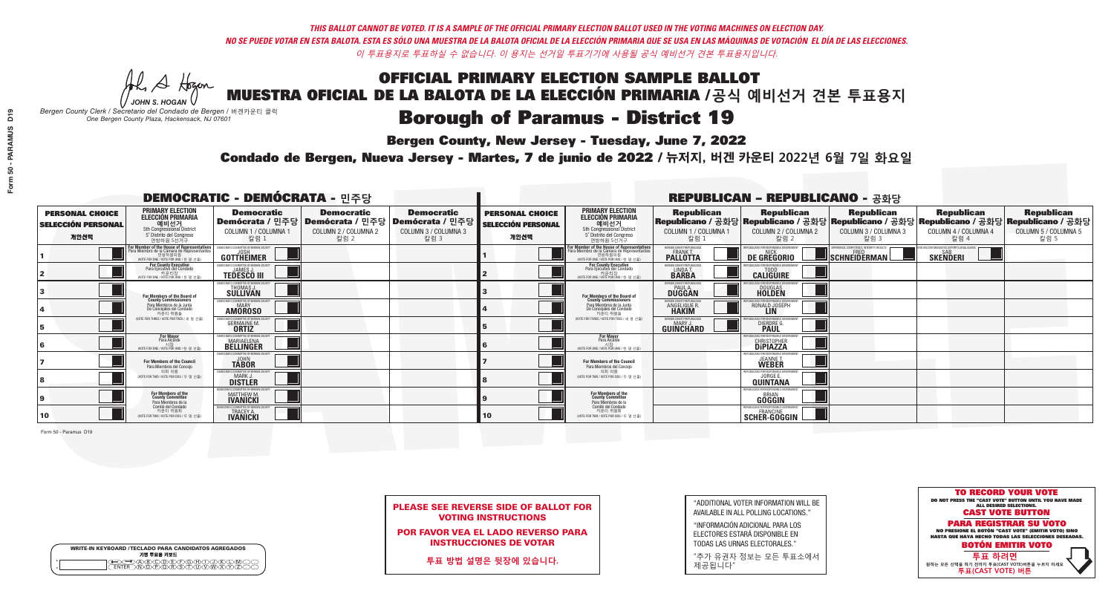### **Bergen County, New Jersey - Tuesday, June 7, 2022**

A Hogan *JOHN S. HOGAN*

| <b>WRITE-IN KEYBOARD /TECLADO PARA CANDIDATOS AGREGADOS</b><br>기명 투표용 키보드 |  |
|---------------------------------------------------------------------------|--|
| >ABCDE/FGAA<br>ስ <u>គេកើត</u> ្តិការ                                      |  |

*Bergen County Clerk / Secretario del Condado de Bergen /* 버겐카운티 클럭 *One Bergen County Plaza, Hackensack, NJ 07601*



PLEASE SEE REVERSE SIDE OF BALLOT FOR VOTING INSTRUCTIONS

POR FAVOR VEA EL LADO REVERSO PARA INSTRUCCIONES DE VOTAR

**투표 방법 설명은 뒷장에 있습니다.**

| "ADDITIONAL VOTER INFORMATION WILL BE |
|---------------------------------------|
| AVAILABLE IN ALL POLLING LOCATIONS."  |

"INFORMACIÓN ADICIONAL PARA LOS ELECTORES ESTARÁ DISPONIBLE EN TODAS LAS URNAS ELECTORALES."

"추가 유권자 정보는 모든 투표소에서 제공됩니다"

### Condado de Bergen, Nueva Jersey - Martes, 7 de junio de 2022 / 뉴저지, 버겐 카운티 2022년 6월 7일 화요일 *One Bergen County Plaza, Hackensack, NJ 07601*

| <b>DEMOCRATIC - DEMÓCRATA - 민주당</b>                         |                                                                                                                                               |                                                                            |                                                   |                                                                                           |                                                             |                                                                                                                                   |                                                                      | <b>REPUBLICAN - REPUBLICANO - 공화당</b>                       |                                                                                                                                                 |                                                               |                                                   |
|-------------------------------------------------------------|-----------------------------------------------------------------------------------------------------------------------------------------------|----------------------------------------------------------------------------|---------------------------------------------------|-------------------------------------------------------------------------------------------|-------------------------------------------------------------|-----------------------------------------------------------------------------------------------------------------------------------|----------------------------------------------------------------------|-------------------------------------------------------------|-------------------------------------------------------------------------------------------------------------------------------------------------|---------------------------------------------------------------|---------------------------------------------------|
| <b>PERSONAL CHOICE</b><br><b>SELECCIÓN PERSONAL</b><br>개인선택 | <b>PRIMARY ELECTION</b><br>ELECCIÓN PRIMARIA<br>예비선거<br><sub>5th Congressional District</sub><br>5° Distrito del Congreso<br>연방하원 5선거구        | <b>Democratic</b><br>Demócrata / 민주당<br>COLUMN 1 / COLUMNA 1<br>칼럼 1       | <b>Democratic</b><br>COLUMN 2 / COLUMNA 2<br>칼럼 2 | <b>Democratic</b><br> Demócrata / 민주당   Demócrata / 민주당  <br>COLUMN 3 / COLUMNA 3<br>칼럼 3 | <b>PERSONAL CHOICE</b><br><b>SELECCIÓN PERSONAL</b><br>개인선택 | <b>PRIMARY ELECTION</b><br>ELECCIÓN PRIMARIA<br>5th Congressional District<br>5° Distrito del Congreso<br>연방하원 5선거구               | <b>Republican</b><br>COLUMN 1 / COLUMNA 1<br>칼럼                      | <b>Republican</b><br>COLUMN 2 / COLUMNA 2<br>칼럼 2           | <b>Republican</b><br>│Republicano / 공화당│Republicano / 공화당│Republicano / 공화당│Republicano / 공화당│Republicano / 공화당<br>COLUMN 3 / COLUMNA 3<br>칼럼 3 | <b>Republican</b><br>COLUMN 4 / COLUMNA 4<br>칼럼 4             | <b>Republican</b><br>COLUMN 5 / COLUMNA 5<br>칼럼 5 |
|                                                             | For Member of the House of Representatives<br>Para Miembro de la Cámara de Representantes<br>연방하원의원<br>(VOTE FOR ONE / VOTE POR UNO / 한 명 선출) | COMMITTEE OF BERGEN COUNTY<br>GOTTHEIMER                                   |                                                   |                                                                                           |                                                             | For Member of the House of Representatives<br>Para Miembro de la Cámara de Representantes<br>NOTE FOR ONE / VOTE POR UNO / 한 명 선출 | ERGEN COUNTY REPUBLICANS<br>FRANK T.<br><b>PALLOTTA</b>              | DE GREGORIO                                                 | XPERIENCE, COMPETENCE, INTEGRITY, RESULTS<br>$\blacksquare$ SCHNEIDERMAN                                                                        | VACCINE MANDATES, DEPORT ILLEGAL ALIENS. [<br><b>SKENDERI</b> |                                                   |
|                                                             | <b>For County Executive</b><br>Para Ejecutivo del Condado<br>NOTE FOR ONE / VOTE POR UNO / 한 명 선출!                                            | EMOCRATIC COMMITTEE OF BERGEN COUNTY<br><b>TEDESCO III</b>                 |                                                   |                                                                                           |                                                             | For County Executive<br>Para Ejecutivo del Condado<br>카운티장<br>(VOTE FOR ONE / VOTE POR UNO / 한 명 선출                               | BERGEN COUNTY REPUBLICAN<br>LINDA T.                                 | <b>CALIGUIRE</b>                                            |                                                                                                                                                 |                                                               |                                                   |
|                                                             | For Members of the Board of<br>County Commissioners                                                                                           | MOCRATIC COMMITTEE OF BERGEN C<br>THOMAS J.                                |                                                   |                                                                                           |                                                             | For Members of the Board of<br>County Commissioners                                                                               | <b>ERGEN COUNTY REPUBLICAN</b><br><b>PAUL A.</b><br><b>DUGGAN</b>    | <b>DOUGLAS</b><br><b>HOLDEN</b>                             |                                                                                                                                                 |                                                               |                                                   |
|                                                             | Para Miembros de la Junta<br>De Concejales del Condado<br>카운티 위원들                                                                             | <i>A</i> OCRATIC COMMITTEE OF BERGEN COUN'<br><b>AMOROSO</b>               |                                                   |                                                                                           |                                                             | Para Miembros de la Junta<br>De Concejales del Condado<br>카우티 위원들                                                                 | <b>ERGEN COUNTY REPUBLICAN</b><br><b>ANGELIQUE F</b><br><b>HAKIM</b> | RONALD JOSEPH<br><b>LIN</b>                                 |                                                                                                                                                 |                                                               |                                                   |
|                                                             | NOTE FOR THREE / VOTE POR TRES / 세 명 선출)                                                                                                      | <b>GERMAINE M.</b>                                                         |                                                   |                                                                                           |                                                             | (VOTE FOR THREE / VOTE POR TRES / 세 명 선출)                                                                                         | ERGEN COUNTY REPUBLICANS<br>GUINCHARD                                | ILICANS FOR RESPONSIBLE (<br>DIERDRE G                      |                                                                                                                                                 |                                                               |                                                   |
|                                                             | <b>For Mayor</b><br>Para Alcalde<br>NOTE FOR ONE / VOTE POR UNO / 한 명 /                                                                       | MOCRATIC COMMITTEE OF RERGEN.<br><b>MARIAELENA</b>                         |                                                   |                                                                                           |                                                             | For Mayor<br>Para Alcalde<br>(VOTE FOR ONE / VOTE POR UNO / 한 명 선출                                                                |                                                                      | PHRHICANS ENR RESPONSIBLE (<br><b>CHRISTOPHER</b>           |                                                                                                                                                 |                                                               |                                                   |
|                                                             | <b>For Members of the Council</b><br>Para Miembros del Conceio                                                                                | MOCRATIC COMMITTEE OF BERGEN COUNT<br><b>TÅBOR</b>                         |                                                   |                                                                                           |                                                             | <b>For Members of the Council</b><br>Para Miembros del Conceio                                                                    |                                                                      | <b>JEANNE T.</b><br><b>WEBER</b>                            |                                                                                                                                                 |                                                               |                                                   |
|                                                             | 의회 의원<br>(VOTE FOR TWO / VOTE POR DOS / 두 명 선출)                                                                                               | MOCRATIC COMMITTEE OF BERGEN COUNT<br><b>DISTLER</b>                       |                                                   |                                                                                           |                                                             | 의회 의원<br>NOTE FOR TWO / VOTE POR DOS / 두 명 선출)                                                                                    |                                                                      | EPUBLICANS FOR RESPONSIBLE G<br><b>QUINTANA</b>             |                                                                                                                                                 |                                                               |                                                   |
|                                                             | For Members of the<br>County Committee<br>Para Miembros de la                                                                                 | CRATIC COMMITTEE OF BERGEN COU<br>MATTHEW M.                               |                                                   |                                                                                           |                                                             | For Members of the<br>County Committee<br>Para Miembros de la<br>Comité del Condado                                               |                                                                      | PHRI ICANS ENR RESPONSIRI E GO<br><b>GÖGGIN</b>             |                                                                                                                                                 |                                                               |                                                   |
| 10                                                          | Comité del Condado<br>카운티 위원회<br>(VOTE FOR TWO / VOTE POR DOS / 두 명 선출)                                                                       | <b>TIC COMMITTEE OF BERGEN COUNT</b><br><b>TRACEY A</b><br><b>IVANICKI</b> |                                                   |                                                                                           | 10                                                          | 카운티 위원회<br>(VOTE FOR TWO / VOTE POR DOS / 두 명 선출)                                                                                 |                                                                      | PUBLICANS FOR RESPONSIBLE GOVERNMENT<br><b>SCHER-GOGGIN</b> |                                                                                                                                                 |                                                               |                                                   |